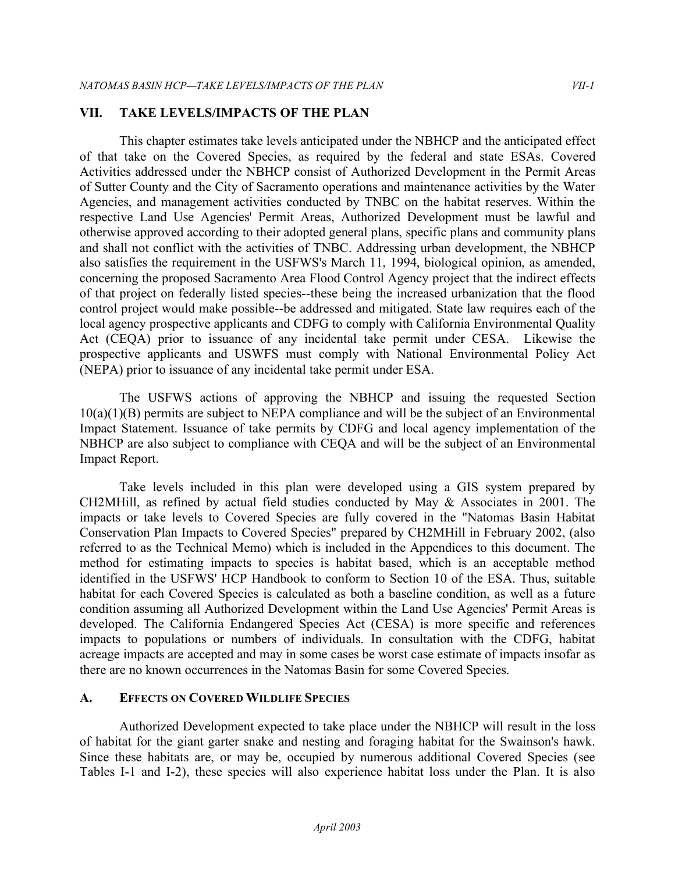#### **VII. TAKE LEVELS/IMPACTS OF THE PLAN**

 This chapter estimates take levels anticipated under the NBHCP and the anticipated effect of that take on the Covered Species, as required by the federal and state ESAs. Covered Activities addressed under the NBHCP consist of Authorized Development in the Permit Areas of Sutter County and the City of Sacramento operations and maintenance activities by the Water Agencies, and management activities conducted by TNBC on the habitat reserves. Within the respective Land Use Agencies' Permit Areas, Authorized Development must be lawful and otherwise approved according to their adopted general plans, specific plans and community plans and shall not conflict with the activities of TNBC. Addressing urban development, the NBHCP also satisfies the requirement in the USFWS's March 11, 1994, biological opinion, as amended, concerning the proposed Sacramento Area Flood Control Agency project that the indirect effects of that project on federally listed species--these being the increased urbanization that the flood control project would make possible--be addressed and mitigated. State law requires each of the local agency prospective applicants and CDFG to comply with California Environmental Quality Act (CEQA) prior to issuance of any incidental take permit under CESA. Likewise the prospective applicants and USWFS must comply with National Environmental Policy Act (NEPA) prior to issuance of any incidental take permit under ESA.

 The USFWS actions of approving the NBHCP and issuing the requested Section 10(a)(1)(B) permits are subject to NEPA compliance and will be the subject of an Environmental Impact Statement. Issuance of take permits by CDFG and local agency implementation of the NBHCP are also subject to compliance with CEQA and will be the subject of an Environmental Impact Report.

 Take levels included in this plan were developed using a GIS system prepared by CH2MHill, as refined by actual field studies conducted by May  $\&$  Associates in 2001. The impacts or take levels to Covered Species are fully covered in the "Natomas Basin Habitat Conservation Plan Impacts to Covered Species" prepared by CH2MHill in February 2002, (also referred to as the Technical Memo) which is included in the Appendices to this document. The method for estimating impacts to species is habitat based, which is an acceptable method identified in the USFWS' HCP Handbook to conform to Section 10 of the ESA. Thus, suitable habitat for each Covered Species is calculated as both a baseline condition, as well as a future condition assuming all Authorized Development within the Land Use Agencies' Permit Areas is developed. The California Endangered Species Act (CESA) is more specific and references impacts to populations or numbers of individuals. In consultation with the CDFG, habitat acreage impacts are accepted and may in some cases be worst case estimate of impacts insofar as there are no known occurrences in the Natomas Basin for some Covered Species.

#### **A. EFFECTS ON COVERED WILDLIFE SPECIES**

 Authorized Development expected to take place under the NBHCP will result in the loss of habitat for the giant garter snake and nesting and foraging habitat for the Swainson's hawk. Since these habitats are, or may be, occupied by numerous additional Covered Species (see Tables I-1 and I-2), these species will also experience habitat loss under the Plan. It is also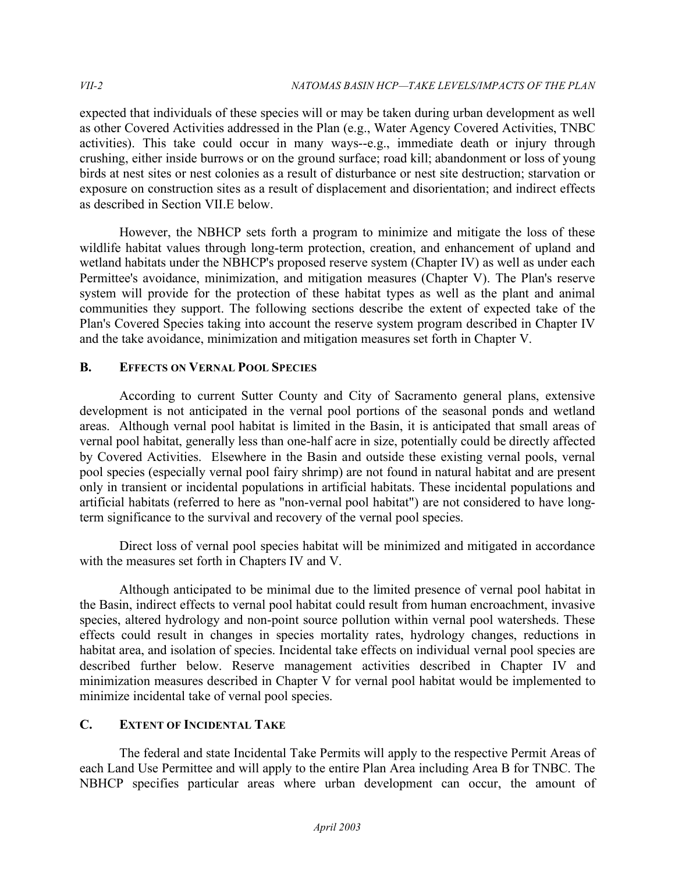expected that individuals of these species will or may be taken during urban development as well as other Covered Activities addressed in the Plan (e.g., Water Agency Covered Activities, TNBC activities). This take could occur in many ways--e.g., immediate death or injury through crushing, either inside burrows or on the ground surface; road kill; abandonment or loss of young birds at nest sites or nest colonies as a result of disturbance or nest site destruction; starvation or exposure on construction sites as a result of displacement and disorientation; and indirect effects as described in Section VII.E below.

 However, the NBHCP sets forth a program to minimize and mitigate the loss of these wildlife habitat values through long-term protection, creation, and enhancement of upland and wetland habitats under the NBHCP's proposed reserve system (Chapter IV) as well as under each Permittee's avoidance, minimization, and mitigation measures (Chapter V). The Plan's reserve system will provide for the protection of these habitat types as well as the plant and animal communities they support. The following sections describe the extent of expected take of the Plan's Covered Species taking into account the reserve system program described in Chapter IV and the take avoidance, minimization and mitigation measures set forth in Chapter V.

# **B. EFFECTS ON VERNAL POOL SPECIES**

 According to current Sutter County and City of Sacramento general plans, extensive development is not anticipated in the vernal pool portions of the seasonal ponds and wetland areas. Although vernal pool habitat is limited in the Basin, it is anticipated that small areas of vernal pool habitat, generally less than one-half acre in size, potentially could be directly affected by Covered Activities. Elsewhere in the Basin and outside these existing vernal pools, vernal pool species (especially vernal pool fairy shrimp) are not found in natural habitat and are present only in transient or incidental populations in artificial habitats. These incidental populations and artificial habitats (referred to here as "non-vernal pool habitat") are not considered to have long-term significance to the survival and recovery of the vernal pool species.

 Direct loss of vernal pool species habitat will be minimized and mitigated in accordance with the measures set forth in Chapters IV and V.

 Although anticipated to be minimal due to the limited presence of vernal pool habitat in the Basin, indirect effects to vernal pool habitat could result from human encroachment, invasive species, altered hydrology and non-point source pollution within vernal pool watersheds. These effects could result in changes in species mortality rates, hydrology changes, reductions in habitat area, and isolation of species. Incidental take effects on individual vernal pool species are described further below. Reserve management activities described in Chapter IV and minimization measures described in Chapter V for vernal pool habitat would be implemented to minimize incidental take of vernal pool species.

# **C. EXTENT OF INCIDENTAL TAKE**

 The federal and state Incidental Take Permits will apply to the respective Permit Areas of each Land Use Permittee and will apply to the entire Plan Area including Area B for TNBC. The NBHCP specifies particular areas where urban development can occur, the amount of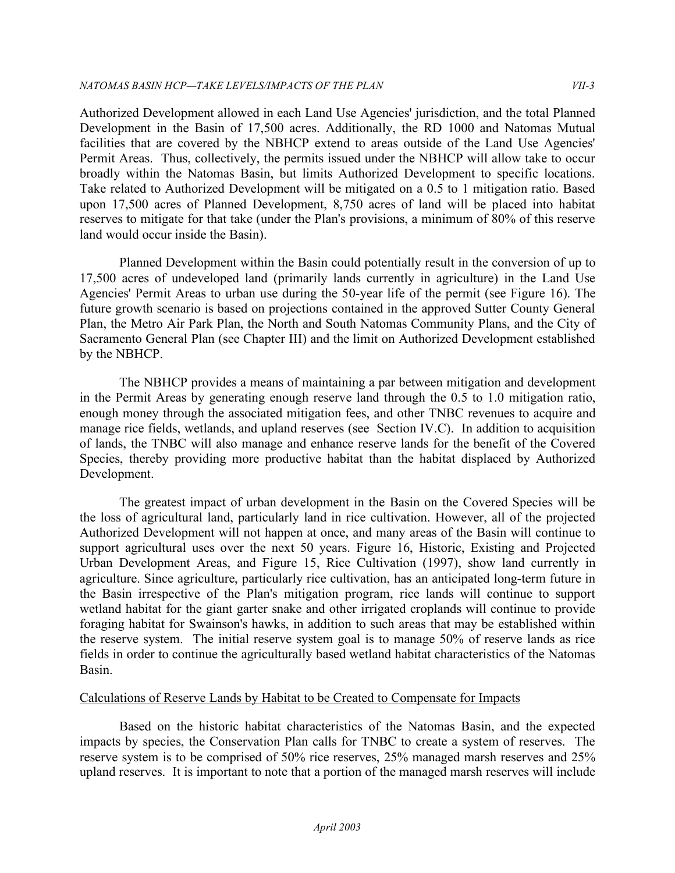Authorized Development allowed in each Land Use Agencies' jurisdiction, and the total Planned Development in the Basin of 17,500 acres. Additionally, the RD 1000 and Natomas Mutual facilities that are covered by the NBHCP extend to areas outside of the Land Use Agencies' Permit Areas. Thus, collectively, the permits issued under the NBHCP will allow take to occur broadly within the Natomas Basin, but limits Authorized Development to specific locations. Take related to Authorized Development will be mitigated on a 0.5 to 1 mitigation ratio. Based upon 17,500 acres of Planned Development, 8,750 acres of land will be placed into habitat reserves to mitigate for that take (under the Plan's provisions, a minimum of 80% of this reserve land would occur inside the Basin).

 Planned Development within the Basin could potentially result in the conversion of up to 17,500 acres of undeveloped land (primarily lands currently in agriculture) in the Land Use Agencies' Permit Areas to urban use during the 50-year life of the permit (see Figure 16). The Plan, the Metro Air Park Plan, the North and South Natomas Community Plans, and the City of Sacramento General Plan (see Chapter III) and the limit on Authorized Development established future growth scenario is based on projections contained in the approved Sutter County General by the NBHCP.

 The NBHCP provides a means of maintaining a par between mitigation and development in the Permit Areas by generating enough reserve land through the 0.5 to 1.0 mitigation ratio, enough money through the associated mitigation fees, and other TNBC revenues to acquire and manage rice fields, wetlands, and upland reserves (see Section IV.C). In addition to acquisition of lands, the TNBC will also manage and enhance reserve lands for the benefit of the Covered Species, thereby providing more productive habitat than the habitat displaced by Authorized Development.

 The greatest impact of urban development in the Basin on the Covered Species will be the loss of agricultural land, particularly land in rice cultivation. However, all of the projected Authorized Development will not happen at once, and many areas of the Basin will continue to support agricultural uses over the next 50 years. Figure 16, Historic, Existing and Projected Urban Development Areas, and Figure 15, Rice Cultivation (1997), show land currently in agriculture. Since agriculture, particularly rice cultivation, has an anticipated long-term future in the Basin irrespective of the Plan's mitigation program, rice lands will continue to support wetland habitat for the giant garter snake and other irrigated croplands will continue to provide foraging habitat for Swainson's hawks, in addition to such areas that may be established within the reserve system. The initial reserve system goal is to manage 50% of reserve lands as rice fields in order to continue the agriculturally based wetland habitat characteristics of the Natomas Basin.

#### Calculations of Reserve Lands by Habitat to be Created to Compensate for Impacts

 Based on the historic habitat characteristics of the Natomas Basin, and the expected impacts by species, the Conservation Plan calls for TNBC to create a system of reserves. The reserve system is to be comprised of 50% rice reserves, 25% managed marsh reserves and 25% upland reserves. It is important to note that a portion of the managed marsh reserves will include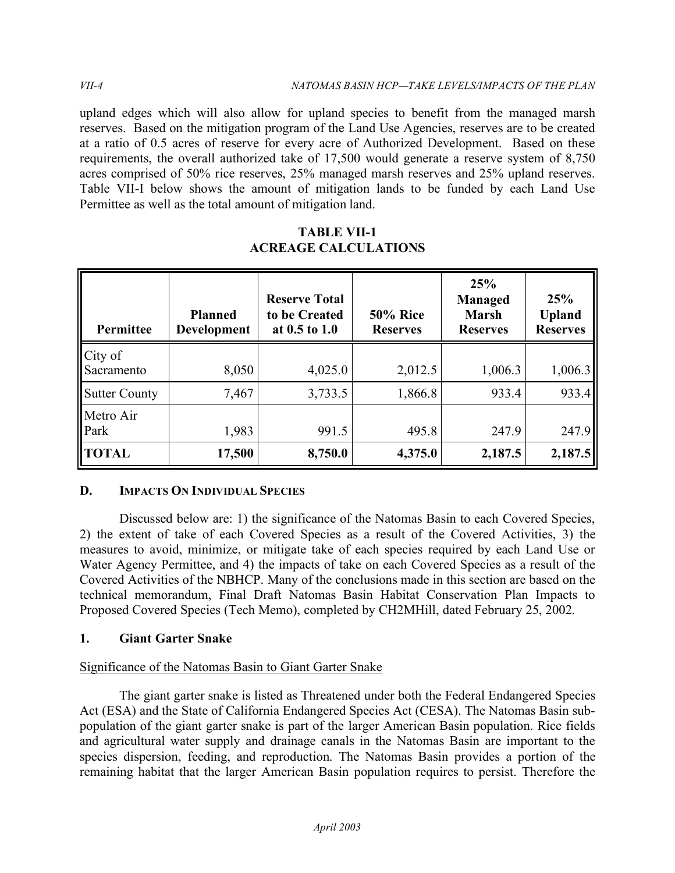upland edges which will also allow for upland species to benefit from the managed marsh reserves. Based on the mitigation program of the Land Use Agencies, reserves are to be created at a ratio of 0.5 acres of reserve for every acre of Authorized Development. Based on these requirements, the overall authorized take of 17,500 would generate a reserve system of 8,750 acres comprised of 50% rice reserves, 25% managed marsh reserves and 25% upland reserves. Table VII-I below shows the amount of mitigation lands to be funded by each Land Use Permittee as well as the total amount of mitigation land.

| Permittee             | <b>Planned</b><br>Development | <b>Reserve Total</b><br>to be Created<br>at 0.5 to 1.0 | <b>50% Rice</b><br><b>Reserves</b> | 25%<br><b>Managed</b><br><b>Marsh</b><br><b>Reserves</b> | 25%<br><b>Upland</b><br><b>Reserves</b> |
|-----------------------|-------------------------------|--------------------------------------------------------|------------------------------------|----------------------------------------------------------|-----------------------------------------|
| City of<br>Sacramento | 8,050                         | 4,025.0                                                | 2,012.5                            | 1,006.3                                                  | 1,006.3                                 |
| <b>Sutter County</b>  | 7,467                         | 3,733.5                                                | 1,866.8                            | 933.4                                                    | 933.4                                   |
| Metro Air<br>Park     | 1,983                         | 991.5                                                  | 495.8                              | 247.9                                                    | 247.9                                   |
| <b>TOTAL</b>          | 17,500                        | 8,750.0                                                | 4,375.0                            | 2,187.5                                                  | 2,187.5                                 |

# **TABLE VII-1 ACREAGE CALCULATIONS**

# **D. IMPACTS ON INDIVIDUAL SPECIES**

Discussed below are: 1) the significance of the Natomas Basin to each Covered Species, 2) the extent of take of each Covered Species as a result of the Covered Activities, 3) the measures to avoid, minimize, or mitigate take of each species required by each Land Use or Water Agency Permittee, and 4) the impacts of take on each Covered Species as a result of the Covered Activities of the NBHCP. Many of the conclusions made in this section are based on the technical memorandum, Final Draft Natomas Basin Habitat Conservation Plan Impacts to Proposed Covered Species (Tech Memo), completed by CH2MHill, dated February 25, 2002.

# **1. Giant Garter Snake**

# Significance of the Natomas Basin to Giant Garter Snake

The giant garter snake is listed as Threatened under both the Federal Endangered Species Act (ESA) and the State of California Endangered Species Act (CESA). The Natomas Basin subpopulation of the giant garter snake is part of the larger American Basin population. Rice fields and agricultural water supply and drainage canals in the Natomas Basin are important to the species dispersion, feeding, and reproduction. The Natomas Basin provides a portion of the remaining habitat that the larger American Basin population requires to persist. Therefore the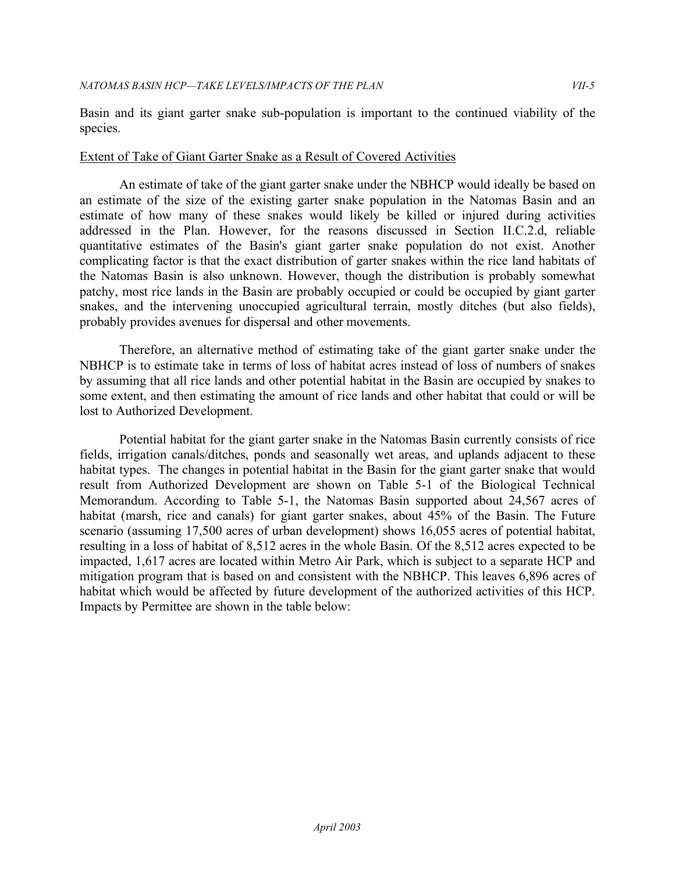Basin and its giant garter snake sub-population is important to the continued viability of the species.

#### Extent of Take of Giant Garter Snake as a Result of Covered Activities

 An estimate of take of the giant garter snake under the NBHCP would ideally be based on an estimate of the size of the existing garter snake population in the Natomas Basin and an estimate of how many of these snakes would likely be killed or injured during activities addressed in the Plan. However, for the reasons discussed in Section II.C.2.d, reliable quantitative estimates of the Basin's giant garter snake population do not exist. Another complicating factor is that the exact distribution of garter snakes within the rice land habitats of the Natomas Basin is also unknown. However, though the distribution is probably somewhat patchy, most rice lands in the Basin are probably occupied or could be occupied by giant garter snakes, and the intervening unoccupied agricultural terrain, mostly ditches (but also fields), probably provides avenues for dispersal and other movements.

 Therefore, an alternative method of estimating take of the giant garter snake under the NBHCP is to estimate take in terms of loss of habitat acres instead of loss of numbers of snakes by assuming that all rice lands and other potential habitat in the Basin are occupied by snakes to some extent, and then estimating the amount of rice lands and other habitat that could or will be lost to Authorized Development.

 Potential habitat for the giant garter snake in the Natomas Basin currently consists of rice fields, irrigation canals/ditches, ponds and seasonally wet areas, and uplands adjacent to these habitat types. The changes in potential habitat in the Basin for the giant garter snake that would result from Authorized Development are shown on Table 5-1 of the Biological Technical Memorandum. According to Table 5-1, the Natomas Basin supported about 24,567 acres of habitat (marsh, rice and canals) for giant garter snakes, about 45% of the Basin. The Future scenario (assuming 17,500 acres of urban development) shows 16,055 acres of potential habitat, resulting in a loss of habitat of 8,512 acres in the whole Basin. Of the 8,512 acres expected to be impacted, 1,617 acres are located within Metro Air Park, which is subject to a separate HCP and mitigation program that is based on and consistent with the NBHCP. This leaves 6,896 acres of habitat which would be affected by future development of the authorized activities of this HCP. Impacts by Permittee are shown in the table below: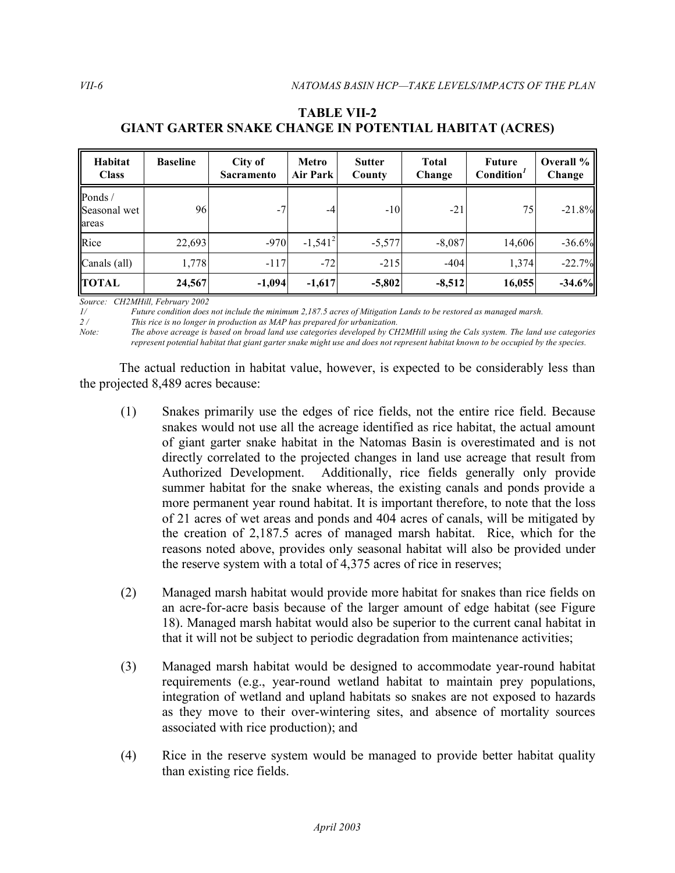| Habitat<br><b>Class</b>          | <b>Baseline</b> | City of<br><b>Sacramento</b> | Metro<br>Air Park | <b>Sutter</b><br>County | <b>Total</b><br>Change | <b>Future</b><br>Condition <sup>1</sup> | Overall %<br>Change |
|----------------------------------|-----------------|------------------------------|-------------------|-------------------------|------------------------|-----------------------------------------|---------------------|
| Ponds /<br>Seasonal wet<br>areas | 96              | $-7$                         | $-4$              | $-10$                   | $-21$                  | 75                                      | $-21.8%$            |
| Rice                             | 22,693          | $-970$                       | $-1,541^2$        | $-5,577$                | $-8,087$               | 14,606                                  | $-36.6%$            |
| Canals (all)                     | 1,778           | $-117$                       | $-72$             | $-215$                  | $-404$                 | 1,374                                   | $-22.7%$            |
| <b>TOTAL</b>                     | 24,567          | $-1,094$                     | $-1,617$          | $-5,802$                | $-8,512$               | 16,055                                  | $-34.6%$            |

# **GIANT GARTER SNAKE CHANGE IN POTENTIAL HABITAT (ACRES) TABLE VII-2**

 *Source: CH2MHill, February 2002* 

*1/ Future condition does not include the minimum 2,187.5 acres of Mitigation Lands to be restored as managed marsh.* 

*This rice is no longer in production as MAP has prepared for urbanization.* 

*Note: The above acreage is based on broad land use categories developed by CH2MHill using the Cals system. The land use categories represent potential habitat that giant garter snake might use and does not represent habitat known to be occupied by the species.* 

 The actual reduction in habitat value, however, is expected to be considerably less than the projected 8,489 acres because:

- (1) Snakes primarily use the edges of rice fields, not the entire rice field. Because snakes would not use all the acreage identified as rice habitat, the actual amount of giant garter snake habitat in the Natomas Basin is overestimated and is not directly correlated to the projected changes in land use acreage that result from Authorized Development. summer habitat for the snake whereas, the existing canals and ponds provide a more permanent year round habitat. It is important therefore, to note that the loss of 21 acres of wet areas and ponds and 404 acres of canals, will be mitigated by the creation of 2,187.5 acres of managed marsh habitat. Rice, which for the reasons noted above, provides only seasonal habitat will also be provided under the reserve system with a total of 4,375 acres of rice in reserves; Additionally, rice fields generally only provide
- (2) Managed marsh habitat would provide more habitat for snakes than rice fields on an acre-for-acre basis because of the larger amount of edge habitat (see Figure 18). Managed marsh habitat would also be superior to the current canal habitat in that it will not be subject to periodic degradation from maintenance activities;
- (3) Managed marsh habitat would be designed to accommodate year-round habitat requirements (e.g., year-round wetland habitat to maintain prey populations, integration of wetland and upland habitats so snakes are not exposed to hazards as they move to their over-wintering sites, and absence of mortality sources associated with rice production); and
- (4) Rice in the reserve system would be managed to provide better habitat quality than existing rice fields.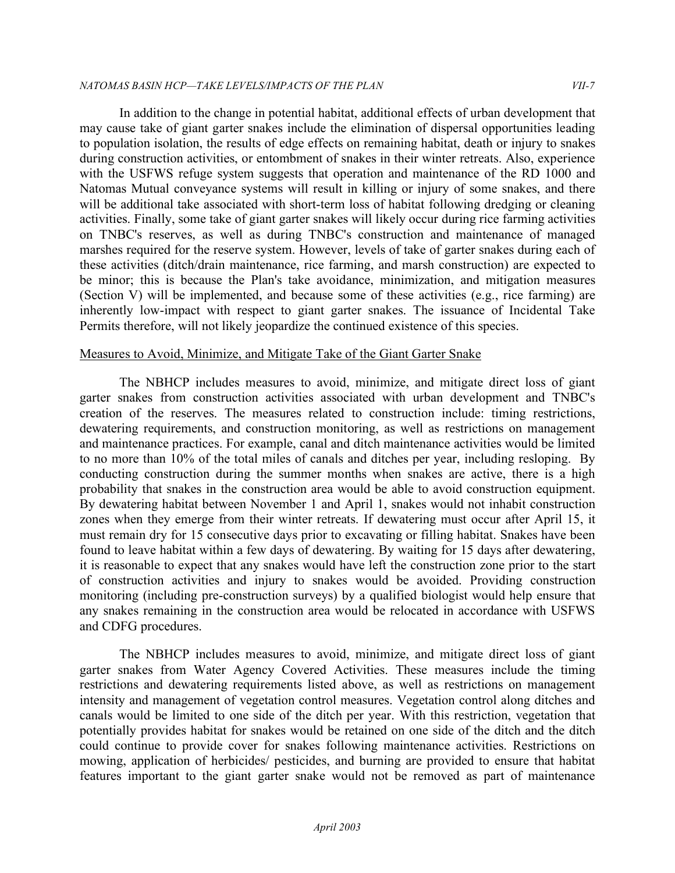#### *NATOMAS BASIN HCP—TAKE LEVELS/IMPACTS OF THE PLAN VII-7*

 In addition to the change in potential habitat, additional effects of urban development that may cause take of giant garter snakes include the elimination of dispersal opportunities leading to population isolation, the results of edge effects on remaining habitat, death or injury to snakes during construction activities, or entombment of snakes in their winter retreats. Also, experience with the USFWS refuge system suggests that operation and maintenance of the RD 1000 and Natomas Mutual conveyance systems will result in killing or injury of some snakes, and there will be additional take associated with short-term loss of habitat following dredging or cleaning activities. Finally, some take of giant garter snakes will likely occur during rice farming activities on TNBC's reserves, as well as during TNBC's construction and maintenance of managed marshes required for the reserve system. However, levels of take of garter snakes during each of these activities (ditch/drain maintenance, rice farming, and marsh construction) are expected to be minor; this is because the Plan's take avoidance, minimization, and mitigation measures (Section V) will be implemented, and because some of these activities (e.g., rice farming) are inherently low-impact with respect to giant garter snakes. The issuance of Incidental Take Permits therefore, will not likely jeopardize the continued existence of this species.

#### Measures to Avoid, Minimize, and Mitigate Take of the Giant Garter Snake

 The NBHCP includes measures to avoid, minimize, and mitigate direct loss of giant garter snakes from construction activities associated with urban development and TNBC's creation of the reserves. The measures related to construction include: timing restrictions, dewatering requirements, and construction monitoring, as well as restrictions on management and maintenance practices. For example, canal and ditch maintenance activities would be limited to no more than 10% of the total miles of canals and ditches per year, including resloping. By conducting construction during the summer months when snakes are active, there is a high probability that snakes in the construction area would be able to avoid construction equipment. By dewatering habitat between November 1 and April 1, snakes would not inhabit construction zones when they emerge from their winter retreats. If dewatering must occur after April 15, it must remain dry for 15 consecutive days prior to excavating or filling habitat. Snakes have been found to leave habitat within a few days of dewatering. By waiting for 15 days after dewatering, it is reasonable to expect that any snakes would have left the construction zone prior to the start of construction activities and injury to snakes would be avoided. Providing construction monitoring (including pre-construction surveys) by a qualified biologist would help ensure that any snakes remaining in the construction area would be relocated in accordance with USFWS and CDFG procedures.

 The NBHCP includes measures to avoid, minimize, and mitigate direct loss of giant garter snakes from Water Agency Covered Activities. These measures include the timing restrictions and dewatering requirements listed above, as well as restrictions on management intensity and management of vegetation control measures. Vegetation control along ditches and canals would be limited to one side of the ditch per year. With this restriction, vegetation that potentially provides habitat for snakes would be retained on one side of the ditch and the ditch could continue to provide cover for snakes following maintenance activities. Restrictions on mowing, application of herbicides/ pesticides, and burning are provided to ensure that habitat features important to the giant garter snake would not be removed as part of maintenance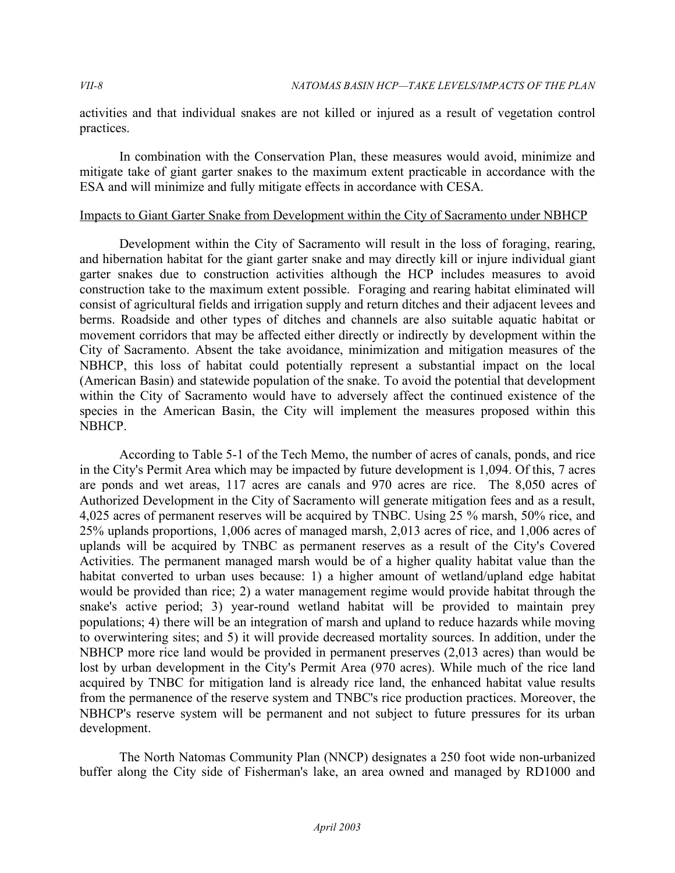activities and that individual snakes are not killed or injured as a result of vegetation control practices.

 In combination with the Conservation Plan, these measures would avoid, minimize and mitigate take of giant garter snakes to the maximum extent practicable in accordance with the ESA and will minimize and fully mitigate effects in accordance with CESA.

#### Impacts to Giant Garter Snake from Development within the City of Sacramento under NBHCP

 Development within the City of Sacramento will result in the loss of foraging, rearing, and hibernation habitat for the giant garter snake and may directly kill or injure individual giant garter snakes due to construction activities although the HCP includes measures to avoid construction take to the maximum extent possible. Foraging and rearing habitat eliminated will consist of agricultural fields and irrigation supply and return ditches and their adjacent levees and berms. Roadside and other types of ditches and channels are also suitable aquatic habitat or movement corridors that may be affected either directly or indirectly by development within the City of Sacramento. Absent the take avoidance, minimization and mitigation measures of the NBHCP, this loss of habitat could potentially represent a substantial impact on the local (American Basin) and statewide population of the snake. To avoid the potential that development within the City of Sacramento would have to adversely affect the continued existence of the species in the American Basin, the City will implement the measures proposed within this NBHCP.

 According to Table 5-1 of the Tech Memo, the number of acres of canals, ponds, and rice in the City's Permit Area which may be impacted by future development is 1,094. Of this, 7 acres are ponds and wet areas, 117 acres are canals and 970 acres are rice. The 8,050 acres of Authorized Development in the City of Sacramento will generate mitigation fees and as a result, 4,025 acres of permanent reserves will be acquired by TNBC. Using 25 % marsh, 50% rice, and 25% uplands proportions, 1,006 acres of managed marsh, 2,013 acres of rice, and 1,006 acres of uplands will be acquired by TNBC as permanent reserves as a result of the City's Covered Activities. The permanent managed marsh would be of a higher quality habitat value than the habitat converted to urban uses because: 1) a higher amount of wetland/upland edge habitat would be provided than rice; 2) a water management regime would provide habitat through the snake's active period; 3) year-round wetland habitat will be provided to maintain prey populations; 4) there will be an integration of marsh and upland to reduce hazards while moving to overwintering sites; and 5) it will provide decreased mortality sources. In addition, under the NBHCP more rice land would be provided in permanent preserves (2,013 acres) than would be lost by urban development in the City's Permit Area (970 acres). While much of the rice land acquired by TNBC for mitigation land is already rice land, the enhanced habitat value results from the permanence of the reserve system and TNBC's rice production practices. Moreover, the NBHCP's reserve system will be permanent and not subject to future pressures for its urban development.

 The North Natomas Community Plan (NNCP) designates a 250 foot wide non-urbanized buffer along the City side of Fisherman's lake, an area owned and managed by RD1000 and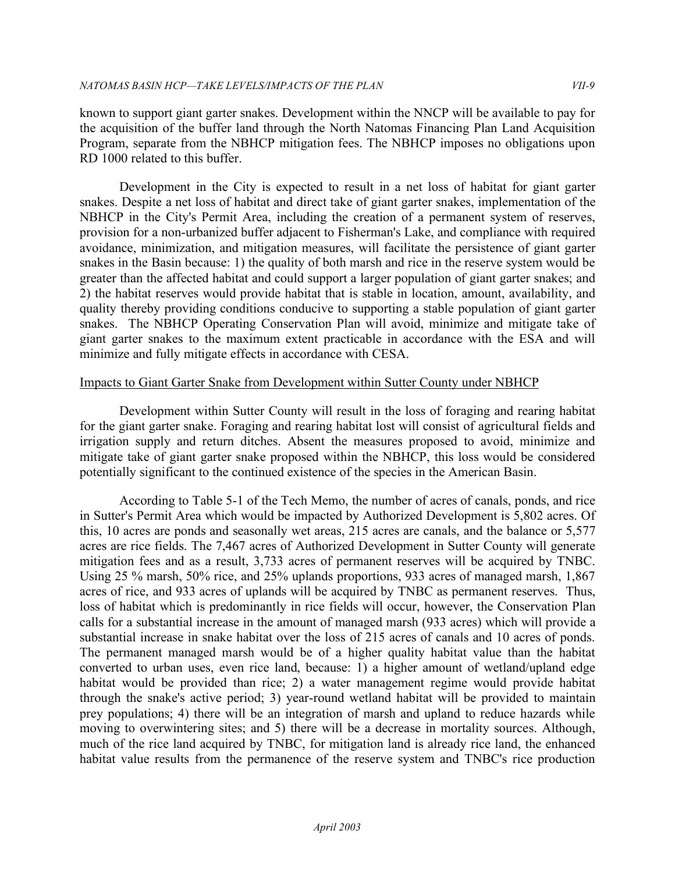known to support giant garter snakes. Development within the NNCP will be available to pay for the acquisition of the buffer land through the North Natomas Financing Plan Land Acquisition Program, separate from the NBHCP mitigation fees. The NBHCP imposes no obligations upon RD 1000 related to this buffer.

Development in the City is expected to result in a net loss of habitat for giant garter snakes. Despite a net loss of habitat and direct take of giant garter snakes, implementation of the NBHCP in the City's Permit Area, including the creation of a permanent system of reserves, provision for a non-urbanized buffer adjacent to Fisherman's Lake, and compliance with required avoidance, minimization, and mitigation measures, will facilitate the persistence of giant garter snakes in the Basin because: 1) the quality of both marsh and rice in the reserve system would be greater than the affected habitat and could support a larger population of giant garter snakes; and 2) the habitat reserves would provide habitat that is stable in location, amount, availability, and quality thereby providing conditions conducive to supporting a stable population of giant garter snakes. The NBHCP Operating Conservation Plan will avoid, minimize and mitigate take of giant garter snakes to the maximum extent practicable in accordance with the ESA and will minimize and fully mitigate effects in accordance with CESA.

#### Impacts to Giant Garter Snake from Development within Sutter County under NBHCP

 Development within Sutter County will result in the loss of foraging and rearing habitat for the giant garter snake. Foraging and rearing habitat lost will consist of agricultural fields and irrigation supply and return ditches. Absent the measures proposed to avoid, minimize and mitigate take of giant garter snake proposed within the NBHCP, this loss would be considered potentially significant to the continued existence of the species in the American Basin.

 According to Table 5-1 of the Tech Memo, the number of acres of canals, ponds, and rice in Sutter's Permit Area which would be impacted by Authorized Development is 5,802 acres. Of this, 10 acres are ponds and seasonally wet areas, 215 acres are canals, and the balance or 5,577 acres are rice fields. The 7,467 acres of Authorized Development in Sutter County will generate mitigation fees and as a result, 3,733 acres of permanent reserves will be acquired by TNBC. Using 25 % marsh, 50% rice, and 25% uplands proportions, 933 acres of managed marsh, 1,867 acres of rice, and 933 acres of uplands will be acquired by TNBC as permanent reserves. Thus, loss of habitat which is predominantly in rice fields will occur, however, the Conservation Plan calls for a substantial increase in the amount of managed marsh (933 acres) which will provide a substantial increase in snake habitat over the loss of 215 acres of canals and 10 acres of ponds. The permanent managed marsh would be of a higher quality habitat value than the habitat converted to urban uses, even rice land, because: 1) a higher amount of wetland/upland edge habitat would be provided than rice; 2) a water management regime would provide habitat through the snake's active period; 3) year-round wetland habitat will be provided to maintain prey populations; 4) there will be an integration of marsh and upland to reduce hazards while moving to overwintering sites; and 5) there will be a decrease in mortality sources. Although, much of the rice land acquired by TNBC, for mitigation land is already rice land, the enhanced habitat value results from the permanence of the reserve system and TNBC's rice production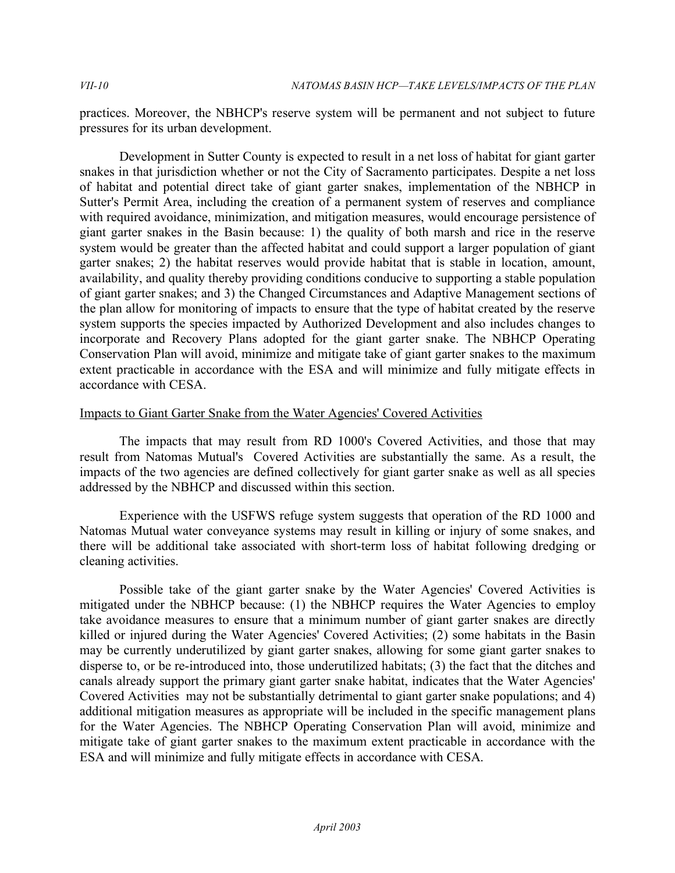practices. Moreover, the NBHCP's reserve system will be permanent and not subject to future pressures for its urban development.

 Development in Sutter County is expected to result in a net loss of habitat for giant garter snakes in that jurisdiction whether or not the City of Sacramento participates. Despite a net loss of habitat and potential direct take of giant garter snakes, implementation of the NBHCP in Sutter's Permit Area, including the creation of a permanent system of reserves and compliance with required avoidance, minimization, and mitigation measures, would encourage persistence of giant garter snakes in the Basin because: 1) the quality of both marsh and rice in the reserve system would be greater than the affected habitat and could support a larger population of giant garter snakes; 2) the habitat reserves would provide habitat that is stable in location, amount, availability, and quality thereby providing conditions conducive to supporting a stable population of giant garter snakes; and 3) the Changed Circumstances and Adaptive Management sections of the plan allow for monitoring of impacts to ensure that the type of habitat created by the reserve system supports the species impacted by Authorized Development and also includes changes to incorporate and Recovery Plans adopted for the giant garter snake. The NBHCP Operating Conservation Plan will avoid, minimize and mitigate take of giant garter snakes to the maximum extent practicable in accordance with the ESA and will minimize and fully mitigate effects in accordance with CESA.

# Impacts to Giant Garter Snake from the Water Agencies' Covered Activities

 The impacts that may result from RD 1000's Covered Activities, and those that may result from Natomas Mutual's Covered Activities are substantially the same. As a result, the impacts of the two agencies are defined collectively for giant garter snake as well as all species addressed by the NBHCP and discussed within this section.

 Experience with the USFWS refuge system suggests that operation of the RD 1000 and Natomas Mutual water conveyance systems may result in killing or injury of some snakes, and there will be additional take associated with short-term loss of habitat following dredging or cleaning activities.

 Possible take of the giant garter snake by the Water Agencies' Covered Activities is mitigated under the NBHCP because: (1) the NBHCP requires the Water Agencies to employ take avoidance measures to ensure that a minimum number of giant garter snakes are directly killed or injured during the Water Agencies' Covered Activities; (2) some habitats in the Basin may be currently underutilized by giant garter snakes, allowing for some giant garter snakes to disperse to, or be re-introduced into, those underutilized habitats; (3) the fact that the ditches and canals already support the primary giant garter snake habitat, indicates that the Water Agencies' Covered Activities may not be substantially detrimental to giant garter snake populations; and 4) additional mitigation measures as appropriate will be included in the specific management plans for the Water Agencies. The NBHCP Operating Conservation Plan will avoid, minimize and mitigate take of giant garter snakes to the maximum extent practicable in accordance with the ESA and will minimize and fully mitigate effects in accordance with CESA.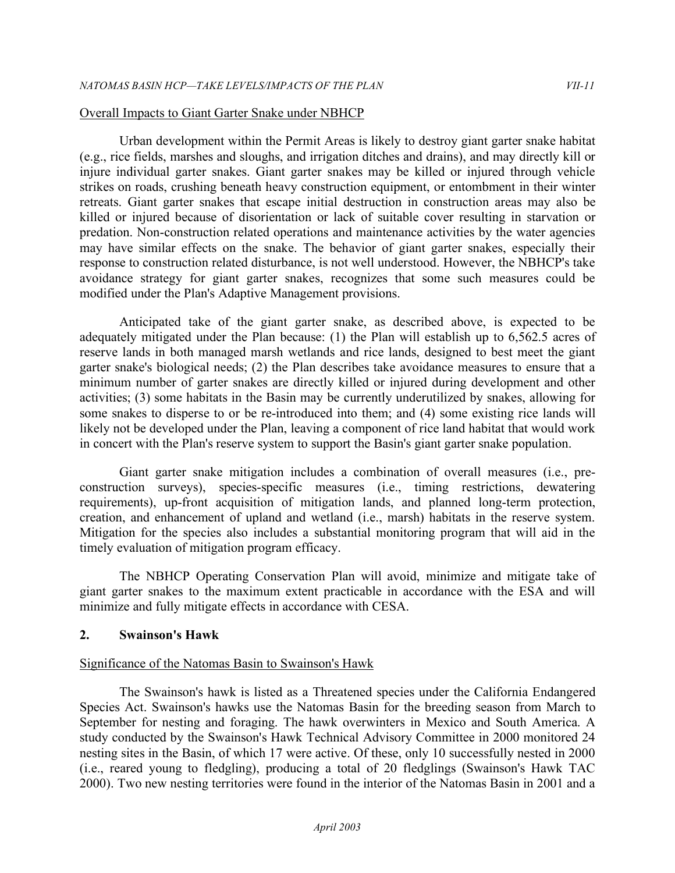#### Overall Impacts to Giant Garter Snake under NBHCP

 Urban development within the Permit Areas is likely to destroy giant garter snake habitat (e.g., rice fields, marshes and sloughs, and irrigation ditches and drains), and may directly kill or injure individual garter snakes. Giant garter snakes may be killed or injured through vehicle strikes on roads, crushing beneath heavy construction equipment, or entombment in their winter retreats. Giant garter snakes that escape initial destruction in construction areas may also be killed or injured because of disorientation or lack of suitable cover resulting in starvation or predation. Non-construction related operations and maintenance activities by the water agencies may have similar effects on the snake. The behavior of giant garter snakes, especially their response to construction related disturbance, is not well understood. However, the NBHCP's take avoidance strategy for giant garter snakes, recognizes that some such measures could be modified under the Plan's Adaptive Management provisions.

 Anticipated take of the giant garter snake, as described above, is expected to be adequately mitigated under the Plan because: (1) the Plan will establish up to 6,562.5 acres of reserve lands in both managed marsh wetlands and rice lands, designed to best meet the giant garter snake's biological needs; (2) the Plan describes take avoidance measures to ensure that a minimum number of garter snakes are directly killed or injured during development and other activities; (3) some habitats in the Basin may be currently underutilized by snakes, allowing for some snakes to disperse to or be re-introduced into them; and (4) some existing rice lands will likely not be developed under the Plan, leaving a component of rice land habitat that would work in concert with the Plan's reserve system to support the Basin's giant garter snake population.

 Giant garter snake mitigation includes a combination of overall measures (i.e., pre- construction surveys), species-specific measures (i.e., timing restrictions, dewatering requirements), up-front acquisition of mitigation lands, and planned long-term protection, creation, and enhancement of upland and wetland (i.e., marsh) habitats in the reserve system. Mitigation for the species also includes a substantial monitoring program that will aid in the timely evaluation of mitigation program efficacy.

 The NBHCP Operating Conservation Plan will avoid, minimize and mitigate take of giant garter snakes to the maximum extent practicable in accordance with the ESA and will minimize and fully mitigate effects in accordance with CESA.

#### **2. Swainson's Hawk**

#### Significance of the Natomas Basin to Swainson's Hawk

 The Swainson's hawk is listed as a Threatened species under the California Endangered Species Act. Swainson's hawks use the Natomas Basin for the breeding season from March to September for nesting and foraging. The hawk overwinters in Mexico and South America. A study conducted by the Swainson's Hawk Technical Advisory Committee in 2000 monitored 24 nesting sites in the Basin, of which 17 were active. Of these, only 10 successfully nested in 2000 (i.e., reared young to fledgling), producing a total of 20 fledglings (Swainson's Hawk TAC 2000). Two new nesting territories were found in the interior of the Natomas Basin in 2001 and a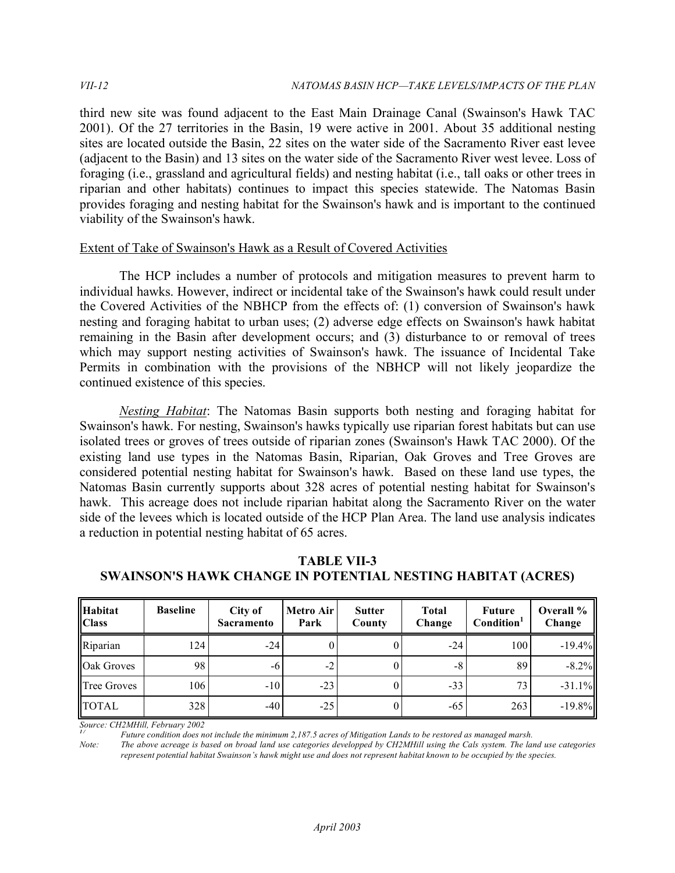third new site was found adjacent to the East Main Drainage Canal (Swainson's Hawk TAC 2001). Of the 27 territories in the Basin, 19 were active in 2001. About 35 additional nesting sites are located outside the Basin, 22 sites on the water side of the Sacramento River east levee (adjacent to the Basin) and 13 sites on the water side of the Sacramento River west levee. Loss of foraging (i.e., grassland and agricultural fields) and nesting habitat (i.e., tall oaks or other trees in riparian and other habitats) continues to impact this species statewide. The Natomas Basin provides foraging and nesting habitat for the Swainson's hawk and is important to the continued viability of the Swainson's hawk.

#### Extent of Take of Swainson's Hawk as a Result of Covered Activities

 The HCP includes a number of protocols and mitigation measures to prevent harm to individual hawks. However, indirect or incidental take of the Swainson's hawk could result under the Covered Activities of the NBHCP from the effects of: (1) conversion of Swainson's hawk nesting and foraging habitat to urban uses; (2) adverse edge effects on Swainson's hawk habitat remaining in the Basin after development occurs; and (3) disturbance to or removal of trees which may support nesting activities of Swainson's hawk. The issuance of Incidental Take Permits in combination with the provisions of the NBHCP will not likely jeopardize the continued existence of this species.

 *Nesting Habitat*: The Natomas Basin supports both nesting and foraging habitat for Swainson's hawk. For nesting, Swainson's hawks typically use riparian forest habitats but can use isolated trees or groves of trees outside of riparian zones (Swainson's Hawk TAC 2000). Of the existing land use types in the Natomas Basin, Riparian, Oak Groves and Tree Groves are considered potential nesting habitat for Swainson's hawk. Based on these land use types, the Natomas Basin currently supports about 328 acres of potential nesting habitat for Swainson's hawk. This acreage does not include riparian habitat along the Sacramento River on the water side of the levees which is located outside of the HCP Plan Area. The land use analysis indicates a reduction in potential nesting habitat of 65 acres.

| <b>Habitat</b><br><b>Class</b> | <b>Baseline</b> | City of<br><b>Sacramento</b> | Metro Air<br>Park | <b>Sutter</b><br>County | <b>Total</b><br>Change | <b>Future</b><br>Condition <sup>1</sup> | Overall %<br>Change |
|--------------------------------|-----------------|------------------------------|-------------------|-------------------------|------------------------|-----------------------------------------|---------------------|
| Riparian                       | 124             | $-24$                        |                   |                         | $-24$                  | 100                                     | $-19.4%$            |
| Oak Groves                     | 98              | -6                           | $-2$              |                         | -8                     | 89                                      | $-8.2\%$            |
| Tree Groves                    | 106             | $-10$                        | $-23$             |                         | $-33$                  | 73                                      | $-31.1%$            |
| <b>TOTAL</b>                   | 328             | $-40$                        | $-25$             |                         | -65                    | 263                                     | $-19.8%$            |

 **SWAINSON'S HAWK CHANGE IN POTENTIAL NESTING HABITAT (ACRES) TABLE VII-3** 

 *Source: CH2MHill, February 2002*

<sup>1/</sup> Future condition does not include the minimum 2,187.5 acres of Mitigation Lands to be restored as managed marsh.

 *Note: The above acreage is based on broad land use categories developped by CH2MHill using the Cals system. The land use categories represent potential habitat Swainson's hawk might use and does not represent habitat known to be occupied by the species.*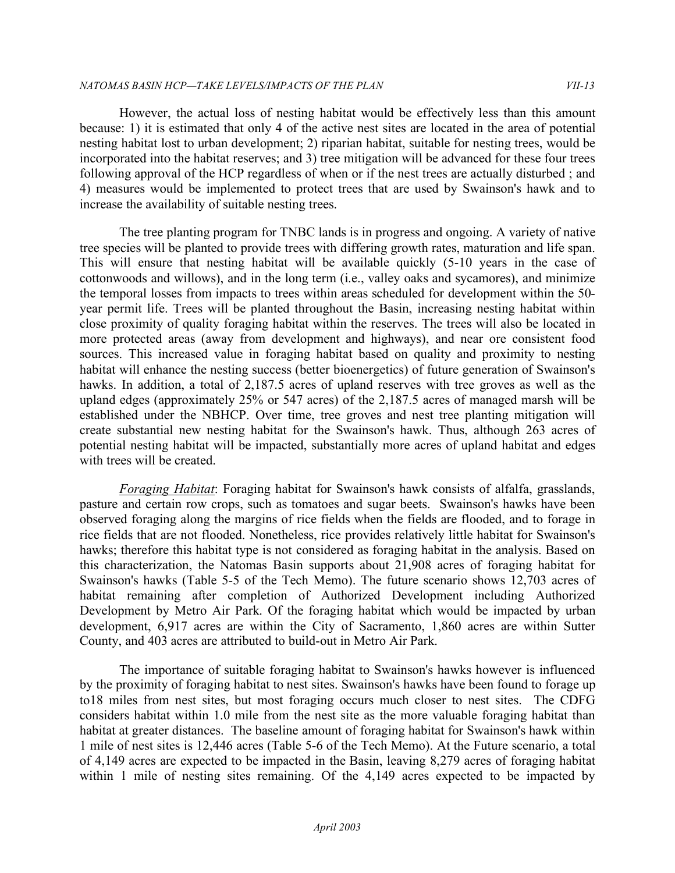However, the actual loss of nesting habitat would be effectively less than this amount because: 1) it is estimated that only 4 of the active nest sites are located in the area of potential nesting habitat lost to urban development; 2) riparian habitat, suitable for nesting trees, would be incorporated into the habitat reserves; and 3) tree mitigation will be advanced for these four trees following approval of the HCP regardless of when or if the nest trees are actually disturbed ; and 4) measures would be implemented to protect trees that are used by Swainson's hawk and to increase the availability of suitable nesting trees.

 The tree planting program for TNBC lands is in progress and ongoing. A variety of native tree species will be planted to provide trees with differing growth rates, maturation and life span. This will ensure that nesting habitat will be available quickly (5-10 years in the case of cottonwoods and willows), and in the long term (i.e., valley oaks and sycamores), and minimize the temporal losses from impacts to trees within areas scheduled for development within the 50- year permit life. Trees will be planted throughout the Basin, increasing nesting habitat within close proximity of quality foraging habitat within the reserves. The trees will also be located in more protected areas (away from development and highways), and near ore consistent food sources. This increased value in foraging habitat based on quality and proximity to nesting habitat will enhance the nesting success (better bioenergetics) of future generation of Swainson's hawks. In addition, a total of 2,187.5 acres of upland reserves with tree groves as well as the upland edges (approximately 25% or 547 acres) of the 2,187.5 acres of managed marsh will be established under the NBHCP. Over time, tree groves and nest tree planting mitigation will create substantial new nesting habitat for the Swainson's hawk. Thus, although 263 acres of potential nesting habitat will be impacted, substantially more acres of upland habitat and edges with trees will be created.

 *Foraging Habitat*: Foraging habitat for Swainson's hawk consists of alfalfa, grasslands, pasture and certain row crops, such as tomatoes and sugar beets. Swainson's hawks have been observed foraging along the margins of rice fields when the fields are flooded, and to forage in rice fields that are not flooded. Nonetheless, rice provides relatively little habitat for Swainson's hawks; therefore this habitat type is not considered as foraging habitat in the analysis. Based on this characterization, the Natomas Basin supports about 21,908 acres of foraging habitat for Swainson's hawks (Table 5-5 of the Tech Memo). The future scenario shows 12,703 acres of Development by Metro Air Park. Of the foraging habitat which would be impacted by urban development, 6,917 acres are within the City of Sacramento, 1,860 acres are within Sutter County, and 403 acres are attributed to build-out in Metro Air Park. habitat remaining after completion of Authorized Development including Authorized

 The importance of suitable foraging habitat to Swainson's hawks however is influenced by the proximity of foraging habitat to nest sites. Swainson's hawks have been found to forage up to18 miles from nest sites, but most foraging occurs much closer to nest sites. The CDFG considers habitat within 1.0 mile from the nest site as the more valuable foraging habitat than habitat at greater distances. The baseline amount of foraging habitat for Swainson's hawk within 1 mile of nest sites is 12,446 acres (Table 5-6 of the Tech Memo). At the Future scenario, a total of 4,149 acres are expected to be impacted in the Basin, leaving 8,279 acres of foraging habitat within 1 mile of nesting sites remaining. Of the 4,149 acres expected to be impacted by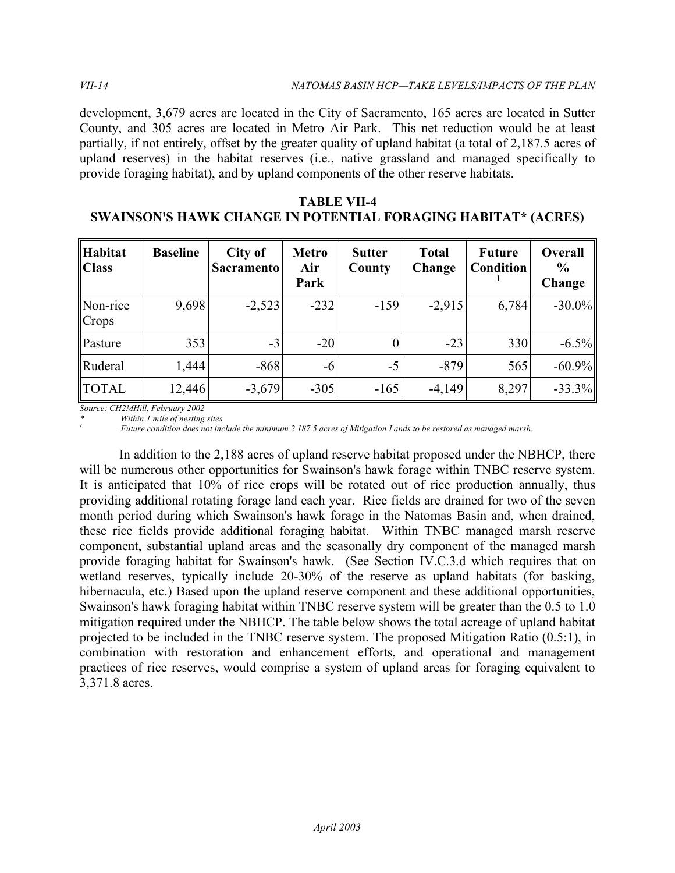development, 3,679 acres are located in the City of Sacramento, 165 acres are located in Sutter County, and 305 acres are located in Metro Air Park. This net reduction would be at least partially, if not entirely, offset by the greater quality of upland habitat (a total of 2,187.5 acres of upland reserves) in the habitat reserves (i.e., native grassland and managed specifically to provide foraging habitat), and by upland components of the other reserve habitats.

| <b>TABLE VII-4</b>                                                   |  |
|----------------------------------------------------------------------|--|
| <b>SWAINSON'S HAWK CHANGE IN POTENTIAL FORAGING HABITAT* (ACRES)</b> |  |

| Habitat<br><b>Class</b> | <b>Baseline</b> | City of<br><b>Sacramento</b> | <b>Metro</b><br>Air<br>Park | <b>Sutter</b><br>County | <b>Total</b><br>Change | <b>Future</b><br><b>Condition</b> | <b>Overall</b><br>$\frac{6}{9}$<br>Change |
|-------------------------|-----------------|------------------------------|-----------------------------|-------------------------|------------------------|-----------------------------------|-------------------------------------------|
| Non-rice<br>Crops       | 9,698           | $-2,523$                     | $-232$                      | $-159$                  | $-2,915$               | 6,784                             | $-30.0\%$                                 |
| Pasture                 | 353             | $-3$                         | $-20$                       |                         | $-23$                  | 330                               | $-6.5%$                                   |
| Ruderal                 | 1,444           | $-868$                       | -6                          | $-5$                    | $-879$                 | 565                               | $-60.9%$                                  |
| <b>TOTAL</b>            | 12,446          | $-3,679$                     | $-305$                      | $-165$                  | $-4,149$               | 8,297                             | $-33.3%$                                  |

 *Source: CH2MHill, February 2002* 

 *\* Within 1 mile of nesting sites 1* 

 *Future condition does not include the minimum 2,187.5 acres of Mitigation Lands to be restored as managed marsh.* 

 In addition to the 2,188 acres of upland reserve habitat proposed under the NBHCP, there will be numerous other opportunities for Swainson's hawk forage within TNBC reserve system. It is anticipated that 10% of rice crops will be rotated out of rice production annually, thus providing additional rotating forage land each year. Rice fields are drained for two of the seven month period during which Swainson's hawk forage in the Natomas Basin and, when drained, these rice fields provide additional foraging habitat. Within TNBC managed marsh reserve component, substantial upland areas and the seasonally dry component of the managed marsh provide foraging habitat for Swainson's hawk. (See Section IV.C.3.d which requires that on wetland reserves, typically include 20-30% of the reserve as upland habitats (for basking, hibernacula, etc.) Based upon the upland reserve component and these additional opportunities, Swainson's hawk foraging habitat within TNBC reserve system will be greater than the 0.5 to 1.0 mitigation required under the NBHCP. The table below shows the total acreage of upland habitat projected to be included in the TNBC reserve system. The proposed Mitigation Ratio (0.5:1), in combination with restoration and enhancement efforts, and operational and management practices of rice reserves, would comprise a system of upland areas for foraging equivalent to 3,371.8 acres.

*VII-14*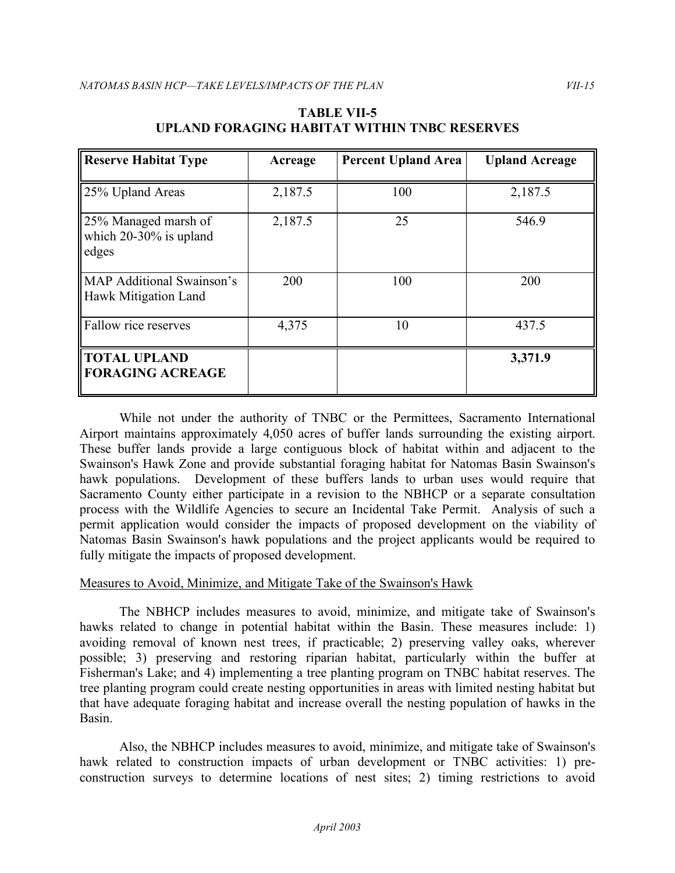| <b>Reserve Habitat Type</b>                                | Acreage | <b>Percent Upland Area</b> | <b>Upland Acreage</b> |
|------------------------------------------------------------|---------|----------------------------|-----------------------|
| 25% Upland Areas                                           | 2,187.5 | 100                        | 2,187.5               |
| 25% Managed marsh of<br>which $20-30\%$ is upland<br>edges | 2,187.5 | 25                         | 546.9                 |
| <b>MAP Additional Swainson's</b><br>Hawk Mitigation Land   | 200     | 100                        | 200                   |
| Fallow rice reserves                                       | 4,375   | 10                         | 437.5                 |
| <b>TOTAL UPLAND</b><br><b>FORAGING ACREAGE</b>             |         |                            | 3,371.9               |

# **UPLAND FORAGING HABITAT WITHIN TNBC RESERVES TABLE VII-5**

 While not under the authority of TNBC or the Permittees, Sacramento International Airport maintains approximately 4,050 acres of buffer lands surrounding the existing airport. These buffer lands provide a large contiguous block of habitat within and adjacent to the Swainson's Hawk Zone and provide substantial foraging habitat for Natomas Basin Swainson's hawk populations. Development of these buffers lands to urban uses would require that Sacramento County either participate in a revision to the NBHCP or a separate consultation process with the Wildlife Agencies to secure an Incidental Take Permit. Analysis of such a permit application would consider the impacts of proposed development on the viability of Natomas Basin Swainson's hawk populations and the project applicants would be required to fully mitigate the impacts of proposed development.

#### Measures to Avoid, Minimize, and Mitigate Take of the Swainson's Hawk

 The NBHCP includes measures to avoid, minimize, and mitigate take of Swainson's hawks related to change in potential habitat within the Basin. These measures include: 1) avoiding removal of known nest trees, if practicable; 2) preserving valley oaks, wherever possible; 3) preserving and restoring riparian habitat, particularly within the buffer at Fisherman's Lake; and 4) implementing a tree planting program on TNBC habitat reserves. The tree planting program could create nesting opportunities in areas with limited nesting habitat but that have adequate foraging habitat and increase overall the nesting population of hawks in the Basin.

 Also, the NBHCP includes measures to avoid, minimize, and mitigate take of Swainson's hawk related to construction impacts of urban development or TNBC activities: 1) pre-construction surveys to determine locations of nest sites; 2) timing restrictions to avoid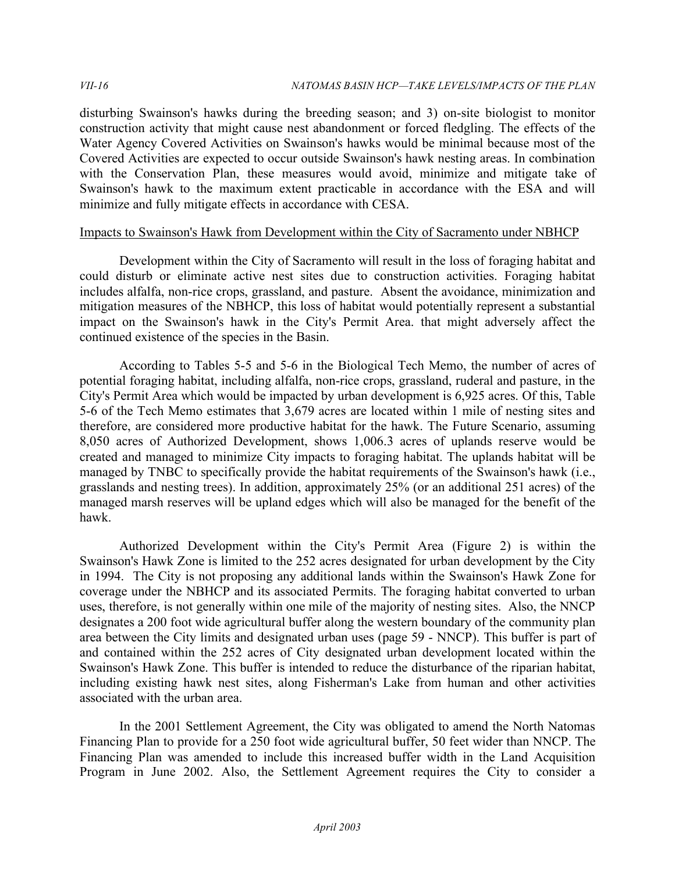disturbing Swainson's hawks during the breeding season; and 3) on-site biologist to monitor construction activity that might cause nest abandonment or forced fledgling. The effects of the Water Agency Covered Activities on Swainson's hawks would be minimal because most of the Covered Activities are expected to occur outside Swainson's hawk nesting areas. In combination with the Conservation Plan, these measures would avoid, minimize and mitigate take of Swainson's hawk to the maximum extent practicable in accordance with the ESA and will minimize and fully mitigate effects in accordance with CESA.

# Impacts to Swainson's Hawk from Development within the City of Sacramento under NBHCP

 Development within the City of Sacramento will result in the loss of foraging habitat and could disturb or eliminate active nest sites due to construction activities. Foraging habitat includes alfalfa, non-rice crops, grassland, and pasture. Absent the avoidance, minimization and mitigation measures of the NBHCP, this loss of habitat would potentially represent a substantial impact on the Swainson's hawk in the City's Permit Area. that might adversely affect the continued existence of the species in the Basin.

 According to Tables 5-5 and 5-6 in the Biological Tech Memo, the number of acres of potential foraging habitat, including alfalfa, non-rice crops, grassland, ruderal and pasture, in the City's Permit Area which would be impacted by urban development is 6,925 acres. Of this, Table 5-6 of the Tech Memo estimates that 3,679 acres are located within 1 mile of nesting sites and therefore, are considered more productive habitat for the hawk. The Future Scenario, assuming 8,050 acres of Authorized Development, shows 1,006.3 acres of uplands reserve would be created and managed to minimize City impacts to foraging habitat. The uplands habitat will be managed by TNBC to specifically provide the habitat requirements of the Swainson's hawk (i.e., grasslands and nesting trees). In addition, approximately 25% (or an additional 251 acres) of the managed marsh reserves will be upland edges which will also be managed for the benefit of the hawk.

 Authorized Development within the City's Permit Area (Figure 2) is within the Swainson's Hawk Zone is limited to the 252 acres designated for urban development by the City in 1994. The City is not proposing any additional lands within the Swainson's Hawk Zone for coverage under the NBHCP and its associated Permits. The foraging habitat converted to urban uses, therefore, is not generally within one mile of the majority of nesting sites. Also, the NNCP designates a 200 foot wide agricultural buffer along the western boundary of the community plan area between the City limits and designated urban uses (page 59 - NNCP). This buffer is part of and contained within the 252 acres of City designated urban development located within the Swainson's Hawk Zone. This buffer is intended to reduce the disturbance of the riparian habitat, including existing hawk nest sites, along Fisherman's Lake from human and other activities associated with the urban area.

 In the 2001 Settlement Agreement, the City was obligated to amend the North Natomas Financing Plan to provide for a 250 foot wide agricultural buffer, 50 feet wider than NNCP. The Financing Plan was amended to include this increased buffer width in the Land Acquisition Program in June 2002. Also, the Settlement Agreement requires the City to consider a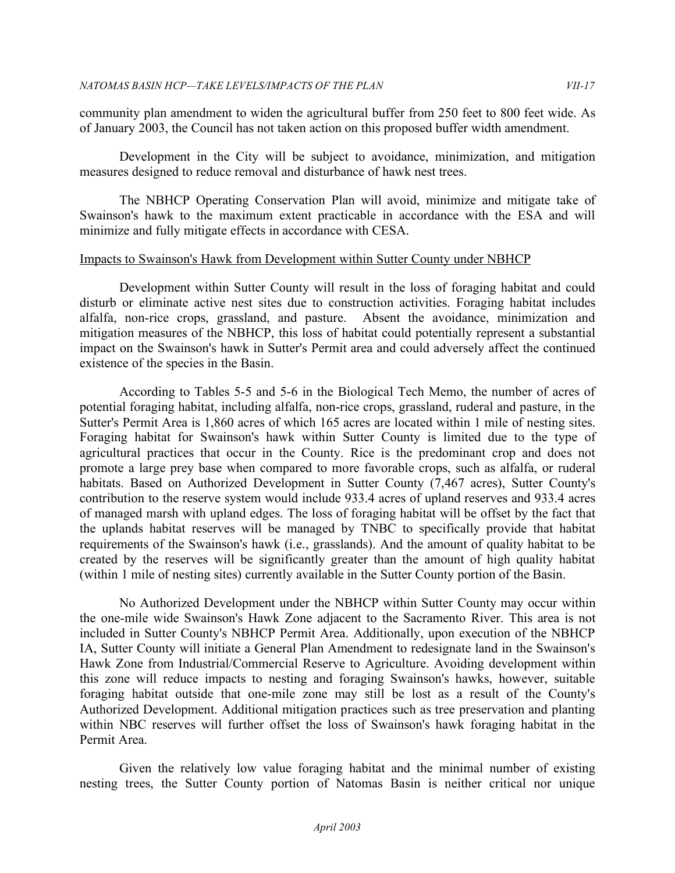community plan amendment to widen the agricultural buffer from 250 feet to 800 feet wide. As of January 2003, the Council has not taken action on this proposed buffer width amendment.

 Development in the City will be subject to avoidance, minimization, and mitigation measures designed to reduce removal and disturbance of hawk nest trees.

 The NBHCP Operating Conservation Plan will avoid, minimize and mitigate take of Swainson's hawk to the maximum extent practicable in accordance with the ESA and will minimize and fully mitigate effects in accordance with CESA.

#### Impacts to Swainson's Hawk from Development within Sutter County under NBHCP

 Development within Sutter County will result in the loss of foraging habitat and could disturb or eliminate active nest sites due to construction activities. Foraging habitat includes alfalfa, non-rice crops, grassland, and pasture. Absent the avoidance, minimization and mitigation measures of the NBHCP, this loss of habitat could potentially represent a substantial impact on the Swainson's hawk in Sutter's Permit area and could adversely affect the continued existence of the species in the Basin.

 According to Tables 5-5 and 5-6 in the Biological Tech Memo, the number of acres of potential foraging habitat, including alfalfa, non-rice crops, grassland, ruderal and pasture, in the Sutter's Permit Area is 1,860 acres of which 165 acres are located within 1 mile of nesting sites. Foraging habitat for Swainson's hawk within Sutter County is limited due to the type of agricultural practices that occur in the County. Rice is the predominant crop and does not promote a large prey base when compared to more favorable crops, such as alfalfa, or ruderal habitats. Based on Authorized Development in Sutter County (7,467 acres), Sutter County's contribution to the reserve system would include 933.4 acres of upland reserves and 933.4 acres of managed marsh with upland edges. The loss of foraging habitat will be offset by the fact that the uplands habitat reserves will be managed by TNBC to specifically provide that habitat requirements of the Swainson's hawk (i.e., grasslands). And the amount of quality habitat to be created by the reserves will be significantly greater than the amount of high quality habitat (within 1 mile of nesting sites) currently available in the Sutter County portion of the Basin.

 No Authorized Development under the NBHCP within Sutter County may occur within the one-mile wide Swainson's Hawk Zone adjacent to the Sacramento River. This area is not included in Sutter County's NBHCP Permit Area. Additionally, upon execution of the NBHCP IA, Sutter County will initiate a General Plan Amendment to redesignate land in the Swainson's Hawk Zone from Industrial/Commercial Reserve to Agriculture. Avoiding development within this zone will reduce impacts to nesting and foraging Swainson's hawks, however, suitable foraging habitat outside that one-mile zone may still be lost as a result of the County's Authorized Development. Additional mitigation practices such as tree preservation and planting within NBC reserves will further offset the loss of Swainson's hawk foraging habitat in the Permit Area.

 Given the relatively low value foraging habitat and the minimal number of existing nesting trees, the Sutter County portion of Natomas Basin is neither critical nor unique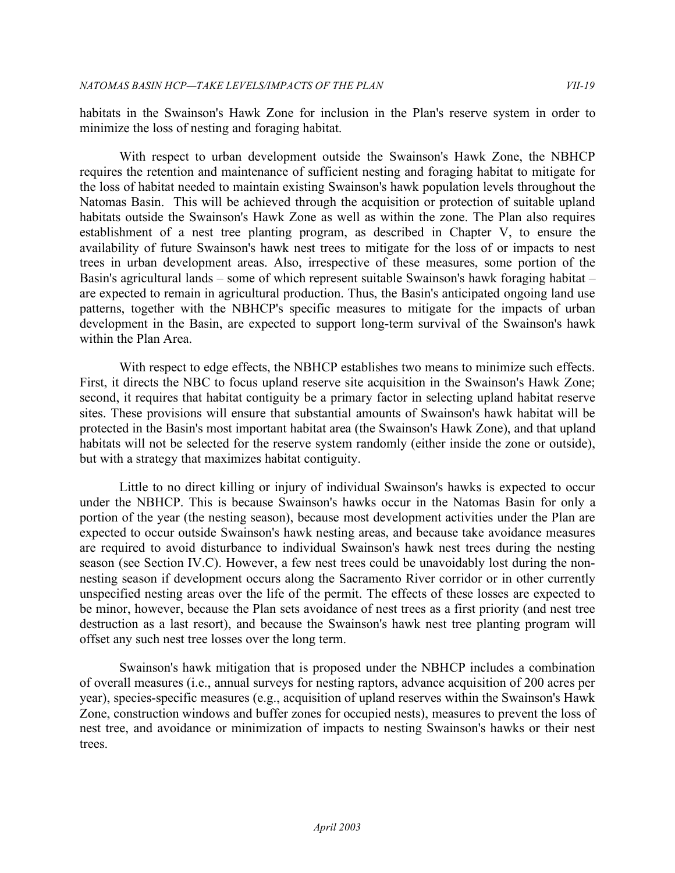habitats in the Swainson's Hawk Zone for inclusion in the Plan's reserve system in order to minimize the loss of nesting and foraging habitat.

 With respect to urban development outside the Swainson's Hawk Zone, the NBHCP requires the retention and maintenance of sufficient nesting and foraging habitat to mitigate for the loss of habitat needed to maintain existing Swainson's hawk population levels throughout the Natomas Basin. This will be achieved through the acquisition or protection of suitable upland habitats outside the Swainson's Hawk Zone as well as within the zone. The Plan also requires establishment of a nest tree planting program, as described in Chapter V, to ensure the availability of future Swainson's hawk nest trees to mitigate for the loss of or impacts to nest trees in urban development areas. Also, irrespective of these measures, some portion of the Basin's agricultural lands – some of which represent suitable Swainson's hawk foraging habitat – are expected to remain in agricultural production. Thus, the Basin's anticipated ongoing land use patterns, together with the NBHCP's specific measures to mitigate for the impacts of urban development in the Basin, are expected to support long-term survival of the Swainson's hawk within the Plan Area.

 With respect to edge effects, the NBHCP establishes two means to minimize such effects. First, it directs the NBC to focus upland reserve site acquisition in the Swainson's Hawk Zone; second, it requires that habitat contiguity be a primary factor in selecting upland habitat reserve sites. These provisions will ensure that substantial amounts of Swainson's hawk habitat will be protected in the Basin's most important habitat area (the Swainson's Hawk Zone), and that upland habitats will not be selected for the reserve system randomly (either inside the zone or outside), but with a strategy that maximizes habitat contiguity.

 Little to no direct killing or injury of individual Swainson's hawks is expected to occur under the NBHCP. This is because Swainson's hawks occur in the Natomas Basin for only a portion of the year (the nesting season), because most development activities under the Plan are expected to occur outside Swainson's hawk nesting areas, and because take avoidance measures are required to avoid disturbance to individual Swainson's hawk nest trees during the nesting season (see Section IV.C). However, a few nest trees could be unavoidably lost during the non- nesting season if development occurs along the Sacramento River corridor or in other currently unspecified nesting areas over the life of the permit. The effects of these losses are expected to be minor, however, because the Plan sets avoidance of nest trees as a first priority (and nest tree destruction as a last resort), and because the Swainson's hawk nest tree planting program will offset any such nest tree losses over the long term.

 Swainson's hawk mitigation that is proposed under the NBHCP includes a combination of overall measures (i.e., annual surveys for nesting raptors, advance acquisition of 200 acres per year), species-specific measures (e.g., acquisition of upland reserves within the Swainson's Hawk Zone, construction windows and buffer zones for occupied nests), measures to prevent the loss of nest tree, and avoidance or minimization of impacts to nesting Swainson's hawks or their nest trees.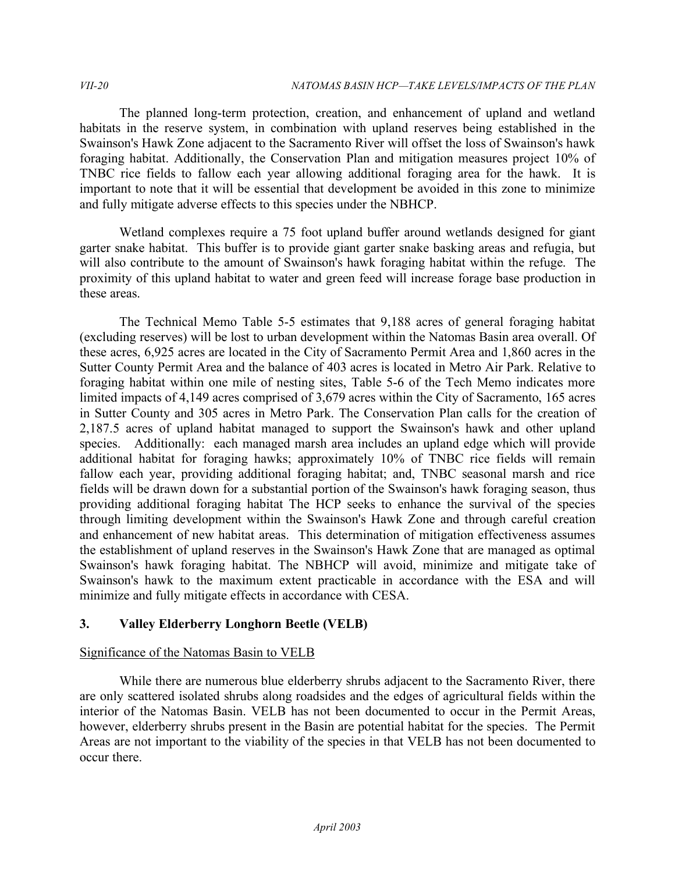The planned long-term protection, creation, and enhancement of upland and wetland habitats in the reserve system, in combination with upland reserves being established in the Swainson's Hawk Zone adjacent to the Sacramento River will offset the loss of Swainson's hawk foraging habitat. Additionally, the Conservation Plan and mitigation measures project 10% of TNBC rice fields to fallow each year allowing additional foraging area for the hawk. It is important to note that it will be essential that development be avoided in this zone to minimize and fully mitigate adverse effects to this species under the NBHCP.

 Wetland complexes require a 75 foot upland buffer around wetlands designed for giant garter snake habitat. This buffer is to provide giant garter snake basking areas and refugia, but will also contribute to the amount of Swainson's hawk foraging habitat within the refuge. The proximity of this upland habitat to water and green feed will increase forage base production in these areas.

 The Technical Memo Table 5-5 estimates that 9,188 acres of general foraging habitat (excluding reserves) will be lost to urban development within the Natomas Basin area overall. Of these acres, 6,925 acres are located in the City of Sacramento Permit Area and 1,860 acres in the Sutter County Permit Area and the balance of 403 acres is located in Metro Air Park. Relative to foraging habitat within one mile of nesting sites, Table 5-6 of the Tech Memo indicates more limited impacts of 4,149 acres comprised of 3,679 acres within the City of Sacramento, 165 acres in Sutter County and 305 acres in Metro Park. The Conservation Plan calls for the creation of 2,187.5 acres of upland habitat managed to support the Swainson's hawk and other upland species. Additionally: each managed marsh area includes an upland edge which will provide additional habitat for foraging hawks; approximately 10% of TNBC rice fields will remain fallow each year, providing additional foraging habitat; and, TNBC seasonal marsh and rice fields will be drawn down for a substantial portion of the Swainson's hawk foraging season, thus providing additional foraging habitat The HCP seeks to enhance the survival of the species through limiting development within the Swainson's Hawk Zone and through careful creation and enhancement of new habitat areas. This determination of mitigation effectiveness assumes the establishment of upland reserves in the Swainson's Hawk Zone that are managed as optimal Swainson's hawk foraging habitat. The NBHCP will avoid, minimize and mitigate take of Swainson's hawk to the maximum extent practicable in accordance with the ESA and will minimize and fully mitigate effects in accordance with CESA.

# **3. Valley Elderberry Longhorn Beetle (VELB)**

# Significance of the Natomas Basin to VELB

 While there are numerous blue elderberry shrubs adjacent to the Sacramento River, there are only scattered isolated shrubs along roadsides and the edges of agricultural fields within the interior of the Natomas Basin. VELB has not been documented to occur in the Permit Areas, however, elderberry shrubs present in the Basin are potential habitat for the species. The Permit Areas are not important to the viability of the species in that VELB has not been documented to occur there.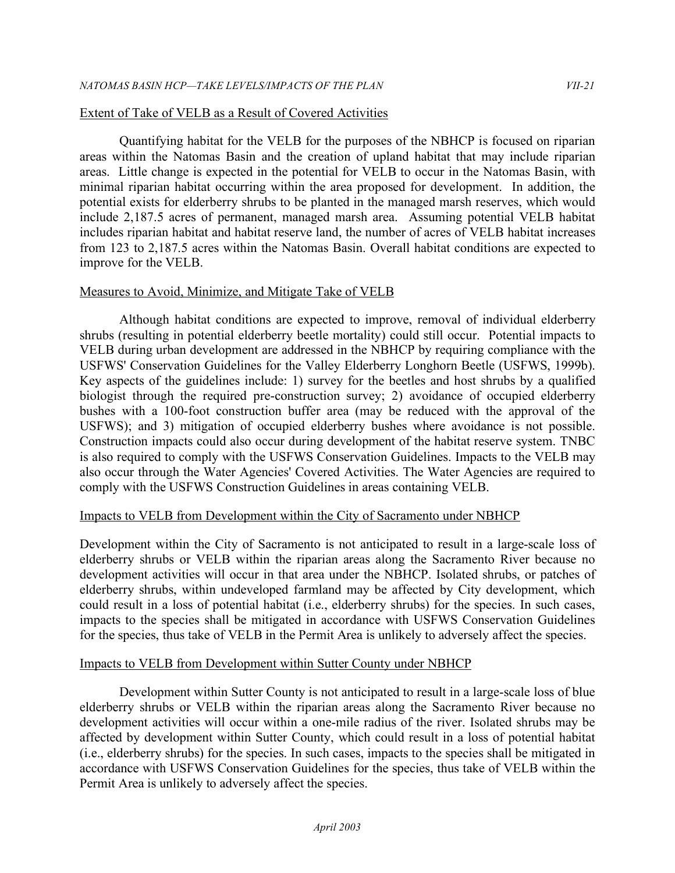#### Extent of Take of VELB as a Result of Covered Activities

 Quantifying habitat for the VELB for the purposes of the NBHCP is focused on riparian areas within the Natomas Basin and the creation of upland habitat that may include riparian areas. Little change is expected in the potential for VELB to occur in the Natomas Basin, with minimal riparian habitat occurring within the area proposed for development. In addition, the potential exists for elderberry shrubs to be planted in the managed marsh reserves, which would include 2,187.5 acres of permanent, managed marsh area. Assuming potential VELB habitat includes riparian habitat and habitat reserve land, the number of acres of VELB habitat increases from 123 to 2,187.5 acres within the Natomas Basin. Overall habitat conditions are expected to improve for the VELB.

#### Measures to Avoid, Minimize, and Mitigate Take of VELB

 Although habitat conditions are expected to improve, removal of individual elderberry shrubs (resulting in potential elderberry beetle mortality) could still occur. Potential impacts to VELB during urban development are addressed in the NBHCP by requiring compliance with the USFWS' Conservation Guidelines for the Valley Elderberry Longhorn Beetle (USFWS, 1999b). Key aspects of the guidelines include: 1) survey for the beetles and host shrubs by a qualified biologist through the required pre-construction survey; 2) avoidance of occupied elderberry bushes with a 100-foot construction buffer area (may be reduced with the approval of the USFWS); and 3) mitigation of occupied elderberry bushes where avoidance is not possible. Construction impacts could also occur during development of the habitat reserve system. TNBC is also required to comply with the USFWS Conservation Guidelines. Impacts to the VELB may also occur through the Water Agencies' Covered Activities. The Water Agencies are required to comply with the USFWS Construction Guidelines in areas containing VELB.

#### Impacts to VELB from Development within the City of Sacramento under NBHCP

 Development within the City of Sacramento is not anticipated to result in a large-scale loss of elderberry shrubs or VELB within the riparian areas along the Sacramento River because no development activities will occur in that area under the NBHCP. Isolated shrubs, or patches of elderberry shrubs, within undeveloped farmland may be affected by City development, which could result in a loss of potential habitat (i.e., elderberry shrubs) for the species. In such cases, impacts to the species shall be mitigated in accordance with USFWS Conservation Guidelines for the species, thus take of VELB in the Permit Area is unlikely to adversely affect the species.

#### Impacts to VELB from Development within Sutter County under NBHCP

 Development within Sutter County is not anticipated to result in a large-scale loss of blue elderberry shrubs or VELB within the riparian areas along the Sacramento River because no development activities will occur within a one-mile radius of the river. Isolated shrubs may be affected by development within Sutter County, which could result in a loss of potential habitat (i.e., elderberry shrubs) for the species. In such cases, impacts to the species shall be mitigated in accordance with USFWS Conservation Guidelines for the species, thus take of VELB within the Permit Area is unlikely to adversely affect the species.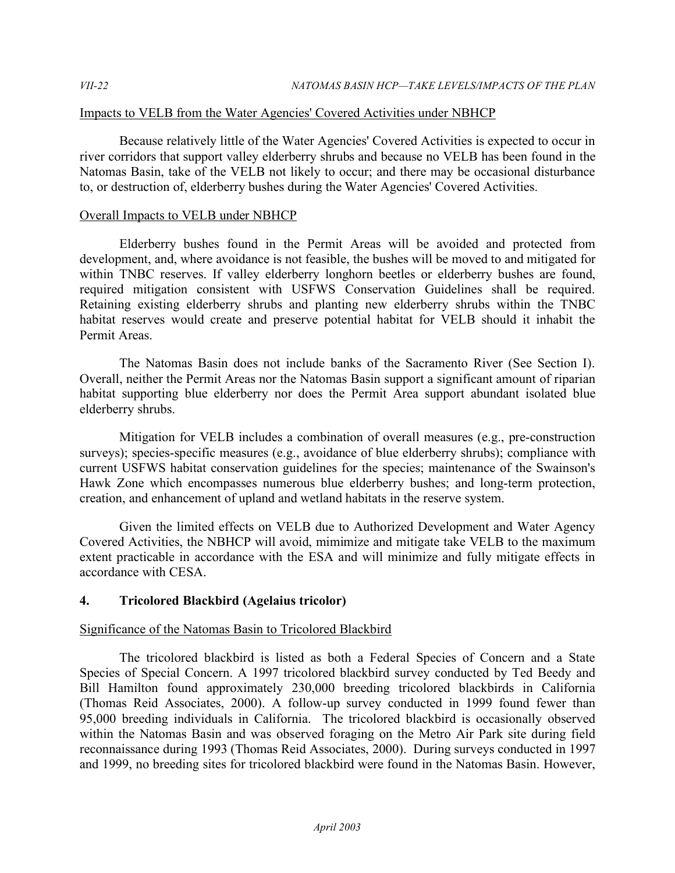# Impacts to VELB from the Water Agencies' Covered Activities under NBHCP

 Because relatively little of the Water Agencies' Covered Activities is expected to occur in river corridors that support valley elderberry shrubs and because no VELB has been found in the Natomas Basin, take of the VELB not likely to occur; and there may be occasional disturbance to, or destruction of, elderberry bushes during the Water Agencies' Covered Activities.

# Overall Impacts to VELB under NBHCP

 Elderberry bushes found in the Permit Areas will be avoided and protected from development, and, where avoidance is not feasible, the bushes will be moved to and mitigated for within TNBC reserves. If valley elderberry longhorn beetles or elderberry bushes are found, required mitigation consistent with USFWS Conservation Guidelines shall be required. Retaining existing elderberry shrubs and planting new elderberry shrubs within the TNBC habitat reserves would create and preserve potential habitat for VELB should it inhabit the Permit Areas.

 The Natomas Basin does not include banks of the Sacramento River (See Section I). Overall, neither the Permit Areas nor the Natomas Basin support a significant amount of riparian habitat supporting blue elderberry nor does the Permit Area support abundant isolated blue elderberry shrubs.

 Mitigation for VELB includes a combination of overall measures (e.g., pre-construction surveys); species-specific measures (e.g., avoidance of blue elderberry shrubs); compliance with current USFWS habitat conservation guidelines for the species; maintenance of the Swainson's Hawk Zone which encompasses numerous blue elderberry bushes; and long-term protection, creation, and enhancement of upland and wetland habitats in the reserve system.

 Given the limited effects on VELB due to Authorized Development and Water Agency Covered Activities, the NBHCP will avoid, mimimize and mitigate take VELB to the maximum extent practicable in accordance with the ESA and will minimize and fully mitigate effects in accordance with CESA.

# **4. Tricolored Blackbird (Agelaius tricolor)**

# Significance of the Natomas Basin to Tricolored Blackbird

 The tricolored blackbird is listed as both a Federal Species of Concern and a State Species of Special Concern. A 1997 tricolored blackbird survey conducted by Ted Beedy and (Thomas Reid Associates, 2000). A follow-up survey conducted in 1999 found fewer than 95,000 breeding individuals in California. The tricolored blackbird is occasionally observed within the Natomas Basin and was observed foraging on the Metro Air Park site during field reconnaissance during 1993 (Thomas Reid Associates, 2000). During surveys conducted in 1997 and 1999, no breeding sites for tricolored blackbird were found in the Natomas Basin. However, Bill Hamilton found approximately 230,000 breeding tricolored blackbirds in California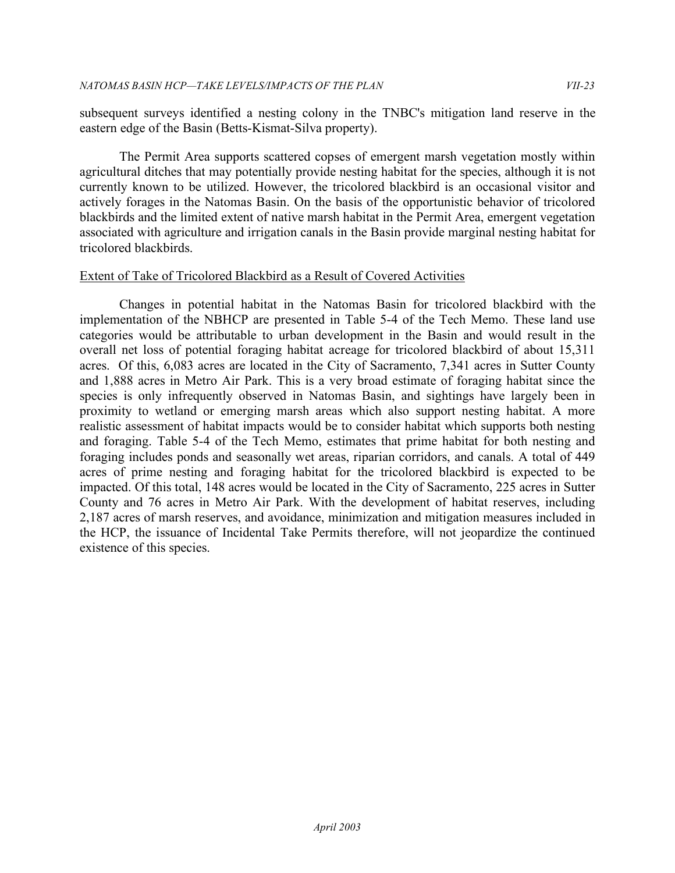subsequent surveys identified a nesting colony in the TNBC's mitigation land reserve in the eastern edge of the Basin (Betts-Kismat-Silva property).

 The Permit Area supports scattered copses of emergent marsh vegetation mostly within agricultural ditches that may potentially provide nesting habitat for the species, although it is not currently known to be utilized. However, the tricolored blackbird is an occasional visitor and actively forages in the Natomas Basin. On the basis of the opportunistic behavior of tricolored blackbirds and the limited extent of native marsh habitat in the Permit Area, emergent vegetation associated with agriculture and irrigation canals in the Basin provide marginal nesting habitat for tricolored blackbirds

# tricolored blackbirds.<br><u>Extent of Take of Tricolored Blackbird as a Result of Covered Activities</u>

 Changes in potential habitat in the Natomas Basin for tricolored blackbird with the implementation of the NBHCP are presented in Table 5-4 of the Tech Memo. These land use categories would be attributable to urban development in the Basin and would result in the overall net loss of potential foraging habitat acreage for tricolored blackbird of about 15,311 acres. Of this, 6,083 acres are located in the City of Sacramento, 7,341 acres in Sutter County and 1,888 acres in Metro Air Park. This is a very broad estimate of foraging habitat since the species is only infrequently observed in Natomas Basin, and sightings have largely been in proximity to wetland or emerging marsh areas which also support nesting habitat. A more realistic assessment of habitat impacts would be to consider habitat which supports both nesting and foraging. Table 5-4 of the Tech Memo, estimates that prime habitat for both nesting and foraging includes ponds and seasonally wet areas, riparian corridors, and canals. A total of 449 acres of prime nesting and foraging habitat for the tricolored blackbird is expected to be impacted. Of this total, 148 acres would be located in the City of Sacramento, 225 acres in Sutter County and 76 acres in Metro Air Park. With the development of habitat reserves, including 2,187 acres of marsh reserves, and avoidance, minimization and mitigation measures included in the HCP, the issuance of Incidental Take Permits therefore, will not jeopardize the continued existence of this species.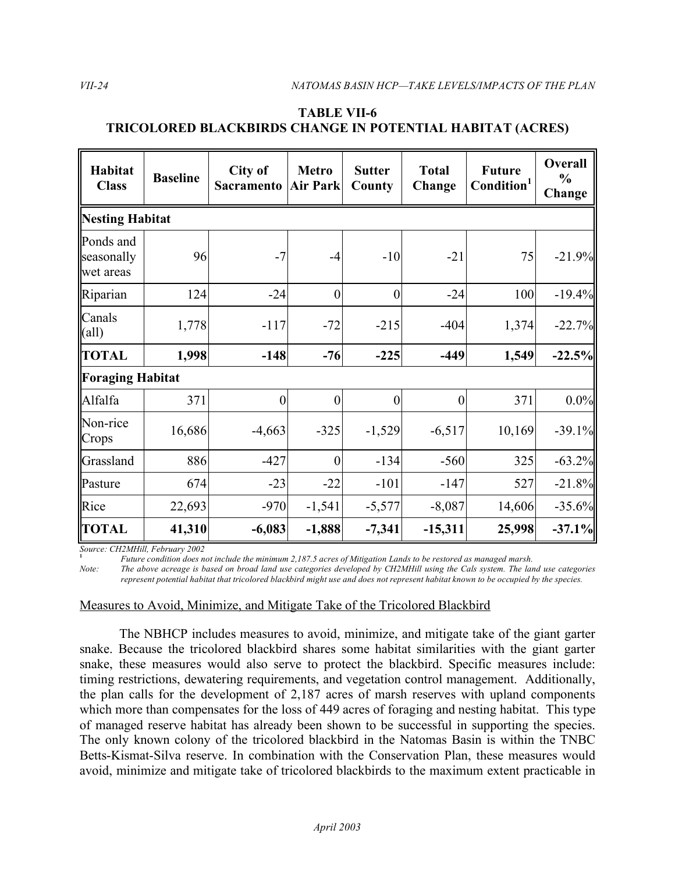# **TRICOLORED BLACKBIRDS CHANGE IN POTENTIAL HABITAT (ACRES) TABLE VII-6**

| Habitat<br><b>Class</b>              | <b>Baseline</b> | City of<br>Sacramento | <b>Metro</b><br><b>Air Park</b> | <b>Sutter</b><br>County | <b>Total</b><br>Change | <b>Future</b><br>Condition <sup>1</sup> | Overall<br>$\frac{0}{0}$<br>Change |  |  |  |
|--------------------------------------|-----------------|-----------------------|---------------------------------|-------------------------|------------------------|-----------------------------------------|------------------------------------|--|--|--|
| Nesting Habitat                      |                 |                       |                                 |                         |                        |                                         |                                    |  |  |  |
| Ponds and<br>seasonally<br>wet areas | 96              | $-7$                  | $-4$                            | $-10$                   | $-21$                  | 75                                      | $-21.9%$                           |  |  |  |
| Riparian                             | 124             | $-24$                 | $\boldsymbol{0}$                | $\vert 0 \vert$         | $-24$                  | 100                                     | $-19.4%$                           |  |  |  |
| Canals<br>$\text{(all)}$             | 1,778           | $-117$                | $-72$                           | $-215$                  | $-404$                 | 1,374                                   | $-22.7%$                           |  |  |  |
| <b>TOTAL</b>                         | 1,998           | $-148$                | $-76$                           | $-225$                  | $-449$                 | 1,549                                   | $-22.5%$                           |  |  |  |
| Foraging Habitat                     |                 |                       |                                 |                         |                        |                                         |                                    |  |  |  |
| Alfalfa                              | 371             | $\boldsymbol{0}$      | $\boldsymbol{0}$                | $\mathbf{0}$            | $\boldsymbol{0}$       | 371                                     | 0.0%                               |  |  |  |
| Non-rice<br>Crops                    | 16,686          | $-4,663$              | $-325$                          | $-1,529$                | $-6,517$               | 10,169                                  | $-39.1%$                           |  |  |  |
| Grassland                            | 886             | $-427$                | $\overline{0}$                  | $-134$                  | $-560$                 | 325                                     | $-63.2%$                           |  |  |  |
| Pasture                              | 674             | $-23$                 | $-22$                           | $-101$                  | $-147$                 | 527                                     | $-21.8%$                           |  |  |  |
| Rice                                 | 22,693          | $-970$                | $-1,541$                        | $-5,577$                | $-8,087$               | 14,606                                  | $-35.6%$                           |  |  |  |
| <b>TOTAL</b>                         | 41,310          | $-6,083$              | $-1,888$                        | $-7,341$                | $-15,311$              | 25,998                                  | $-37.1%$                           |  |  |  |

*Source: CH2MHill, February 2002*

<sup>1</sup> *Future condition does not include the minimum 2,187.5 acres of Mitigation Lands to be restored as managed marsh.* 

*Note: The above acreage is based on broad land use categories developed by CH2MHill using the Cals system. The land use categories represent potential habitat that tricolored blackbird might use and does not represent habitat known to be occupied by the species.* 

# Measures to Avoid, Minimize, and Mitigate Take of the Tricolored Blackbird

 The NBHCP includes measures to avoid, minimize, and mitigate take of the giant garter snake. Because the tricolored blackbird shares some habitat similarities with the giant garter snake, these measures would also serve to protect the blackbird. Specific measures include: timing restrictions, dewatering requirements, and vegetation control management. Additionally, the plan calls for the development of 2,187 acres of marsh reserves with upland components which more than compensates for the loss of 449 acres of foraging and nesting habitat. This type of managed reserve habitat has already been shown to be successful in supporting the species. The only known colony of the tricolored blackbird in the Natomas Basin is within the TNBC Betts-Kismat-Silva reserve. In combination with the Conservation Plan, these measures would avoid, minimize and mitigate take of tricolored blackbirds to the maximum extent practicable in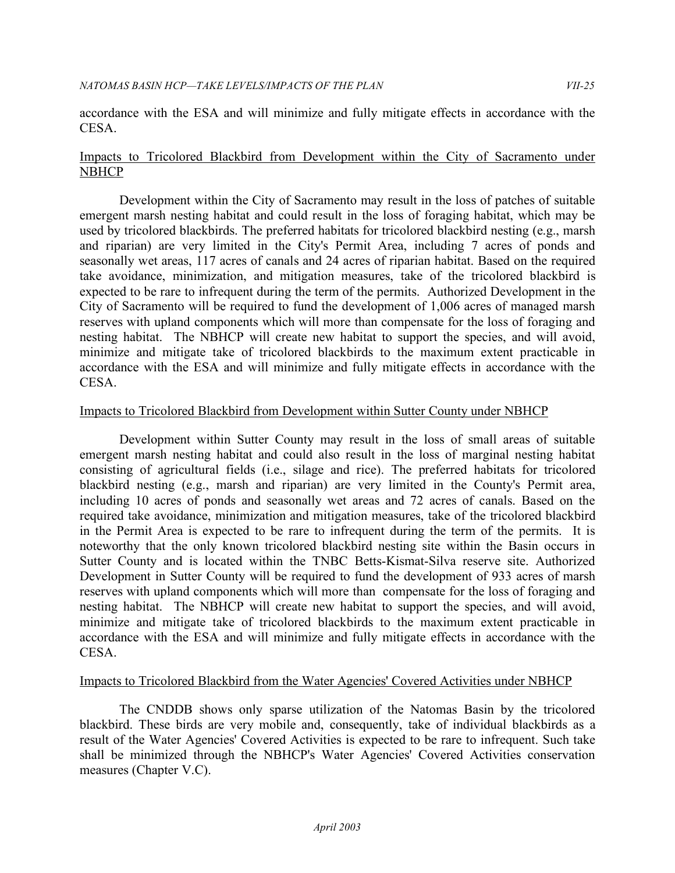accordance with the ESA and will minimize and fully mitigate effects in accordance with the CESA.

#### Impacts to Tricolored Blackbird from Development within the City of Sacramento under **NBHCP**

 Development within the City of Sacramento may result in the loss of patches of suitable emergent marsh nesting habitat and could result in the loss of foraging habitat, which may be used by tricolored blackbirds. The preferred habitats for tricolored blackbird nesting (e.g., marsh and riparian) are very limited in the City's Permit Area, including 7 acres of ponds and seasonally wet areas, 117 acres of canals and 24 acres of riparian habitat. Based on the required take avoidance, minimization, and mitigation measures, take of the tricolored blackbird is expected to be rare to infrequent during the term of the permits. Authorized Development in the City of Sacramento will be required to fund the development of 1,006 acres of managed marsh reserves with upland components which will more than compensate for the loss of foraging and nesting habitat. The NBHCP will create new habitat to support the species, and will avoid, minimize and mitigate take of tricolored blackbirds to the maximum extent practicable in accordance with the ESA and will minimize and fully mitigate effects in accordance with the CESA.

# Impacts to Tricolored Blackbird from Development within Sutter County under NBHCP

 Development within Sutter County may result in the loss of small areas of suitable emergent marsh nesting habitat and could also result in the loss of marginal nesting habitat consisting of agricultural fields (i.e., silage and rice). The preferred habitats for tricolored blackbird nesting (e.g., marsh and riparian) are very limited in the County's Permit area, including 10 acres of ponds and seasonally wet areas and 72 acres of canals. Based on the required take avoidance, minimization and mitigation measures, take of the tricolored blackbird in the Permit Area is expected to be rare to infrequent during the term of the permits. It is noteworthy that the only known tricolored blackbird nesting site within the Basin occurs in Sutter County and is located within the TNBC Betts-Kismat-Silva reserve site. Authorized Development in Sutter County will be required to fund the development of 933 acres of marsh reserves with upland components which will more than compensate for the loss of foraging and nesting habitat. The NBHCP will create new habitat to support the species, and will avoid, minimize and mitigate take of tricolored blackbirds to the maximum extent practicable in accordance with the ESA and will minimize and fully mitigate effects in accordance with the CESA.

#### Impacts to Tricolored Blackbird from the Water Agencies' Covered Activities under NBHCP

 The CNDDB shows only sparse utilization of the Natomas Basin by the tricolored blackbird. These birds are very mobile and, consequently, take of individual blackbirds as a result of the Water Agencies' Covered Activities is expected to be rare to infrequent. Such take shall be minimized through the NBHCP's Water Agencies' Covered Activities conservation measures (Chapter V.C).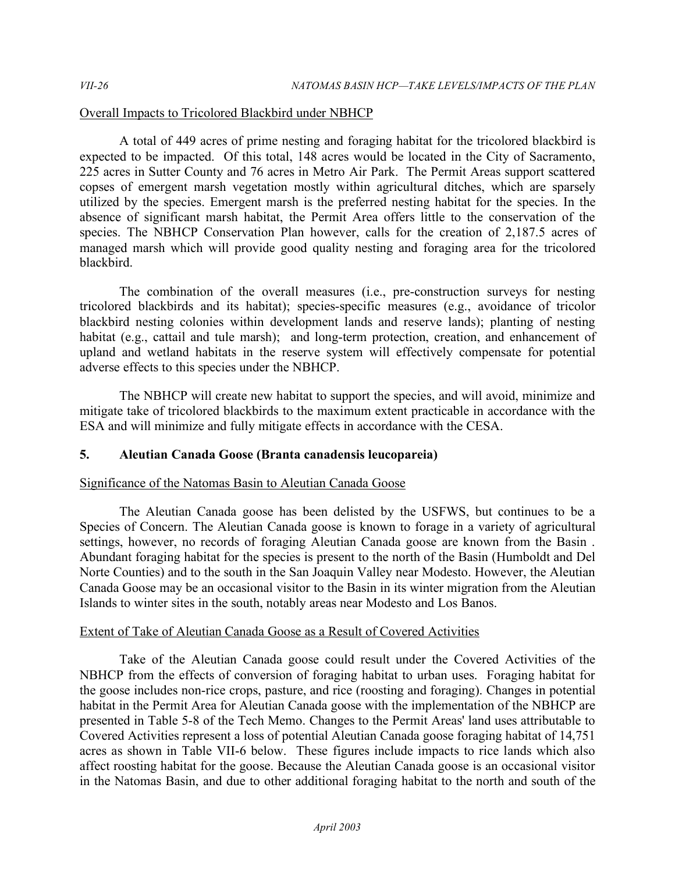# Overall Impacts to Tricolored Blackbird under NBHCP

 A total of 449 acres of prime nesting and foraging habitat for the tricolored blackbird is expected to be impacted. Of this total, 148 acres would be located in the City of Sacramento, 225 acres in Sutter County and 76 acres in Metro Air Park. The Permit Areas support scattered copses of emergent marsh vegetation mostly within agricultural ditches, which are sparsely utilized by the species. Emergent marsh is the preferred nesting habitat for the species. In the absence of significant marsh habitat, the Permit Area offers little to the conservation of the species. The NBHCP Conservation Plan however, calls for the creation of 2,187.5 acres of managed marsh which will provide good quality nesting and foraging area for the tricolored blackbird.

 The combination of the overall measures (i.e., pre-construction surveys for nesting tricolored blackbirds and its habitat); species-specific measures (e.g., avoidance of tricolor blackbird nesting colonies within development lands and reserve lands); planting of nesting habitat (e.g., cattail and tule marsh); and long-term protection, creation, and enhancement of upland and wetland habitats in the reserve system will effectively compensate for potential adverse effects to this species under the NBHCP.

 The NBHCP will create new habitat to support the species, and will avoid, minimize and mitigate take of tricolored blackbirds to the maximum extent practicable in accordance with the ESA and will minimize and fully mitigate effects in accordance with the CESA.

#### **5. Aleutian Canada Goose (Branta canadensis leucopareia)**

#### Significance of the Natomas Basin to Aleutian Canada Goose

 The Aleutian Canada goose has been delisted by the USFWS, but continues to be a Species of Concern. The Aleutian Canada goose is known to forage in a variety of agricultural settings, however, no records of foraging Aleutian Canada goose are known from the Basin . Abundant foraging habitat for the species is present to the north of the Basin (Humboldt and Del Norte Counties) and to the south in the San Joaquin Valley near Modesto. However, the Aleutian Canada Goose may be an occasional visitor to the Basin in its winter migration from the Aleutian Islands to winter sites in the south, notably areas near Modesto and Los Banos.

#### Extent of Take of Aleutian Canada Goose as a Result of Covered Activities

 Take of the Aleutian Canada goose could result under the Covered Activities of the NBHCP from the effects of conversion of foraging habitat to urban uses. Foraging habitat for the goose includes non-rice crops, pasture, and rice (roosting and foraging). Changes in potential habitat in the Permit Area for Aleutian Canada goose with the implementation of the NBHCP are presented in Table 5-8 of the Tech Memo. Changes to the Permit Areas' land uses attributable to Covered Activities represent a loss of potential Aleutian Canada goose foraging habitat of 14,751 acres as shown in Table VII-6 below. These figures include impacts to rice lands which also affect roosting habitat for the goose. Because the Aleutian Canada goose is an occasional visitor in the Natomas Basin, and due to other additional foraging habitat to the north and south of the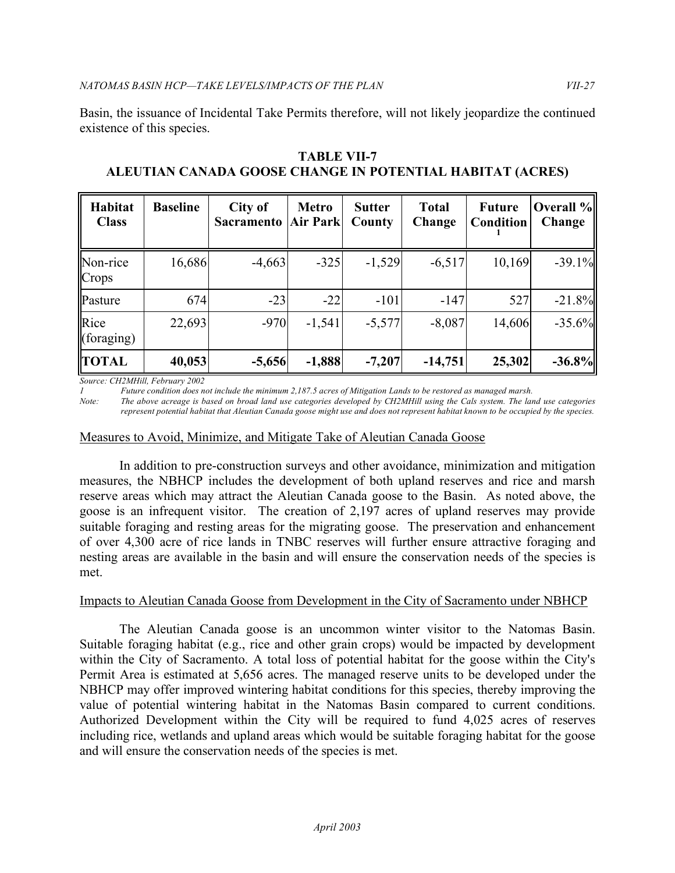Basin, the issuance of Incidental Take Permits therefore, will not likely jeopardize the continued existence of this species.

| Habitat<br><b>Class</b> | <b>Baseline</b> | City of<br><b>Sacramento</b> | <b>Metro</b><br><b>Air Park</b> | <b>Sutter</b><br>County | <b>Total</b><br>Change | <b>Future</b><br>Condition | Overall %<br>Change |
|-------------------------|-----------------|------------------------------|---------------------------------|-------------------------|------------------------|----------------------------|---------------------|
| Non-rice<br>Crops       | 16,686          | $-4,663$                     | $-325$                          | $-1,529$                | $-6,517$               | 10,169                     | $-39.1%$            |
| Pasture                 | 674             | $-23$                        | $-22$                           | $-101$                  | $-147$                 | 527                        | $-21.8%$            |
| Rice<br>(foraging)      | 22,693          | $-970$                       | $-1,541$                        | $-5,577$                | $-8,087$               | 14,606                     | $-35.6%$            |
| <b>TOTAL</b>            | 40,053          | $-5,656$                     | $-1,888$                        | $-7,207$                | $-14,751$              | 25,302                     | $-36.8%$            |

 **ALEUTIAN CANADA GOOSE CHANGE IN POTENTIAL HABITAT (ACRES) TABLE VII-7** 

 *Source: CH2MHill, February 2002* 

*1 Future condition does not include the minimum 2,187.5 acres of Mitigation Lands to be restored as managed marsh.* 

*Note: The above acreage is based on broad land use categories developed by CH2MHill using the Cals system. The land use categories represent potential habitat that Aleutian Canada goose might use and does not represent habitat known to be occupied by the species.* 

# Measures to Avoid, Minimize, and Mitigate Take of Aleutian Canada Goose

 In addition to pre-construction surveys and other avoidance, minimization and mitigation measures, the NBHCP includes the development of both upland reserves and rice and marsh reserve areas which may attract the Aleutian Canada goose to the Basin. As noted above, the goose is an infrequent visitor. The creation of 2,197 acres of upland reserves may provide suitable foraging and resting areas for the migrating goose. The preservation and enhancement of over 4,300 acre of rice lands in TNBC reserves will further ensure attractive foraging and nesting areas are available in the basin and will ensure the conservation needs of the species is met.

# Impacts to Aleutian Canada Goose from Development in the City of Sacramento under NBHCP

 The Aleutian Canada goose is an uncommon winter visitor to the Natomas Basin. Suitable foraging habitat (e.g., rice and other grain crops) would be impacted by development within the City of Sacramento. A total loss of potential habitat for the goose within the City's Permit Area is estimated at 5,656 acres. The managed reserve units to be developed under the NBHCP may offer improved wintering habitat conditions for this species, thereby improving the value of potential wintering habitat in the Natomas Basin compared to current conditions. Authorized Development within the City will be required to fund 4,025 acres of reserves including rice, wetlands and upland areas which would be suitable foraging habitat for the goose and will ensure the conservation needs of the species is met.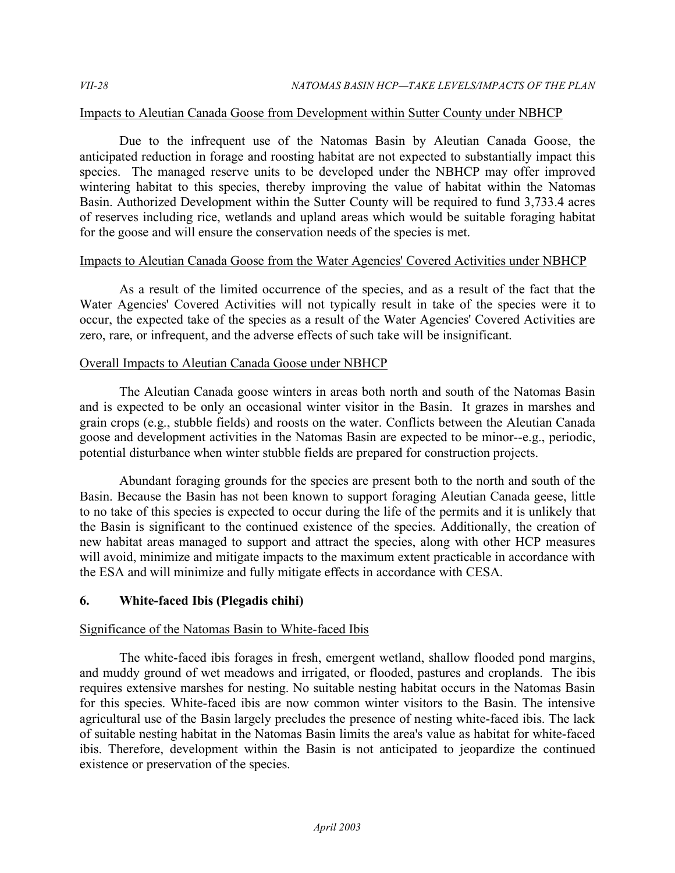#### Impacts to Aleutian Canada Goose from Development within Sutter County under NBHCP

 Due to the infrequent use of the Natomas Basin by Aleutian Canada Goose, the anticipated reduction in forage and roosting habitat are not expected to substantially impact this species. The managed reserve units to be developed under the NBHCP may offer improved wintering habitat to this species, thereby improving the value of habitat within the Natomas Basin. Authorized Development within the Sutter County will be required to fund 3,733.4 acres of reserves including rice, wetlands and upland areas which would be suitable foraging habitat for the goose and will ensure the conservation needs of the species is met.

#### Impacts to Aleutian Canada Goose from the Water Agencies' Covered Activities under NBHCP

 As a result of the limited occurrence of the species, and as a result of the fact that the Water Agencies' Covered Activities will not typically result in take of the species were it to occur, the expected take of the species as a result of the Water Agencies' Covered Activities are zero, rare, or infrequent, and the adverse effects of such take will be insignificant.

#### **Overall Impacts to Aleutian Canada Goose under NBHCP**

 The Aleutian Canada goose winters in areas both north and south of the Natomas Basin and is expected to be only an occasional winter visitor in the Basin. It grazes in marshes and grain crops (e.g., stubble fields) and roosts on the water. Conflicts between the Aleutian Canada goose and development activities in the Natomas Basin are expected to be minor--e.g., periodic, potential disturbance when winter stubble fields are prepared for construction projects.

 Abundant foraging grounds for the species are present both to the north and south of the Basin. Because the Basin has not been known to support foraging Aleutian Canada geese, little to no take of this species is expected to occur during the life of the permits and it is unlikely that the Basin is significant to the continued existence of the species. Additionally, the creation of new habitat areas managed to support and attract the species, along with other HCP measures will avoid, minimize and mitigate impacts to the maximum extent practicable in accordance with the ESA and will minimize and fully mitigate effects in accordance with CESA.

#### **6. White-faced Ibis (Plegadis chihi)**

# Significance of the Natomas Basin to White-faced Ibis

 The white-faced ibis forages in fresh, emergent wetland, shallow flooded pond margins, and muddy ground of wet meadows and irrigated, or flooded, pastures and croplands. The ibis requires extensive marshes for nesting. No suitable nesting habitat occurs in the Natomas Basin for this species. White-faced ibis are now common winter visitors to the Basin. The intensive agricultural use of the Basin largely precludes the presence of nesting white-faced ibis. The lack of suitable nesting habitat in the Natomas Basin limits the area's value as habitat for white-faced ibis. Therefore, development within the Basin is not anticipated to jeopardize the continued existence or preservation of the species.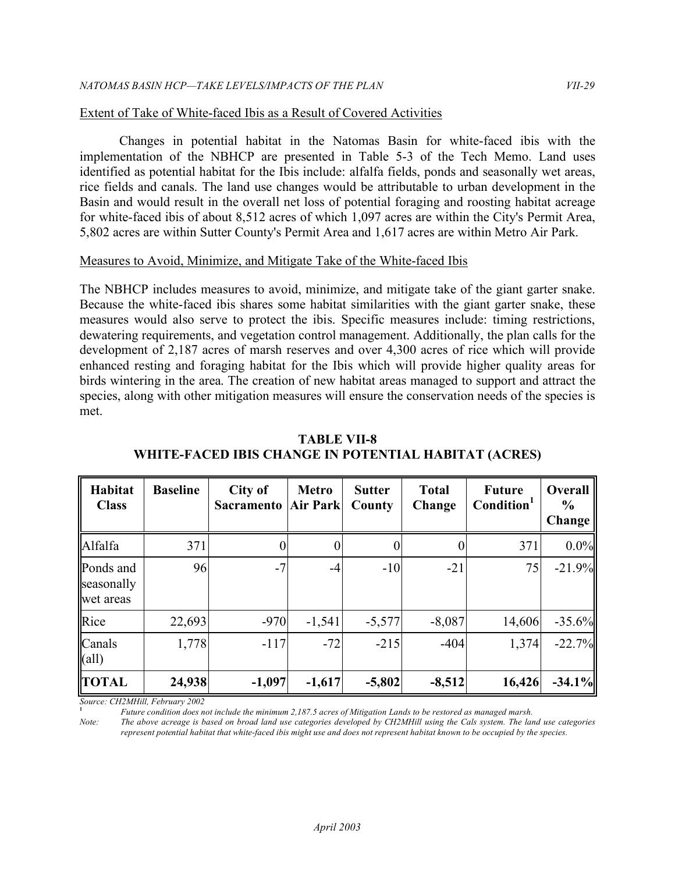#### Extent of Take of White-faced Ibis as a Result of Covered Activities

 Changes in potential habitat in the Natomas Basin for white-faced ibis with the implementation of the NBHCP are presented in Table 5-3 of the Tech Memo. Land uses identified as potential habitat for the Ibis include: alfalfa fields, ponds and seasonally wet areas, rice fields and canals. The land use changes would be attributable to urban development in the Basin and would result in the overall net loss of potential foraging and roosting habitat acreage for white-faced ibis of about 8,512 acres of which 1,097 acres are within the City's Permit Area, 5,802 acres are within Sutter County's Permit Area and 1,617 acres are within Metro Air Park.

#### Measures to Avoid, Minimize, and Mitigate Take of the White-faced Ibis

 The NBHCP includes measures to avoid, minimize, and mitigate take of the giant garter snake. Because the white-faced ibis shares some habitat similarities with the giant garter snake, these measures would also serve to protect the ibis. Specific measures include: timing restrictions, dewatering requirements, and vegetation control management. Additionally, the plan calls for the development of 2,187 acres of marsh reserves and over 4,300 acres of rice which will provide enhanced resting and foraging habitat for the Ibis which will provide higher quality areas for birds wintering in the area. The creation of new habitat areas managed to support and attract the species, along with other mitigation measures will ensure the conservation needs of the species is met.

| Habitat<br><b>Class</b>              | <b>Baseline</b> | City of<br><b>Sacramento</b> | <b>Metro</b><br>Air Park | <b>Sutter</b><br>County | <b>Total</b><br>Change | <b>Future</b><br>Condition <sup>1</sup> | Overall<br>$\frac{6}{6}$<br><b>Change</b> |
|--------------------------------------|-----------------|------------------------------|--------------------------|-------------------------|------------------------|-----------------------------------------|-------------------------------------------|
| Alfalfa                              | 371             |                              |                          |                         |                        | 371                                     | 0.0%                                      |
| Ponds and<br>seasonally<br>wet areas | 96              | $-7$                         | $-4$                     | $-10$                   | $-21$                  | 75                                      | $-21.9%$                                  |
| Rice                                 | 22,693          | $-970$                       | $-1,541$                 | $-5,577$                | $-8,087$               | 14,606                                  | $-35.6%$                                  |
| Canals<br>$\text{(all)}$             | 1,778           | $-117$                       | $-72$                    | $-215$                  | $-404$                 | 1,374                                   | $-22.7%$                                  |
| <b>TOTAL</b>                         | 24,938          | $-1,097$                     | $-1,617$                 | $-5,802$                | $-8,512$               | 16,426                                  | $-34.1%$                                  |

 **WHITE-FACED IBIS CHANGE IN POTENTIAL HABITAT (ACRES) TABLE VII-8** 

*Source: CH2MHill, February 2002* 

**<sup>1</sup>***Future condition does not include the minimum 2,187.5 acres of Mitigation Lands to be restored as managed marsh.* 

 *Note: The above acreage is based on broad land use categories developed by CH2MHill using the Cals system. The land use categories represent potential habitat that white-faced ibis might use and does not represent habitat known to be occupied by the species.*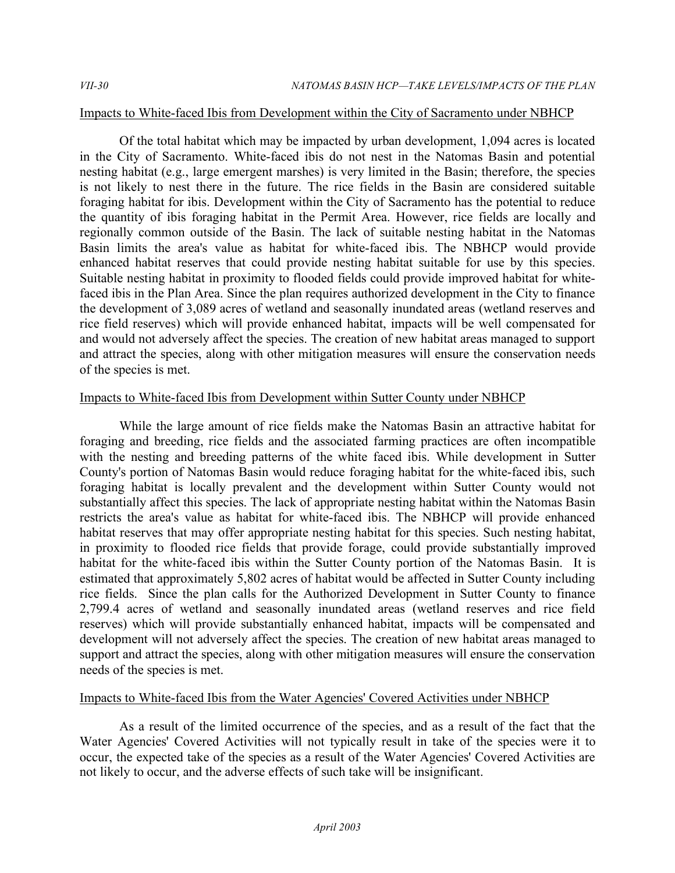#### Impacts to White-faced Ibis from Development within the City of Sacramento under NBHCP

 Of the total habitat which may be impacted by urban development, 1,094 acres is located in the City of Sacramento. White-faced ibis do not nest in the Natomas Basin and potential nesting habitat (e.g., large emergent marshes) is very limited in the Basin; therefore, the species is not likely to nest there in the future. The rice fields in the Basin are considered suitable foraging habitat for ibis. Development within the City of Sacramento has the potential to reduce the quantity of ibis foraging habitat in the Permit Area. However, rice fields are locally and regionally common outside of the Basin. The lack of suitable nesting habitat in the Natomas Basin limits the area's value as habitat for white-faced ibis. The NBHCP would provide enhanced habitat reserves that could provide nesting habitat suitable for use by this species. Suitable nesting habitat in proximity to flooded fields could provide improved habitat for white- faced ibis in the Plan Area. Since the plan requires authorized development in the City to finance the development of 3,089 acres of wetland and seasonally inundated areas (wetland reserves and rice field reserves) which will provide enhanced habitat, impacts will be well compensated for and would not adversely affect the species. The creation of new habitat areas managed to support and attract the species, along with other mitigation measures will ensure the conservation needs of the species is met.

#### Impacts to White-faced Ibis from Development within Sutter County under NBHCP

 While the large amount of rice fields make the Natomas Basin an attractive habitat for foraging and breeding, rice fields and the associated farming practices are often incompatible with the nesting and breeding patterns of the white faced ibis. While development in Sutter County's portion of Natomas Basin would reduce foraging habitat for the white-faced ibis, such foraging habitat is locally prevalent and the development within Sutter County would not substantially affect this species. The lack of appropriate nesting habitat within the Natomas Basin restricts the area's value as habitat for white-faced ibis. The NBHCP will provide enhanced habitat reserves that may offer appropriate nesting habitat for this species. Such nesting habitat, in proximity to flooded rice fields that provide forage, could provide substantially improved habitat for the white-faced ibis within the Sutter County portion of the Natomas Basin. It is estimated that approximately 5,802 acres of habitat would be affected in Sutter County including rice fields. Since the plan calls for the Authorized Development in Sutter County to finance 2,799.4 acres of wetland and seasonally inundated areas (wetland reserves and rice field reserves) which will provide substantially enhanced habitat, impacts will be compensated and development will not adversely affect the species. The creation of new habitat areas managed to support and attract the species, along with other mitigation measures will ensure the conservation needs of the species is met.

#### Impacts to White-faced Ibis from the Water Agencies' Covered Activities under NBHCP

 As a result of the limited occurrence of the species, and as a result of the fact that the Water Agencies' Covered Activities will not typically result in take of the species were it to occur, the expected take of the species as a result of the Water Agencies' Covered Activities are not likely to occur, and the adverse effects of such take will be insignificant.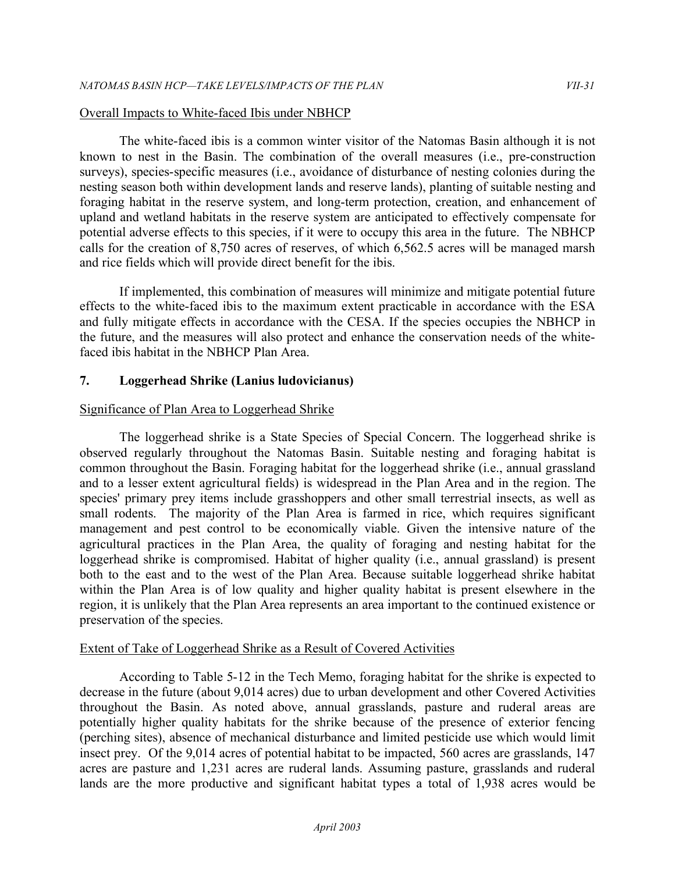#### Overall Impacts to White-faced Ibis under NBHCP

 The white-faced ibis is a common winter visitor of the Natomas Basin although it is not known to nest in the Basin. The combination of the overall measures (i.e., pre-construction surveys), species-specific measures (i.e., avoidance of disturbance of nesting colonies during the nesting season both within development lands and reserve lands), planting of suitable nesting and foraging habitat in the reserve system, and long-term protection, creation, and enhancement of upland and wetland habitats in the reserve system are anticipated to effectively compensate for potential adverse effects to this species, if it were to occupy this area in the future. The NBHCP calls for the creation of 8,750 acres of reserves, of which 6,562.5 acres will be managed marsh and rice fields which will provide direct benefit for the ibis.

 If implemented, this combination of measures will minimize and mitigate potential future effects to the white-faced ibis to the maximum extent practicable in accordance with the ESA and fully mitigate effects in accordance with the CESA. If the species occupies the NBHCP in the future, and the measures will also protect and enhance the conservation needs of the white-faced ibis habitat in the NBHCP Plan Area.

#### **7. Loggerhead Shrike (Lanius ludovicianus)**

#### Significance of Plan Area to Loggerhead Shrike

 The loggerhead shrike is a State Species of Special Concern. The loggerhead shrike is observed regularly throughout the Natomas Basin. Suitable nesting and foraging habitat is common throughout the Basin. Foraging habitat for the loggerhead shrike (i.e., annual grassland and to a lesser extent agricultural fields) is widespread in the Plan Area and in the region. The species' primary prey items include grasshoppers and other small terrestrial insects, as well as small rodents. The majority of the Plan Area is farmed in rice, which requires significant management and pest control to be economically viable. Given the intensive nature of the agricultural practices in the Plan Area, the quality of foraging and nesting habitat for the loggerhead shrike is compromised. Habitat of higher quality (i.e., annual grassland) is present both to the east and to the west of the Plan Area. Because suitable loggerhead shrike habitat within the Plan Area is of low quality and higher quality habitat is present elsewhere in the region, it is unlikely that the Plan Area represents an area important to the continued existence or preservation of the species.

#### Extent of Take of Loggerhead Shrike as a Result of Covered Activities

 According to Table 5-12 in the Tech Memo, foraging habitat for the shrike is expected to decrease in the future (about 9,014 acres) due to urban development and other Covered Activities throughout the Basin. As noted above, annual grasslands, pasture and ruderal areas are potentially higher quality habitats for the shrike because of the presence of exterior fencing (perching sites), absence of mechanical disturbance and limited pesticide use which would limit insect prey. Of the 9,014 acres of potential habitat to be impacted, 560 acres are grasslands, 147 acres are pasture and 1,231 acres are ruderal lands. Assuming pasture, grasslands and ruderal lands are the more productive and significant habitat types a total of 1,938 acres would be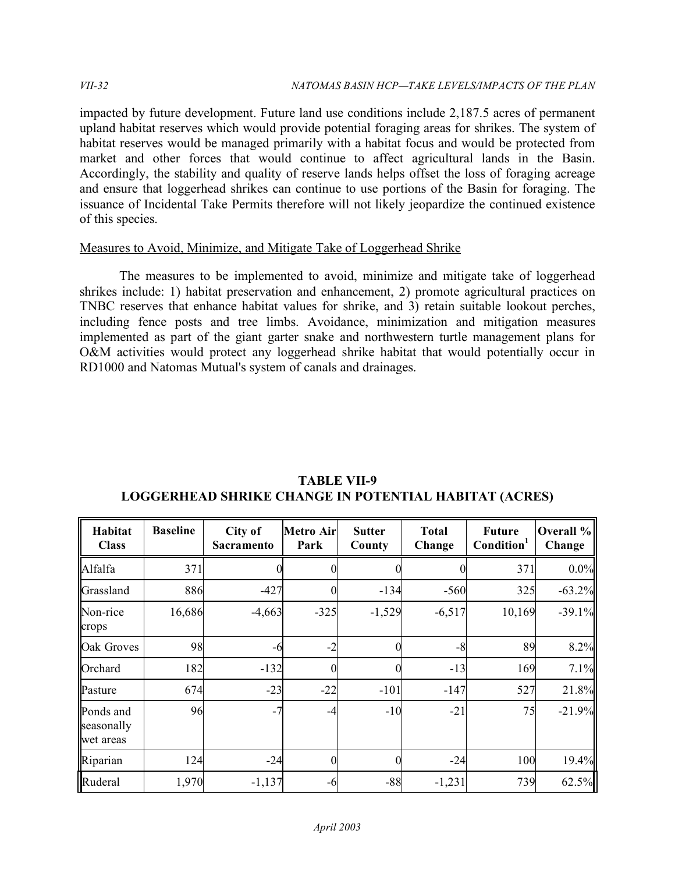impacted by future development. Future land use conditions include 2,187.5 acres of permanent upland habitat reserves which would provide potential foraging areas for shrikes. The system of habitat reserves would be managed primarily with a habitat focus and would be protected from market and other forces that would continue to affect agricultural lands in the Basin. Accordingly, the stability and quality of reserve lands helps offset the loss of foraging acreage and ensure that loggerhead shrikes can continue to use portions of the Basin for foraging. The issuance of Incidental Take Permits therefore will not likely jeopardize the continued existence of this species.

#### Measures to Avoid, Minimize, and Mitigate Take of Loggerhead Shrike

 The measures to be implemented to avoid, minimize and mitigate take of loggerhead shrikes include: 1) habitat preservation and enhancement, 2) promote agricultural practices on TNBC reserves that enhance habitat values for shrike, and 3) retain suitable lookout perches, including fence posts and tree limbs. Avoidance, minimization and mitigation measures implemented as part of the giant garter snake and northwestern turtle management plans for O&M activities would protect any loggerhead shrike habitat that would potentially occur in RD1000 and Natomas Mutual's system of canals and drainages.

| Habitat<br><b>Class</b>              | <b>Baseline</b> | City of<br>Sacramento | <b>Metro Air</b><br>Park | <b>Sutter</b><br>County | <b>Total</b><br>Change | <b>Future</b><br>Condition <sup>1</sup> | Overall %<br>Change |
|--------------------------------------|-----------------|-----------------------|--------------------------|-------------------------|------------------------|-----------------------------------------|---------------------|
| Alfalfa                              | 371             |                       |                          |                         |                        | 371                                     | 0.0%                |
| Grassland                            | 886             | $-427$                | $\theta$                 | $-134$                  | $-560$                 | 325                                     | $-63.2%$            |
| Non-rice<br>crops                    | 16,686          | $-4,663$              | $-325$                   | $-1,529$                | $-6,517$               | 10,169                                  | $-39.1%$            |
| Oak Groves                           | 98              | -6                    | $-2$                     | $\theta$                | $-8$                   | 89                                      | 8.2%                |
| Orchard                              | 182             | $-132$                | $\theta$                 | 0                       | $-13$                  | 169                                     | 7.1%                |
| Pasture                              | 674             | $-23$                 | $-22$                    | $-101$                  | $-147$                 | 527                                     | 21.8%               |
| Ponds and<br>seasonally<br>wet areas | 96              | $-7$                  | -4                       | $-10$                   | $-21$                  | 75                                      | $-21.9%$            |
| Riparian                             | 124             | $-24$                 | $\Omega$                 | $\theta$                | $-24$                  | 100                                     | 19.4%               |
| Ruderal                              | 1,970           | $-1,137$              | -6                       | $-88$                   | $-1,231$               | 739                                     | 62.5%               |

 **LOGGERHEAD SHRIKE CHANGE IN POTENTIAL HABITAT (ACRES) TABLE VII-9**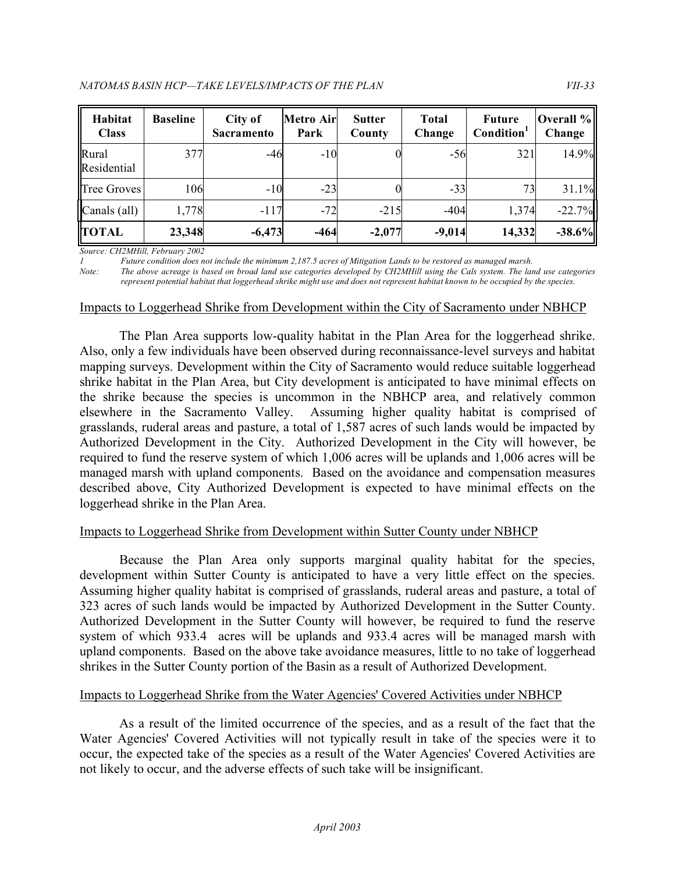| Habitat<br><b>Class</b> | <b>Baseline</b> | City of<br><b>Sacramento</b> | <b>Metro Air</b><br>Park | <b>Sutter</b><br>County | <b>Total</b><br>Change | <b>Future</b><br>Condition <sup>1</sup> | Overall %<br>Change |
|-------------------------|-----------------|------------------------------|--------------------------|-------------------------|------------------------|-----------------------------------------|---------------------|
| Rural<br>Residential    | 377             | $-46$                        | $-10$                    |                         | $-56$                  | 321                                     | 14.9%               |
| Tree Groves             | 106             | $-10$                        | $-23$                    |                         | $-33$                  | 73                                      | 31.1%               |
| Canals (all)            | 1,778           | $-117$                       | $-72$                    | $-215$                  | $-404$                 | 1,374                                   | $-22.7%$            |
| <b>TOTAL</b>            | 23,348          | $-6,473$                     | $-464$                   | $-2,077$                | $-9,014$               | 14,332                                  | $-38.6%$            |

*Source: CH2MHill, February 2002* 

 *1 Future condition does not include the minimum 2,187.5 acres of Mitigation Lands to be restored as managed marsh.* 

*Note: The above acreage is based on broad land use categories developed by CH2MHill using the Cals system. The land use categories represent potential habitat that loggerhead shrike might use and does not represent habitat known to be occupied by the species.* 

#### Impacts to Loggerhead Shrike from Development within the City of Sacramento under NBHCP

 The Plan Area supports low-quality habitat in the Plan Area for the loggerhead shrike. Also, only a few individuals have been observed during reconnaissance-level surveys and habitat mapping surveys. Development within the City of Sacramento would reduce suitable loggerhead shrike habitat in the Plan Area, but City development is anticipated to have minimal effects on the shrike because the species is uncommon in the NBHCP area, and relatively common elsewhere in the Sacramento Valley. grasslands, ruderal areas and pasture, a total of 1,587 acres of such lands would be impacted by Authorized Development in the City. Authorized Development in the City will however, be required to fund the reserve system of which 1,006 acres will be uplands and 1,006 acres will be managed marsh with upland components. Based on the avoidance and compensation measures described above, City Authorized Development is expected to have minimal effects on the loggerhead shrike in the Plan Area. Assuming higher quality habitat is comprised of

# Impacts to Loggerhead Shrike from Development within Sutter County under NBHCP

 Because the Plan Area only supports marginal quality habitat for the species, development within Sutter County is anticipated to have a very little effect on the species. Assuming higher quality habitat is comprised of grasslands, ruderal areas and pasture, a total of 323 acres of such lands would be impacted by Authorized Development in the Sutter County. Authorized Development in the Sutter County will however, be required to fund the reserve system of which 933.4 acres will be uplands and 933.4 acres will be managed marsh with upland components. Based on the above take avoidance measures, little to no take of loggerhead shrikes in the Sutter County portion of the Basin as a result of Authorized Development.

# Impacts to Loggerhead Shrike from the Water Agencies' Covered Activities under NBHCP

 As a result of the limited occurrence of the species, and as a result of the fact that the Water Agencies' Covered Activities will not typically result in take of the species were it to occur, the expected take of the species as a result of the Water Agencies' Covered Activities are not likely to occur, and the adverse effects of such take will be insignificant.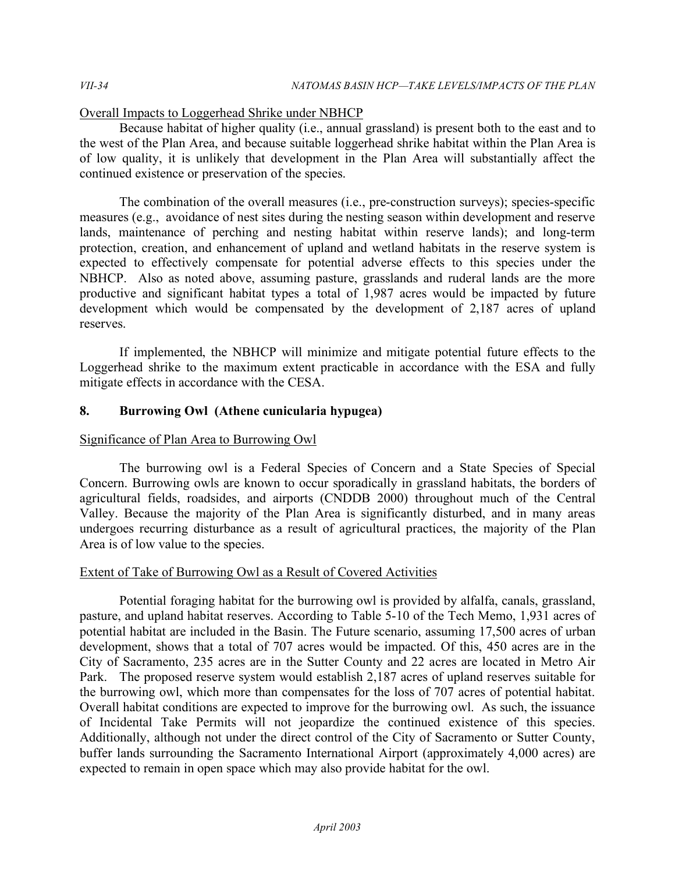# Overall Impacts to Loggerhead Shrike under NBHCP

 Because habitat of higher quality (i.e., annual grassland) is present both to the east and to the west of the Plan Area, and because suitable loggerhead shrike habitat within the Plan Area is of low quality, it is unlikely that development in the Plan Area will substantially affect the continued existence or preservation of the species.

 The combination of the overall measures (i.e., pre-construction surveys); species-specific measures (e.g., avoidance of nest sites during the nesting season within development and reserve lands, maintenance of perching and nesting habitat within reserve lands); and long-term protection, creation, and enhancement of upland and wetland habitats in the reserve system is expected to effectively compensate for potential adverse effects to this species under the NBHCP. Also as noted above, assuming pasture, grasslands and ruderal lands are the more productive and significant habitat types a total of 1,987 acres would be impacted by future development which would be compensated by the development of 2,187 acres of upland reserves.

 If implemented, the NBHCP will minimize and mitigate potential future effects to the Loggerhead shrike to the maximum extent practicable in accordance with the ESA and fully mitigate effects in accordance with the CESA.

# **8. Burrowing Owl (Athene cunicularia hypugea)**

# Significance of Plan Area to Burrowing Owl

 The burrowing owl is a Federal Species of Concern and a State Species of Special Concern. Burrowing owls are known to occur sporadically in grassland habitats, the borders of agricultural fields, roadsides, and airports (CNDDB 2000) throughout much of the Central Valley. Because the majority of the Plan Area is significantly disturbed, and in many areas undergoes recurring disturbance as a result of agricultural practices, the majority of the Plan Area is of low value to the species.

# Extent of Take of Burrowing Owl as a Result of Covered Activities

 Potential foraging habitat for the burrowing owl is provided by alfalfa, canals, grassland, pasture, and upland habitat reserves. According to Table 5-10 of the Tech Memo, 1,931 acres of potential habitat are included in the Basin. The Future scenario, assuming 17,500 acres of urban development, shows that a total of 707 acres would be impacted. Of this, 450 acres are in the City of Sacramento, 235 acres are in the Sutter County and 22 acres are located in Metro Air Park. The proposed reserve system would establish 2,187 acres of upland reserves suitable for the burrowing owl, which more than compensates for the loss of 707 acres of potential habitat. Overall habitat conditions are expected to improve for the burrowing owl. As such, the issuance of Incidental Take Permits will not jeopardize the continued existence of this species. Additionally, although not under the direct control of the City of Sacramento or Sutter County, buffer lands surrounding the Sacramento International Airport (approximately 4,000 acres) are expected to remain in open space which may also provide habitat for the owl.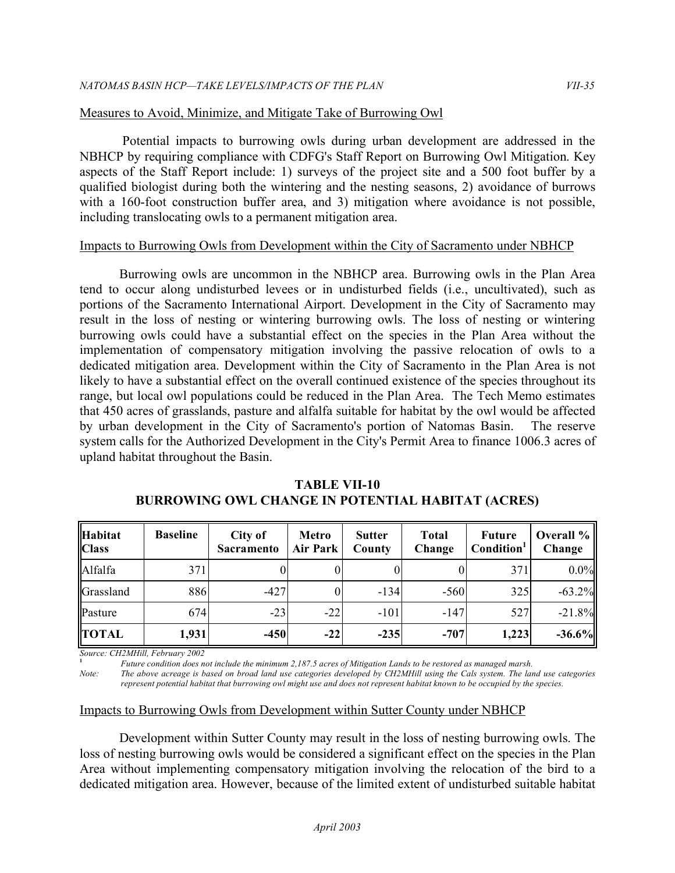# Measures to Avoid, Minimize, and Mitigate Take of Burrowing Owl

 Potential impacts to burrowing owls during urban development are addressed in the NBHCP by requiring compliance with CDFG's Staff Report on Burrowing Owl Mitigation. Key aspects of the Staff Report include: 1) surveys of the project site and a 500 foot buffer by a qualified biologist during both the wintering and the nesting seasons, 2) avoidance of burrows with a 160-foot construction buffer area, and 3) mitigation where avoidance is not possible, including translocating owls to a permanent mitigation area.

# Impacts to Burrowing Owls from Development within the City of Sacramento under NBHCP

 Burrowing owls are uncommon in the NBHCP area. Burrowing owls in the Plan Area tend to occur along undisturbed levees or in undisturbed fields (i.e., uncultivated), such as portions of the Sacramento International Airport. Development in the City of Sacramento may result in the loss of nesting or wintering burrowing owls. The loss of nesting or wintering burrowing owls could have a substantial effect on the species in the Plan Area without the implementation of compensatory mitigation involving the passive relocation of owls to a dedicated mitigation area. Development within the City of Sacramento in the Plan Area is not likely to have a substantial effect on the overall continued existence of the species throughout its range, but local owl populations could be reduced in the Plan Area. The Tech Memo estimates that 450 acres of grasslands, pasture and alfalfa suitable for habitat by the owl would be affected by urban development in the City of Sacramento's portion of Natomas Basin. The reserve system calls for the Authorized Development in the City's Permit Area to finance 1006.3 acres of upland habitat throughout the Basin.

| <b>Habitat</b><br><b>Class</b> | <b>Baseline</b> | City of<br><b>Sacramento</b> | <b>Metro</b><br><b>Air Park</b> | <b>Sutter</b><br>County | <b>Total</b><br>Change | <b>Future</b><br>Condition <sup>1</sup> | Overall %<br>Change |
|--------------------------------|-----------------|------------------------------|---------------------------------|-------------------------|------------------------|-----------------------------------------|---------------------|
| Alfalfa                        | 371             |                              |                                 |                         |                        | 371                                     | $0.0\%$             |
| Grassland                      | 886             | $-427$                       |                                 | $-134$                  | $-560$                 | 325                                     | $-63.2%$            |
| Pasture                        | 674             | $-23$                        | $-22$                           | $-101$                  | $-147$                 | 527                                     | $-21.8%$            |
| <b>TOTAL</b>                   | 1,931           | $-450$                       | $-22$                           | $-235$                  | $-707$                 | 1,223                                   | $-36.6%$            |

# **BURROWING OWL CHANGE IN POTENTIAL HABITAT (ACRES) TABLE VII-10**

 *Source: CH2MHill, February 2002* 

**<sup>1</sup>***Future condition does not include the minimum 2,187.5 acres of Mitigation Lands to be restored as managed marsh.* 

 *Note: The above acreage is based on broad land use categories developed by CH2MHill using the Cals system. The land use categories represent potential habitat that burrowing owl might use and does not represent habitat known to be occupied by the species.* 

# Impacts to Burrowing Owls from Development within Sutter County under NBHCP

 Development within Sutter County may result in the loss of nesting burrowing owls. The loss of nesting burrowing owls would be considered a significant effect on the species in the Plan Area without implementing compensatory mitigation involving the relocation of the bird to a dedicated mitigation area. However, because of the limited extent of undisturbed suitable habitat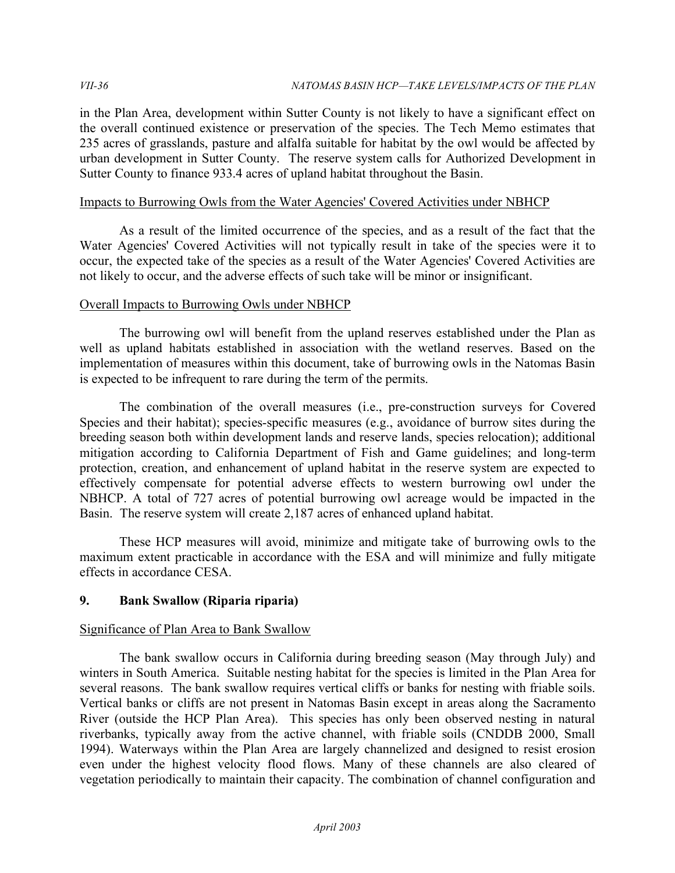in the Plan Area, development within Sutter County is not likely to have a significant effect on the overall continued existence or preservation of the species. The Tech Memo estimates that 235 acres of grasslands, pasture and alfalfa suitable for habitat by the owl would be affected by urban development in Sutter County. The reserve system calls for Authorized Development in Sutter County to finance 933.4 acres of upland habitat throughout the Basin.

#### Impacts to Burrowing Owls from the Water Agencies' Covered Activities under NBHCP

 As a result of the limited occurrence of the species, and as a result of the fact that the Water Agencies' Covered Activities will not typically result in take of the species were it to occur, the expected take of the species as a result of the Water Agencies' Covered Activities are not likely to occur, and the adverse effects of such take will be minor or insignificant.

# Overall Impacts to Burrowing Owls under NBHCP

 The burrowing owl will benefit from the upland reserves established under the Plan as well as upland habitats established in association with the wetland reserves. Based on the implementation of measures within this document, take of burrowing owls in the Natomas Basin is expected to be infrequent to rare during the term of the permits.

 The combination of the overall measures (i.e., pre-construction surveys for Covered Species and their habitat); species-specific measures (e.g., avoidance of burrow sites during the breeding season both within development lands and reserve lands, species relocation); additional mitigation according to California Department of Fish and Game guidelines; and long-term protection, creation, and enhancement of upland habitat in the reserve system are expected to effectively compensate for potential adverse effects to western burrowing owl under the NBHCP. A total of 727 acres of potential burrowing owl acreage would be impacted in the Basin. The reserve system will create 2,187 acres of enhanced upland habitat.

 These HCP measures will avoid, minimize and mitigate take of burrowing owls to the maximum extent practicable in accordance with the ESA and will minimize and fully mitigate effects in accordance CESA.

# **9. Bank Swallow (Riparia riparia)**

# Significance of Plan Area to Bank Swallow

 The bank swallow occurs in California during breeding season (May through July) and winters in South America. Suitable nesting habitat for the species is limited in the Plan Area for several reasons. The bank swallow requires vertical cliffs or banks for nesting with friable soils. Vertical banks or cliffs are not present in Natomas Basin except in areas along the Sacramento River (outside the HCP Plan Area). This species has only been observed nesting in natural riverbanks, typically away from the active channel, with friable soils (CNDDB 2000, Small 1994). Waterways within the Plan Area are largely channelized and designed to resist erosion even under the highest velocity flood flows. Many of these channels are also cleared of vegetation periodically to maintain their capacity. The combination of channel configuration and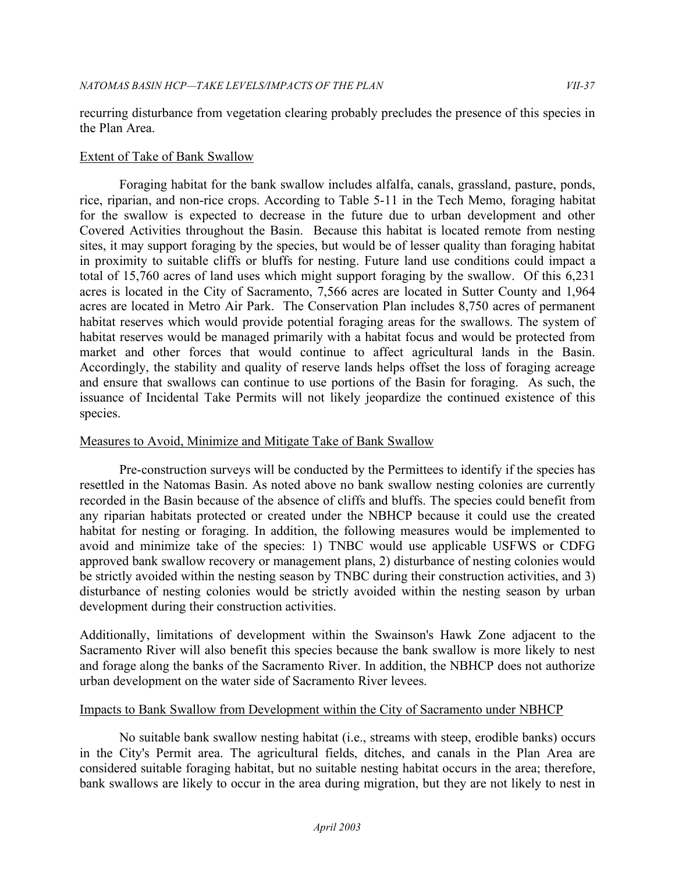recurring disturbance from vegetation clearing probably precludes the presence of this species in the Plan Area.

# Extent of Take of Bank Swallow

 Foraging habitat for the bank swallow includes alfalfa, canals, grassland, pasture, ponds, rice, riparian, and non-rice crops. According to Table 5-11 in the Tech Memo, foraging habitat for the swallow is expected to decrease in the future due to urban development and other Covered Activities throughout the Basin. Because this habitat is located remote from nesting sites, it may support foraging by the species, but would be of lesser quality than foraging habitat in proximity to suitable cliffs or bluffs for nesting. Future land use conditions could impact a total of 15,760 acres of land uses which might support foraging by the swallow. Of this 6,231 acres is located in the City of Sacramento, 7,566 acres are located in Sutter County and 1,964 acres are located in Metro Air Park. The Conservation Plan includes 8,750 acres of permanent habitat reserves which would provide potential foraging areas for the swallows. The system of habitat reserves would be managed primarily with a habitat focus and would be protected from market and other forces that would continue to affect agricultural lands in the Basin. Accordingly, the stability and quality of reserve lands helps offset the loss of foraging acreage and ensure that swallows can continue to use portions of the Basin for foraging. As such, the issuance of Incidental Take Permits will not likely jeopardize the continued existence of this species.

#### Measures to Avoid, Minimize and Mitigate Take of Bank Swallow

 Pre-construction surveys will be conducted by the Permittees to identify if the species has resettled in the Natomas Basin. As noted above no bank swallow nesting colonies are currently recorded in the Basin because of the absence of cliffs and bluffs. The species could benefit from any riparian habitats protected or created under the NBHCP because it could use the created habitat for nesting or foraging. In addition, the following measures would be implemented to avoid and minimize take of the species: 1) TNBC would use applicable USFWS or CDFG approved bank swallow recovery or management plans, 2) disturbance of nesting colonies would be strictly avoided within the nesting season by TNBC during their construction activities, and 3) disturbance of nesting colonies would be strictly avoided within the nesting season by urban development during their construction activities.

 Additionally, limitations of development within the Swainson's Hawk Zone adjacent to the Sacramento River will also benefit this species because the bank swallow is more likely to nest and forage along the banks of the Sacramento River. In addition, the NBHCP does not authorize urban development on the water side of Sacramento River levees.

#### Impacts to Bank Swallow from Development within the City of Sacramento under NBHCP

 No suitable bank swallow nesting habitat (i.e., streams with steep, erodible banks) occurs in the City's Permit area. The agricultural fields, ditches, and canals in the Plan Area are considered suitable foraging habitat, but no suitable nesting habitat occurs in the area; therefore, bank swallows are likely to occur in the area during migration, but they are not likely to nest in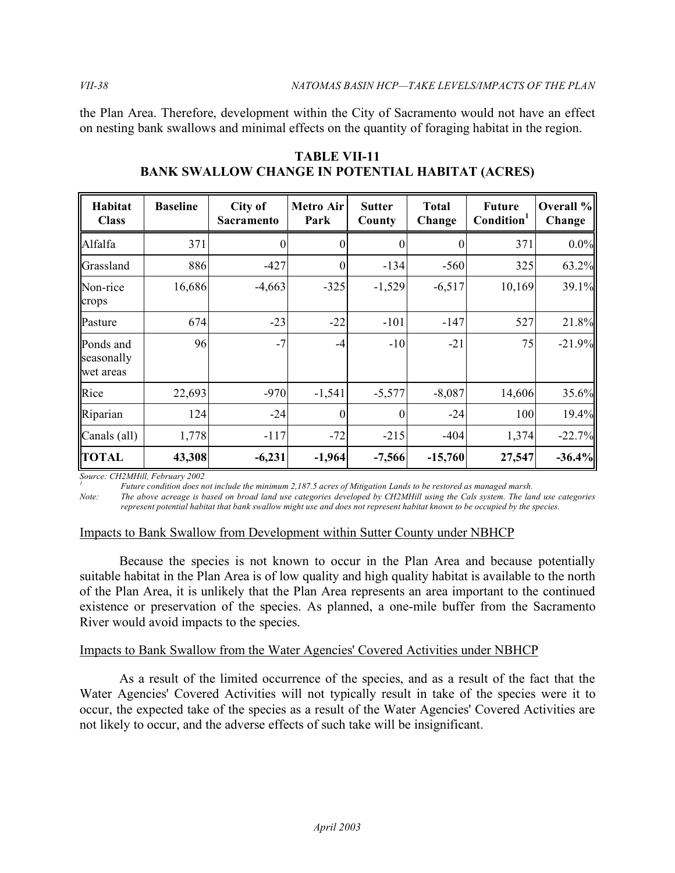the Plan Area. Therefore, development within the City of Sacramento would not have an effect on nesting bank swallows and minimal effects on the quantity of foraging habitat in the region.

| Habitat<br><b>Class</b>              | <b>Baseline</b> | City of<br>Sacramento | <b>Metro Air</b><br>Park | <b>Sutter</b><br>County | <b>Total</b><br>Change | <b>Future</b><br>Condition <sup>1</sup> | Overall %<br>Change |
|--------------------------------------|-----------------|-----------------------|--------------------------|-------------------------|------------------------|-----------------------------------------|---------------------|
| Alfalfa                              | 371             |                       | 0                        | $\theta$                | 0                      | 371                                     | $0.0\%$             |
| Grassland                            | 886             | $-427$                | $\boldsymbol{0}$         | $-134$                  | $-560$                 | 325                                     | 63.2%               |
| Non-rice<br>crops                    | 16,686          | $-4,663$              | $-325$                   | $-1,529$                | $-6,517$               | 10,169                                  | 39.1%               |
| Pasture                              | 674             | $-23$                 | $-22$                    | $-101$                  | $-147$                 | 527                                     | 21.8%               |
| Ponds and<br>seasonally<br>wet areas | 96              | $-7$                  | $-4$                     | $-10$                   | $-21$                  | 75                                      | $-21.9%$            |
| Rice                                 | 22,693          | $-970$                | $-1,541$                 | $-5,577$                | $-8,087$               | 14,606                                  | 35.6%               |
| Riparian                             | 124             | $-24$                 | $\theta$                 | $\Omega$                | $-24$                  | 100                                     | 19.4%               |
| Canals (all)                         | 1,778           | $-117$                | $-72$                    | $-215$                  | $-404$                 | 1,374                                   | $-22.7%$            |
| <b>TOTAL</b>                         | 43,308          | $-6,231$              | $-1,964$                 | $-7,566$                | $-15,760$              | 27,547                                  | $-36.4%$            |

 **BANK SWALLOW CHANGE IN POTENTIAL HABITAT (ACRES) TABLE VII-11** 

 *Source: CH2MHill, February 2002*

<sup>1</sup> Future condition does not include the minimum 2,187.5 acres of Mitigation Lands to be restored as managed marsh.

*Note: The above acreage is based on broad land use categories developed by CH2MHill using the Cals system. The land use categories represent potential habitat that bank swallow might use and does not represent habitat known to be occupied by the species.* 

## Impacts to Bank Swallow from Development within Sutter County under NBHCP

 Because the species is not known to occur in the Plan Area and because potentially suitable habitat in the Plan Area is of low quality and high quality habitat is available to the north of the Plan Area, it is unlikely that the Plan Area represents an area important to the continued existence or preservation of the species. As planned, a one-mile buffer from the Sacramento River would avoid impacts to the species.

# Impacts to Bank Swallow from the Water Agencies' Covered Activities under NBHCP

 As a result of the limited occurrence of the species, and as a result of the fact that the Water Agencies' Covered Activities will not typically result in take of the species were it to occur, the expected take of the species as a result of the Water Agencies' Covered Activities are not likely to occur, and the adverse effects of such take will be insignificant.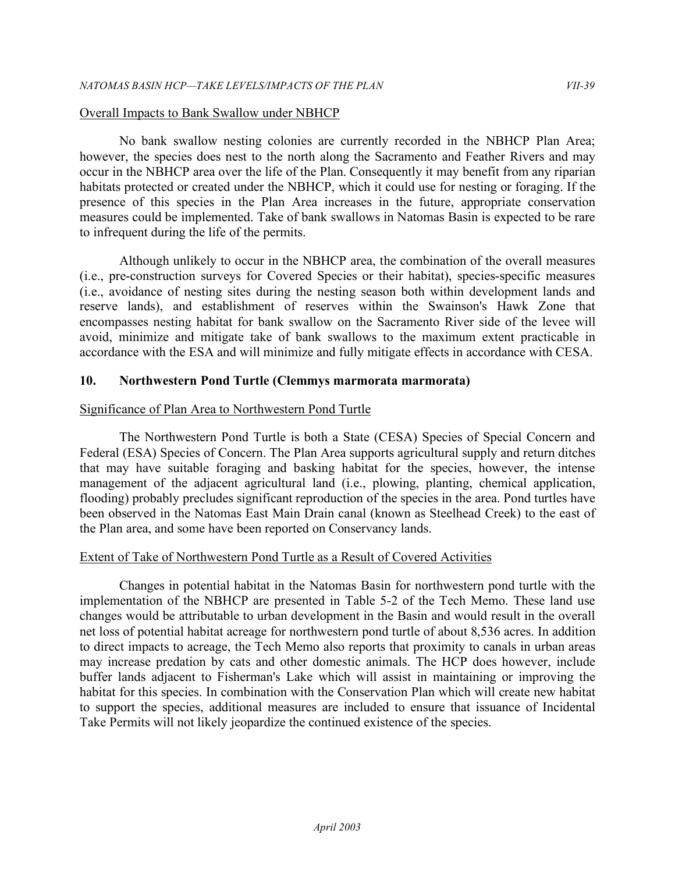## Overall Impacts to Bank Swallow under NBHCP

 No bank swallow nesting colonies are currently recorded in the NBHCP Plan Area; however, the species does nest to the north along the Sacramento and Feather Rivers and may occur in the NBHCP area over the life of the Plan. Consequently it may benefit from any riparian habitats protected or created under the NBHCP, which it could use for nesting or foraging. If the presence of this species in the Plan Area increases in the future, appropriate conservation measures could be implemented. Take of bank swallows in Natomas Basin is expected to be rare to infrequent during the life of the permits.

 Although unlikely to occur in the NBHCP area, the combination of the overall measures (i.e., pre-construction surveys for Covered Species or their habitat), species-specific measures (i.e., avoidance of nesting sites during the nesting season both within development lands and reserve lands), and establishment of reserves within the Swainson's Hawk Zone that encompasses nesting habitat for bank swallow on the Sacramento River side of the levee will avoid, minimize and mitigate take of bank swallows to the maximum extent practicable in accordance with the ESA and will minimize and fully mitigate effects in accordance with CESA.

## **10. Northwestern Pond Turtle (Clemmys marmorata marmorata)**

## Significance of Plan Area to Northwestern Pond Turtle

 The Northwestern Pond Turtle is both a State (CESA) Species of Special Concern and Federal (ESA) Species of Concern. The Plan Area supports agricultural supply and return ditches that may have suitable foraging and basking habitat for the species, however, the intense management of the adjacent agricultural land (i.e., plowing, planting, chemical application, flooding) probably precludes significant reproduction of the species in the area. Pond turtles have been observed in the Natomas East Main Drain canal (known as Steelhead Creek) to the east of the Plan area, and some have been reported on Conservancy lands.

## Extent of Take of Northwestern Pond Turtle as a Result of Covered Activities

 Changes in potential habitat in the Natomas Basin for northwestern pond turtle with the implementation of the NBHCP are presented in Table 5-2 of the Tech Memo. These land use changes would be attributable to urban development in the Basin and would result in the overall net loss of potential habitat acreage for northwestern pond turtle of about 8,536 acres. In addition to direct impacts to acreage, the Tech Memo also reports that proximity to canals in urban areas may increase predation by cats and other domestic animals. The HCP does however, include buffer lands adjacent to Fisherman's Lake which will assist in maintaining or improving the habitat for this species. In combination with the Conservation Plan which will create new habitat to support the species, additional measures are included to ensure that issuance of Incidental Take Permits will not likely jeopardize the continued existence of the species.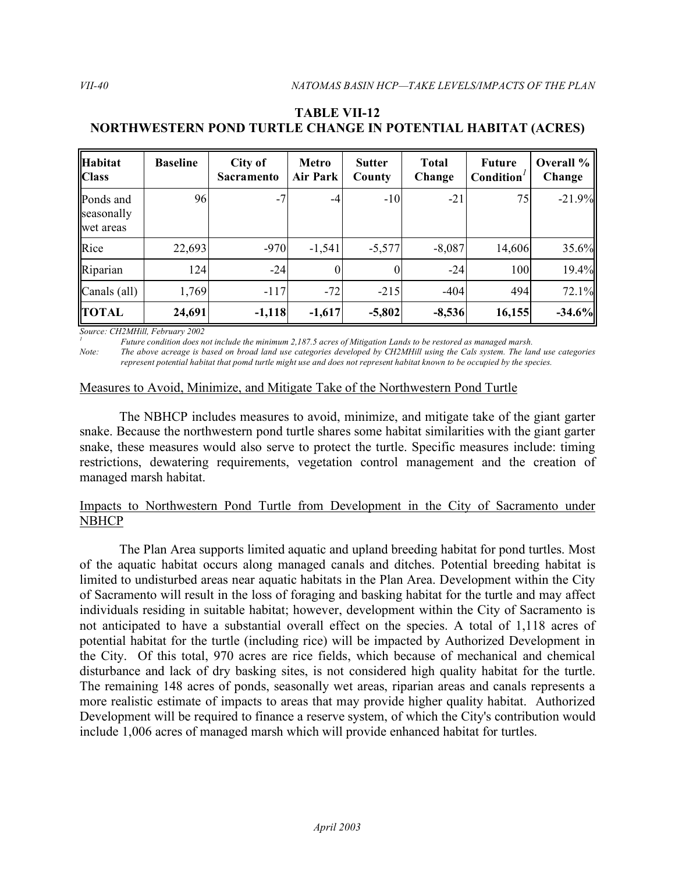| <b>Habitat</b><br><b>Class</b>       | <b>Baseline</b> | City of<br><b>Sacramento</b> | <b>Metro</b><br>Air Park | <b>Sutter</b><br>County | <b>Total</b><br>Change | <b>Future</b><br>Condition | Overall %<br>Change |
|--------------------------------------|-----------------|------------------------------|--------------------------|-------------------------|------------------------|----------------------------|---------------------|
| Ponds and<br>seasonally<br>wet areas | 96              | $-7$                         | -4                       | $-10$                   | $-21$                  | 75                         | $-21.9%$            |
| Rice                                 | 22,693          | $-970$                       | $-1,541$                 | $-5,577$                | $-8,087$               | 14,606                     | 35.6%               |
| Riparian                             | 124             | $-24$                        |                          | 0                       | $-24$                  | 100                        | 19.4%               |
| Canals (all)                         | 1,769           | $-117$                       | $-72$                    | $-215$                  | $-404$                 | 494                        | 72.1%               |
| <b>TOTAL</b>                         | 24,691          | $-1,118$                     | $-1,617$                 | $-5,802$                | $-8,536$               | 16,155                     | $-34.6%$            |

# **NORTHWESTERN POND TURTLE CHANGE IN POTENTIAL HABITAT (ACRES) TABLE VII-12**

 *Source: CH2MHill, February 2002*

<sup>1</sup> Future condition does not include the minimum 2,187.5 acres of Mitigation Lands to be restored as managed marsh.

*Note: The above acreage is based on broad land use categories developed by CH2MHill using the Cals system. The land use categories represent potential habitat that pomd turtle might use and does not represent habitat known to be occupied by the species.* 

# Measures to Avoid, Minimize, and Mitigate Take of the Northwestern Pond Turtle

 The NBHCP includes measures to avoid, minimize, and mitigate take of the giant garter snake. Because the northwestern pond turtle shares some habitat similarities with the giant garter snake, these measures would also serve to protect the turtle. Specific measures include: timing restrictions, dewatering requirements, vegetation control management and the creation of managed marsh habitat.

## Impacts to Northwestern Pond Turtle from Development in the City of Sacramento under **NBHCP**

 The Plan Area supports limited aquatic and upland breeding habitat for pond turtles. Most of the aquatic habitat occurs along managed canals and ditches. Potential breeding habitat is limited to undisturbed areas near aquatic habitats in the Plan Area. Development within the City of Sacramento will result in the loss of foraging and basking habitat for the turtle and may affect individuals residing in suitable habitat; however, development within the City of Sacramento is not anticipated to have a substantial overall effect on the species. A total of 1,118 acres of potential habitat for the turtle (including rice) will be impacted by Authorized Development in the City. Of this total, 970 acres are rice fields, which because of mechanical and chemical disturbance and lack of dry basking sites, is not considered high quality habitat for the turtle. The remaining 148 acres of ponds, seasonally wet areas, riparian areas and canals represents a more realistic estimate of impacts to areas that may provide higher quality habitat. Authorized Development will be required to finance a reserve system, of which the City's contribution would include 1,006 acres of managed marsh which will provide enhanced habitat for turtles.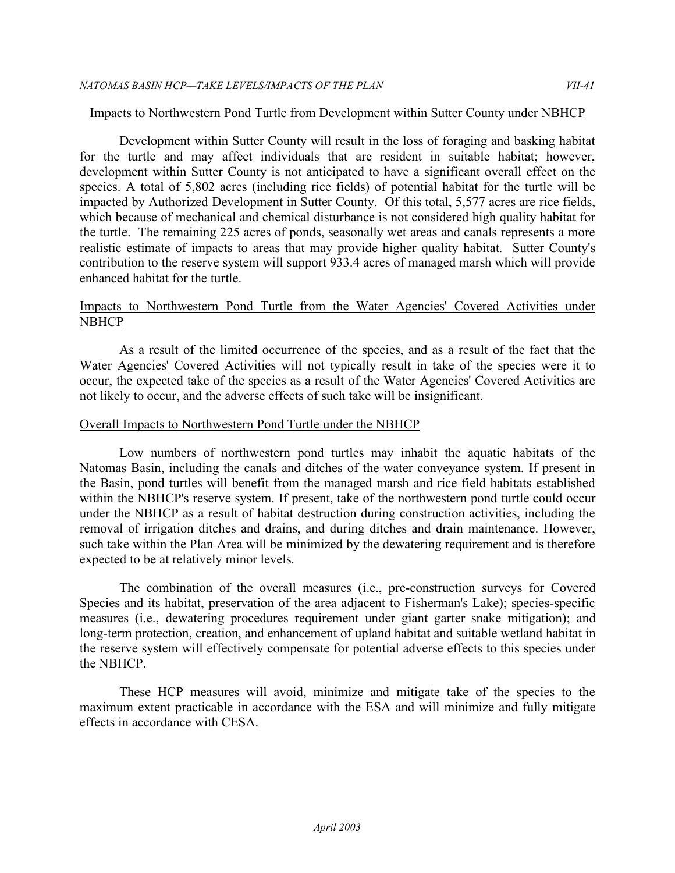## Impacts to Northwestern Pond Turtle from Development within Sutter County under NBHCP

 Development within Sutter County will result in the loss of foraging and basking habitat for the turtle and may affect individuals that are resident in suitable habitat; however, development within Sutter County is not anticipated to have a significant overall effect on the species. A total of 5,802 acres (including rice fields) of potential habitat for the turtle will be impacted by Authorized Development in Sutter County. Of this total, 5,577 acres are rice fields, which because of mechanical and chemical disturbance is not considered high quality habitat for the turtle. The remaining 225 acres of ponds, seasonally wet areas and canals represents a more realistic estimate of impacts to areas that may provide higher quality habitat. Sutter County's contribution to the reserve system will support 933.4 acres of managed marsh which will provide enhanced habitat for the turtle.

## Impacts to Northwestern Pond Turtle from the Water Agencies' Covered Activities under NBHCP

 As a result of the limited occurrence of the species, and as a result of the fact that the Water Agencies' Covered Activities will not typically result in take of the species were it to occur, the expected take of the species as a result of the Water Agencies' Covered Activities are not likely to occur, and the adverse effects of such take will be insignificant.

## Overall Impacts to Northwestern Pond Turtle under the NBHCP

 Low numbers of northwestern pond turtles may inhabit the aquatic habitats of the Natomas Basin, including the canals and ditches of the water conveyance system. If present in the Basin, pond turtles will benefit from the managed marsh and rice field habitats established within the NBHCP's reserve system. If present, take of the northwestern pond turtle could occur under the NBHCP as a result of habitat destruction during construction activities, including the removal of irrigation ditches and drains, and during ditches and drain maintenance. However, such take within the Plan Area will be minimized by the dewatering requirement and is therefore expected to be at relatively minor levels.

 The combination of the overall measures (i.e., pre-construction surveys for Covered Species and its habitat, preservation of the area adjacent to Fisherman's Lake); species-specific measures (i.e., dewatering procedures requirement under giant garter snake mitigation); and long-term protection, creation, and enhancement of upland habitat and suitable wetland habitat in the reserve system will effectively compensate for potential adverse effects to this species under the NBHCP.

 These HCP measures will avoid, minimize and mitigate take of the species to the maximum extent practicable in accordance with the ESA and will minimize and fully mitigate effects in accordance with CESA.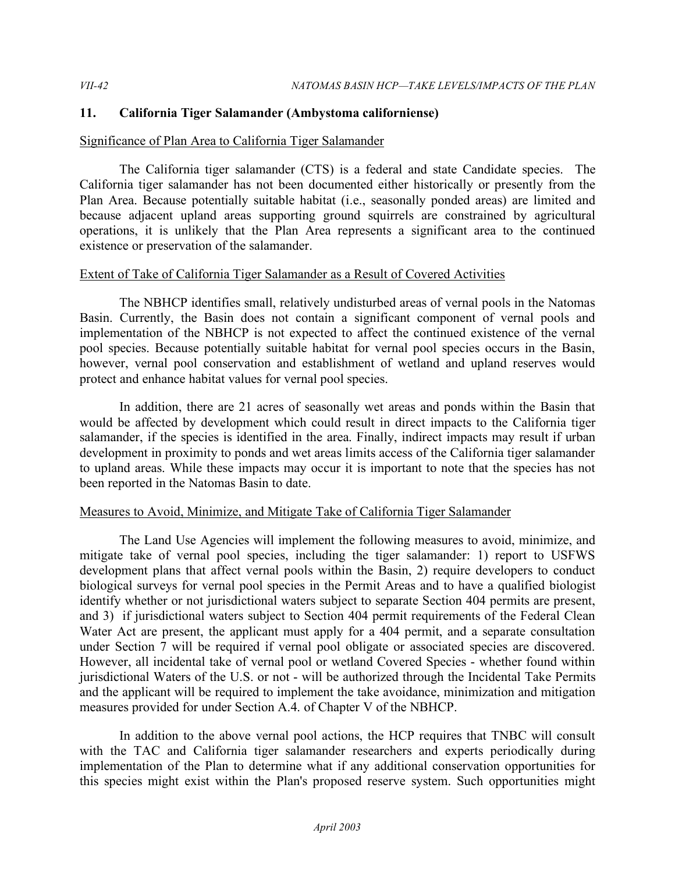## **11. California Tiger Salamander (Ambystoma californiense)**

## Significance of Plan Area to California Tiger Salamander

 The California tiger salamander (CTS) is a federal and state Candidate species. The California tiger salamander has not been documented either historically or presently from the Plan Area. Because potentially suitable habitat (i.e., seasonally ponded areas) are limited and because adjacent upland areas supporting ground squirrels are constrained by agricultural operations, it is unlikely that the Plan Area represents a significant area to the continued existence or preservation of the salamander.

## Extent of Take of California Tiger Salamander as a Result of Covered Activities

 The NBHCP identifies small, relatively undisturbed areas of vernal pools in the Natomas Basin. Currently, the Basin does not contain a significant component of vernal pools and implementation of the NBHCP is not expected to affect the continued existence of the vernal pool species. Because potentially suitable habitat for vernal pool species occurs in the Basin, however, vernal pool conservation and establishment of wetland and upland reserves would protect and enhance habitat values for vernal pool species.

 In addition, there are 21 acres of seasonally wet areas and ponds within the Basin that would be affected by development which could result in direct impacts to the California tiger salamander, if the species is identified in the area. Finally, indirect impacts may result if urban development in proximity to ponds and wet areas limits access of the California tiger salamander to upland areas. While these impacts may occur it is important to note that the species has not been reported in the Natomas Basin to date.

## Measures to Avoid, Minimize, and Mitigate Take of California Tiger Salamander

 The Land Use Agencies will implement the following measures to avoid, minimize, and mitigate take of vernal pool species, including the tiger salamander: 1) report to USFWS development plans that affect vernal pools within the Basin, 2) require developers to conduct biological surveys for vernal pool species in the Permit Areas and to have a qualified biologist identify whether or not jurisdictional waters subject to separate Section 404 permits are present, and 3) if jurisdictional waters subject to Section 404 permit requirements of the Federal Clean Water Act are present, the applicant must apply for a 404 permit, and a separate consultation under Section 7 will be required if vernal pool obligate or associated species are discovered. However, all incidental take of vernal pool or wetland Covered Species - whether found within jurisdictional Waters of the U.S. or not - will be authorized through the Incidental Take Permits and the applicant will be required to implement the take avoidance, minimization and mitigation measures provided for under Section A.4. of Chapter V of the NBHCP.

 In addition to the above vernal pool actions, the HCP requires that TNBC will consult with the TAC and California tiger salamander researchers and experts periodically during implementation of the Plan to determine what if any additional conservation opportunities for this species might exist within the Plan's proposed reserve system. Such opportunities might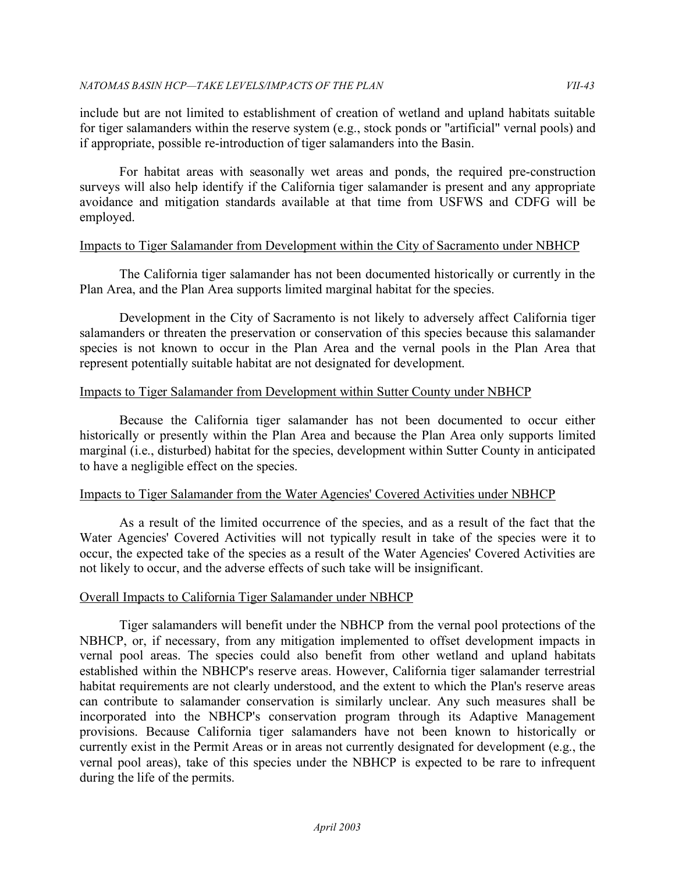include but are not limited to establishment of creation of wetland and upland habitats suitable for tiger salamanders within the reserve system (e.g., stock ponds or "artificial" vernal pools) and if appropriate, possible re-introduction of tiger salamanders into the Basin.

 For habitat areas with seasonally wet areas and ponds, the required pre-construction surveys will also help identify if the California tiger salamander is present and any appropriate avoidance and mitigation standards available at that time from USFWS and CDFG will be employed.

## Impacts to Tiger Salamander from Development within the City of Sacramento under NBHCP

 The California tiger salamander has not been documented historically or currently in the Plan Area, and the Plan Area supports limited marginal habitat for the species.

 Development in the City of Sacramento is not likely to adversely affect California tiger salamanders or threaten the preservation or conservation of this species because this salamander species is not known to occur in the Plan Area and the vernal pools in the Plan Area that represent potentially suitable habitat are not designated for development.

## Impacts to Tiger Salamander from Development within Sutter County under NBHCP

 Because the California tiger salamander has not been documented to occur either historically or presently within the Plan Area and because the Plan Area only supports limited marginal (i.e., disturbed) habitat for the species, development within Sutter County in anticipated to have a negligible effect on the species.

## Impacts to Tiger Salamander from the Water Agencies' Covered Activities under NBHCP

 As a result of the limited occurrence of the species, and as a result of the fact that the Water Agencies' Covered Activities will not typically result in take of the species were it to occur, the expected take of the species as a result of the Water Agencies' Covered Activities are not likely to occur, and the adverse effects of such take will be insignificant.

## Overall Impacts to California Tiger Salamander under NBHCP

 Tiger salamanders will benefit under the NBHCP from the vernal pool protections of the NBHCP, or, if necessary, from any mitigation implemented to offset development impacts in vernal pool areas. The species could also benefit from other wetland and upland habitats established within the NBHCP's reserve areas. However, California tiger salamander terrestrial habitat requirements are not clearly understood, and the extent to which the Plan's reserve areas can contribute to salamander conservation is similarly unclear. Any such measures shall be incorporated into the NBHCP's conservation program through its Adaptive Management provisions. Because California tiger salamanders have not been known to historically or currently exist in the Permit Areas or in areas not currently designated for development (e.g., the vernal pool areas), take of this species under the NBHCP is expected to be rare to infrequent during the life of the permits.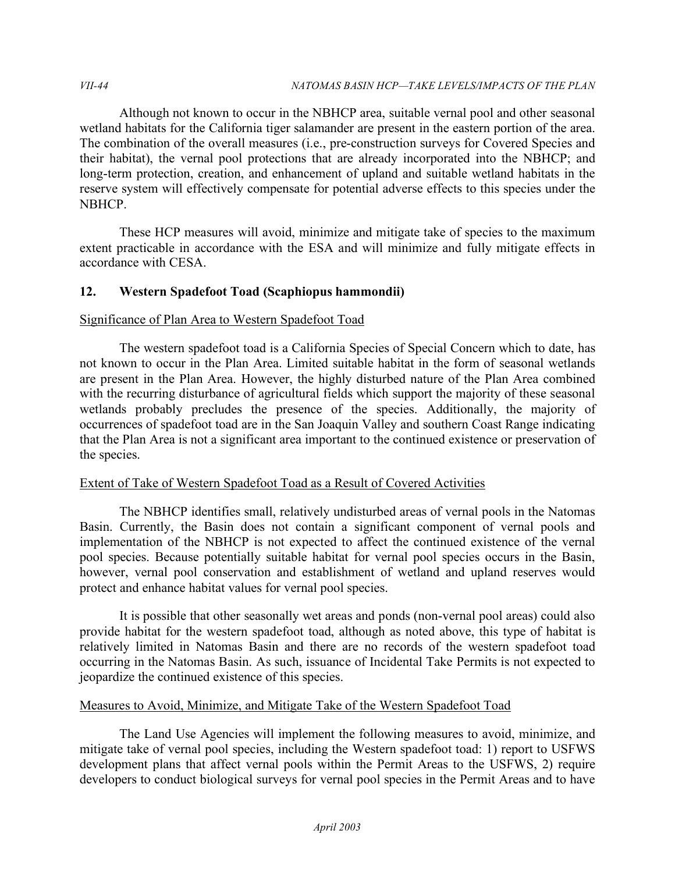Although not known to occur in the NBHCP area, suitable vernal pool and other seasonal wetland habitats for the California tiger salamander are present in the eastern portion of the area. The combination of the overall measures (i.e., pre-construction surveys for Covered Species and their habitat), the vernal pool protections that are already incorporated into the NBHCP; and long-term protection, creation, and enhancement of upland and suitable wetland habitats in the reserve system will effectively compensate for potential adverse effects to this species under the NBHCP.

 These HCP measures will avoid, minimize and mitigate take of species to the maximum extent practicable in accordance with the ESA and will minimize and fully mitigate effects in accordance with CESA.

# **12. Western Spadefoot Toad (Scaphiopus hammondii)**

## Significance of Plan Area to Western Spadefoot Toad

 The western spadefoot toad is a California Species of Special Concern which to date, has not known to occur in the Plan Area. Limited suitable habitat in the form of seasonal wetlands are present in the Plan Area. However, the highly disturbed nature of the Plan Area combined with the recurring disturbance of agricultural fields which support the majority of these seasonal wetlands probably precludes the presence of the species. Additionally, the majority of occurrences of spadefoot toad are in the San Joaquin Valley and southern Coast Range indicating that the Plan Area is not a significant area important to the continued existence or preservation of the species.

## Extent of Take of Western Spadefoot Toad as a Result of Covered Activities

 The NBHCP identifies small, relatively undisturbed areas of vernal pools in the Natomas Basin. Currently, the Basin does not contain a significant component of vernal pools and implementation of the NBHCP is not expected to affect the continued existence of the vernal pool species. Because potentially suitable habitat for vernal pool species occurs in the Basin, however, vernal pool conservation and establishment of wetland and upland reserves would protect and enhance habitat values for vernal pool species.

 It is possible that other seasonally wet areas and ponds (non-vernal pool areas) could also provide habitat for the western spadefoot toad, although as noted above, this type of habitat is relatively limited in Natomas Basin and there are no records of the western spadefoot toad occurring in the Natomas Basin. As such, issuance of Incidental Take Permits is not expected to jeopardize the continued existence of this species.

# Measures to Avoid, Minimize, and Mitigate Take of the Western Spadefoot Toad

 The Land Use Agencies will implement the following measures to avoid, minimize, and mitigate take of vernal pool species, including the Western spadefoot toad: 1) report to USFWS development plans that affect vernal pools within the Permit Areas to the USFWS, 2) require developers to conduct biological surveys for vernal pool species in the Permit Areas and to have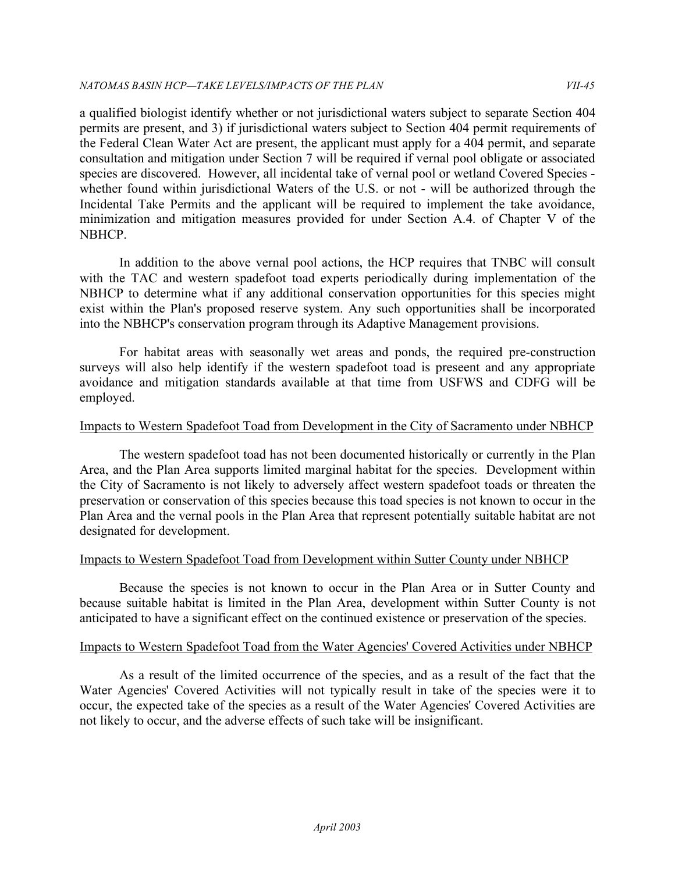a qualified biologist identify whether or not jurisdictional waters subject to separate Section 404 permits are present, and 3) if jurisdictional waters subject to Section 404 permit requirements of the Federal Clean Water Act are present, the applicant must apply for a 404 permit, and separate consultation and mitigation under Section 7 will be required if vernal pool obligate or associated species are discovered. However, all incidental take of vernal pool or wetland Covered Species - whether found within jurisdictional Waters of the U.S. or not - will be authorized through the Incidental Take Permits and the applicant will be required to implement the take avoidance, minimization and mitigation measures provided for under Section A.4. of Chapter V of the NBHCP.

 In addition to the above vernal pool actions, the HCP requires that TNBC will consult with the TAC and western spadefoot toad experts periodically during implementation of the NBHCP to determine what if any additional conservation opportunities for this species might exist within the Plan's proposed reserve system. Any such opportunities shall be incorporated into the NBHCP's conservation program through its Adaptive Management provisions.

 For habitat areas with seasonally wet areas and ponds, the required pre-construction surveys will also help identify if the western spadefoot toad is preseent and any appropriate avoidance and mitigation standards available at that time from USFWS and CDFG will be employed.

#### Impacts to Western Spadefoot Toad from Development in the City of Sacramento under NBHCP

 The western spadefoot toad has not been documented historically or currently in the Plan Area, and the Plan Area supports limited marginal habitat for the species. Development within the City of Sacramento is not likely to adversely affect western spadefoot toads or threaten the preservation or conservation of this species because this toad species is not known to occur in the Plan Area and the vernal pools in the Plan Area that represent potentially suitable habitat are not designated for development.

## Impacts to Western Spadefoot Toad from Development within Sutter County under NBHCP

 Because the species is not known to occur in the Plan Area or in Sutter County and because suitable habitat is limited in the Plan Area, development within Sutter County is not anticipated to have a significant effect on the continued existence or preservation of the species.

## Impacts to Western Spadefoot Toad from the Water Agencies' Covered Activities under NBHCP

 As a result of the limited occurrence of the species, and as a result of the fact that the Water Agencies' Covered Activities will not typically result in take of the species were it to occur, the expected take of the species as a result of the Water Agencies' Covered Activities are not likely to occur, and the adverse effects of such take will be insignificant.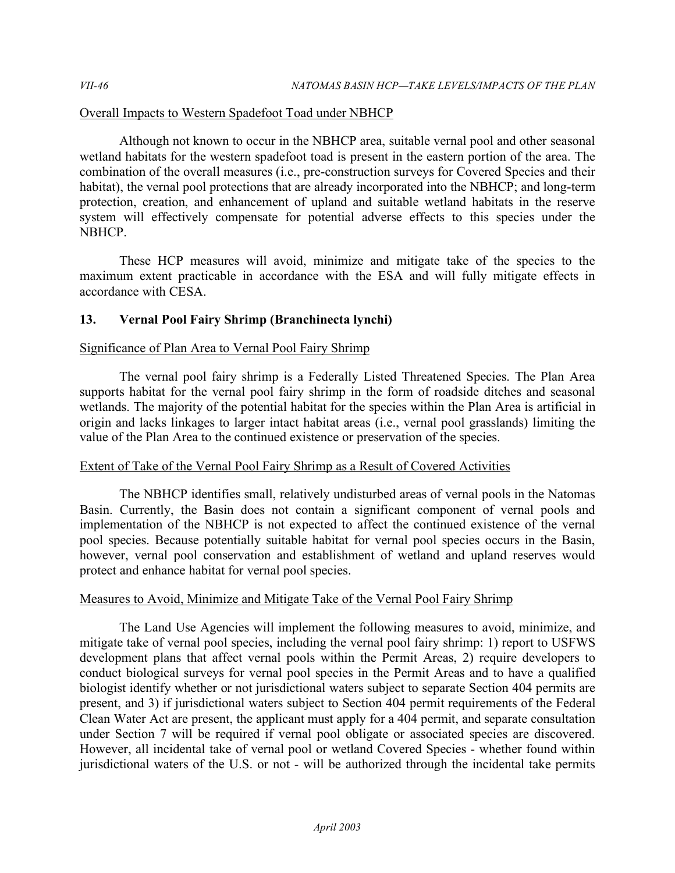## Overall Impacts to Western Spadefoot Toad under NBHCP

 Although not known to occur in the NBHCP area, suitable vernal pool and other seasonal wetland habitats for the western spadefoot toad is present in the eastern portion of the area. The combination of the overall measures (i.e., pre-construction surveys for Covered Species and their habitat), the vernal pool protections that are already incorporated into the NBHCP; and long-term protection, creation, and enhancement of upland and suitable wetland habitats in the reserve system will effectively compensate for potential adverse effects to this species under the NBHCP.

 These HCP measures will avoid, minimize and mitigate take of the species to the maximum extent practicable in accordance with the ESA and will fully mitigate effects in accordance with CESA.

## **13. Vernal Pool Fairy Shrimp (Branchinecta lynchi)**

# Significance of Plan Area to Vernal Pool Fairy Shrimp

 The vernal pool fairy shrimp is a Federally Listed Threatened Species. The Plan Area supports habitat for the vernal pool fairy shrimp in the form of roadside ditches and seasonal wetlands. The majority of the potential habitat for the species within the Plan Area is artificial in origin and lacks linkages to larger intact habitat areas (i.e., vernal pool grasslands) limiting the value of the Plan Area to the continued existence or preservation of the species.

# Extent of Take of the Vernal Pool Fairy Shrimp as a Result of Covered Activities

 The NBHCP identifies small, relatively undisturbed areas of vernal pools in the Natomas Basin. Currently, the Basin does not contain a significant component of vernal pools and implementation of the NBHCP is not expected to affect the continued existence of the vernal pool species. Because potentially suitable habitat for vernal pool species occurs in the Basin, however, vernal pool conservation and establishment of wetland and upland reserves would protect and enhance habitat for vernal pool species.

## Measures to Avoid, Minimize and Mitigate Take of the Vernal Pool Fairy Shrimp

 The Land Use Agencies will implement the following measures to avoid, minimize, and mitigate take of vernal pool species, including the vernal pool fairy shrimp: 1) report to USFWS development plans that affect vernal pools within the Permit Areas, 2) require developers to conduct biological surveys for vernal pool species in the Permit Areas and to have a qualified biologist identify whether or not jurisdictional waters subject to separate Section 404 permits are present, and 3) if jurisdictional waters subject to Section 404 permit requirements of the Federal Clean Water Act are present, the applicant must apply for a 404 permit, and separate consultation under Section 7 will be required if vernal pool obligate or associated species are discovered. However, all incidental take of vernal pool or wetland Covered Species - whether found within jurisdictional waters of the U.S. or not - will be authorized through the incidental take permits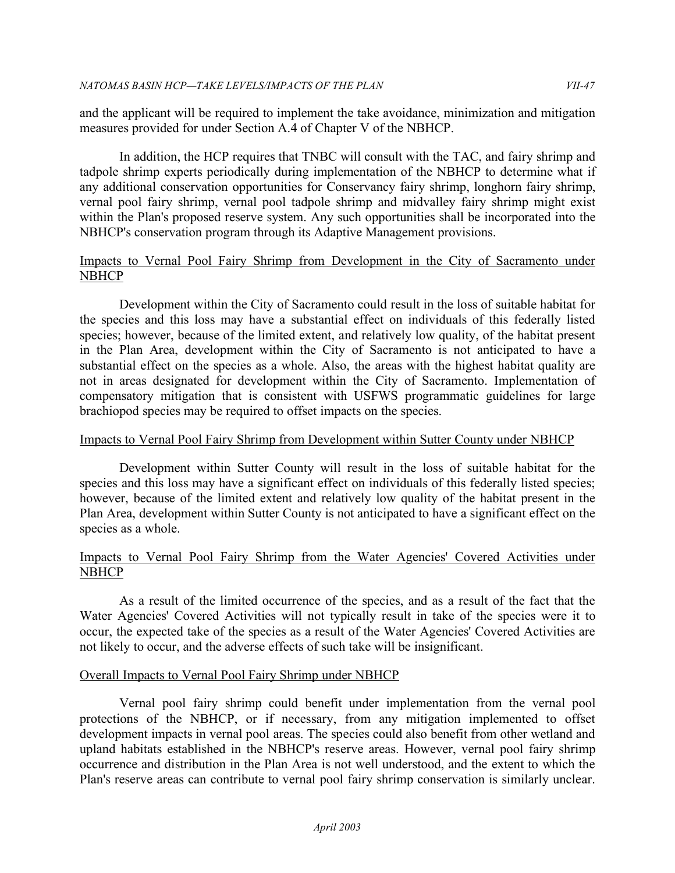and the applicant will be required to implement the take avoidance, minimization and mitigation measures provided for under Section A.4 of Chapter V of the NBHCP.

 In addition, the HCP requires that TNBC will consult with the TAC, and fairy shrimp and tadpole shrimp experts periodically during implementation of the NBHCP to determine what if any additional conservation opportunities for Conservancy fairy shrimp, longhorn fairy shrimp, vernal pool fairy shrimp, vernal pool tadpole shrimp and midvalley fairy shrimp might exist within the Plan's proposed reserve system. Any such opportunities shall be incorporated into the NBHCP's conservation program through its Adaptive Management provisions.

## Impacts to Vernal Pool Fairy Shrimp from Development in the City of Sacramento under **NBHCP**

 Development within the City of Sacramento could result in the loss of suitable habitat for the species and this loss may have a substantial effect on individuals of this federally listed species; however, because of the limited extent, and relatively low quality, of the habitat present in the Plan Area, development within the City of Sacramento is not anticipated to have a substantial effect on the species as a whole. Also, the areas with the highest habitat quality are not in areas designated for development within the City of Sacramento. Implementation of compensatory mitigation that is consistent with USFWS programmatic guidelines for large brachiopod species may be required to offset impacts on the species.

## Impacts to Vernal Pool Fairy Shrimp from Development within Sutter County under NBHCP

 Development within Sutter County will result in the loss of suitable habitat for the species and this loss may have a significant effect on individuals of this federally listed species; however, because of the limited extent and relatively low quality of the habitat present in the Plan Area, development within Sutter County is not anticipated to have a significant effect on the species as a whole.

## Impacts to Vernal Pool Fairy Shrimp from the Water Agencies' Covered Activities under **NBHCP**

 As a result of the limited occurrence of the species, and as a result of the fact that the Water Agencies' Covered Activities will not typically result in take of the species were it to occur, the expected take of the species as a result of the Water Agencies' Covered Activities are not likely to occur, and the adverse effects of such take will be insignificant.

## Overall Impacts to Vernal Pool Fairy Shrimp under NBHCP

 Vernal pool fairy shrimp could benefit under implementation from the vernal pool protections of the NBHCP, or if necessary, from any mitigation implemented to offset development impacts in vernal pool areas. The species could also benefit from other wetland and upland habitats established in the NBHCP's reserve areas. However, vernal pool fairy shrimp occurrence and distribution in the Plan Area is not well understood, and the extent to which the Plan's reserve areas can contribute to vernal pool fairy shrimp conservation is similarly unclear.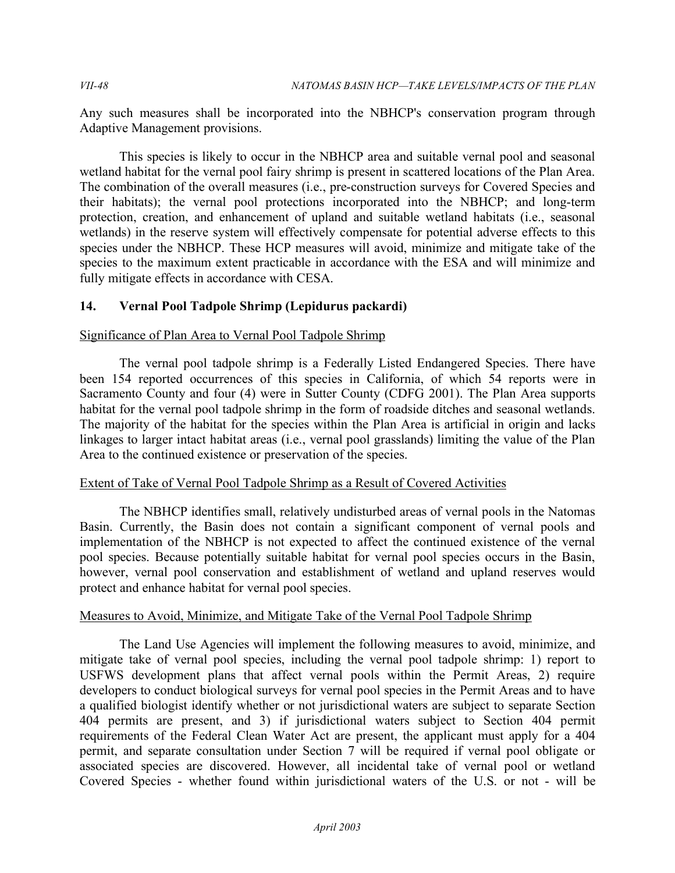Any such measures shall be incorporated into the NBHCP's conservation program through Adaptive Management provisions.

 This species is likely to occur in the NBHCP area and suitable vernal pool and seasonal wetland habitat for the vernal pool fairy shrimp is present in scattered locations of the Plan Area. The combination of the overall measures (i.e., pre-construction surveys for Covered Species and their habitats); the vernal pool protections incorporated into the NBHCP; and long-term protection, creation, and enhancement of upland and suitable wetland habitats (i.e., seasonal wetlands) in the reserve system will effectively compensate for potential adverse effects to this species under the NBHCP. These HCP measures will avoid, minimize and mitigate take of the species to the maximum extent practicable in accordance with the ESA and will minimize and fully mitigate effects in accordance with CESA.

# **14. Vernal Pool Tadpole Shrimp (Lepidurus packardi)**

## Significance of Plan Area to Vernal Pool Tadpole Shrimp

 The vernal pool tadpole shrimp is a Federally Listed Endangered Species. There have been 154 reported occurrences of this species in California, of which 54 reports were in Sacramento County and four (4) were in Sutter County (CDFG 2001). The Plan Area supports habitat for the vernal pool tadpole shrimp in the form of roadside ditches and seasonal wetlands. The majority of the habitat for the species within the Plan Area is artificial in origin and lacks linkages to larger intact habitat areas (i.e., vernal pool grasslands) limiting the value of the Plan Area to the continued existence or preservation of the species.

## Extent of Take of Vernal Pool Tadpole Shrimp as a Result of Covered Activities

 The NBHCP identifies small, relatively undisturbed areas of vernal pools in the Natomas Basin. Currently, the Basin does not contain a significant component of vernal pools and implementation of the NBHCP is not expected to affect the continued existence of the vernal pool species. Because potentially suitable habitat for vernal pool species occurs in the Basin, however, vernal pool conservation and establishment of wetland and upland reserves would protect and enhance habitat for vernal pool species.

# Measures to Avoid, Minimize, and Mitigate Take of the Vernal Pool Tadpole Shrimp

 The Land Use Agencies will implement the following measures to avoid, minimize, and mitigate take of vernal pool species, including the vernal pool tadpole shrimp: 1) report to USFWS development plans that affect vernal pools within the Permit Areas, 2) require developers to conduct biological surveys for vernal pool species in the Permit Areas and to have a qualified biologist identify whether or not jurisdictional waters are subject to separate Section 404 permits are present, and 3) if jurisdictional waters subject to Section 404 permit requirements of the Federal Clean Water Act are present, the applicant must apply for a 404 permit, and separate consultation under Section 7 will be required if vernal pool obligate or associated species are discovered. However, all incidental take of vernal pool or wetland Covered Species - whether found within jurisdictional waters of the U.S. or not - will be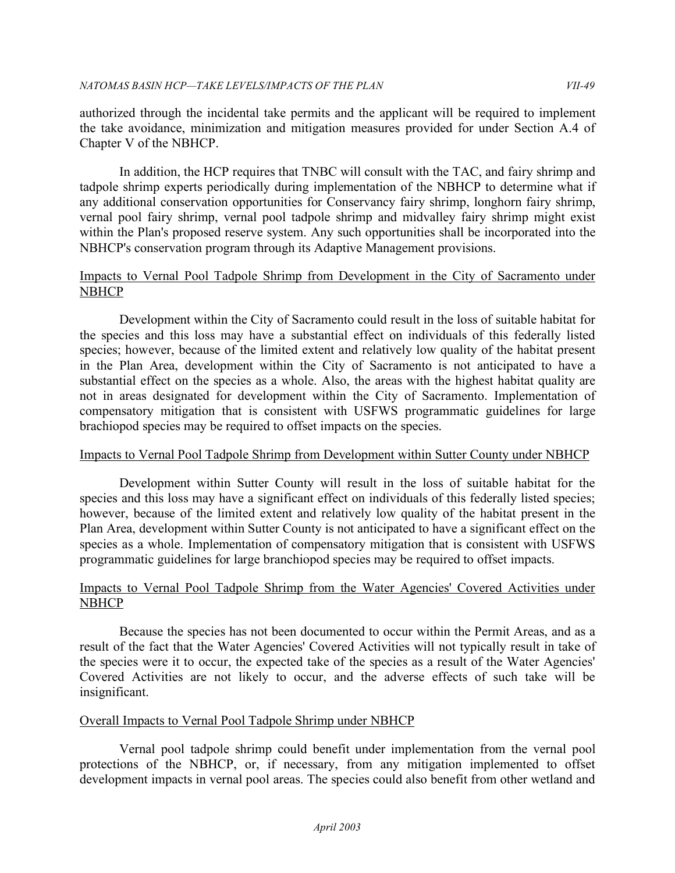authorized through the incidental take permits and the applicant will be required to implement the take avoidance, minimization and mitigation measures provided for under Section A.4 of Chapter V of the NBHCP.

 In addition, the HCP requires that TNBC will consult with the TAC, and fairy shrimp and tadpole shrimp experts periodically during implementation of the NBHCP to determine what if vernal pool fairy shrimp, vernal pool tadpole shrimp and midvalley fairy shrimp might exist within the Plan's proposed reserve system. Any such opportunities shall be incorporated into the NBHCP's conservation program through its Adaptive Management provisions. any additional conservation opportunities for Conservancy fairy shrimp, longhorn fairy shrimp,

## Impacts to Vernal Pool Tadpole Shrimp from Development in the City of Sacramento under **NBHCP**

 Development within the City of Sacramento could result in the loss of suitable habitat for the species and this loss may have a substantial effect on individuals of this federally listed species; however, because of the limited extent and relatively low quality of the habitat present in the Plan Area, development within the City of Sacramento is not anticipated to have a substantial effect on the species as a whole. Also, the areas with the highest habitat quality are not in areas designated for development within the City of Sacramento. Implementation of compensatory mitigation that is consistent with USFWS programmatic guidelines for large brachiopod species may be required to offset impacts on the species.

# Impacts to Vernal Pool Tadpole Shrimp from Development within Sutter County under NBHCP

 Development within Sutter County will result in the loss of suitable habitat for the species and this loss may have a significant effect on individuals of this federally listed species; however, because of the limited extent and relatively low quality of the habitat present in the Plan Area, development within Sutter County is not anticipated to have a significant effect on the species as a whole. Implementation of compensatory mitigation that is consistent with USFWS programmatic guidelines for large branchiopod species may be required to offset impacts.

## Impacts to Vernal Pool Tadpole Shrimp from the Water Agencies' Covered Activities under **NBHCP**

 Because the species has not been documented to occur within the Permit Areas, and as a result of the fact that the Water Agencies' Covered Activities will not typically result in take of the species were it to occur, the expected take of the species as a result of the Water Agencies' Covered Activities are not likely to occur, and the adverse effects of such take will be insignificant.

## Overall Impacts to Vernal Pool Tadpole Shrimp under NBHCP

 Vernal pool tadpole shrimp could benefit under implementation from the vernal pool protections of the NBHCP, or, if necessary, from any mitigation implemented to offset development impacts in vernal pool areas. The species could also benefit from other wetland and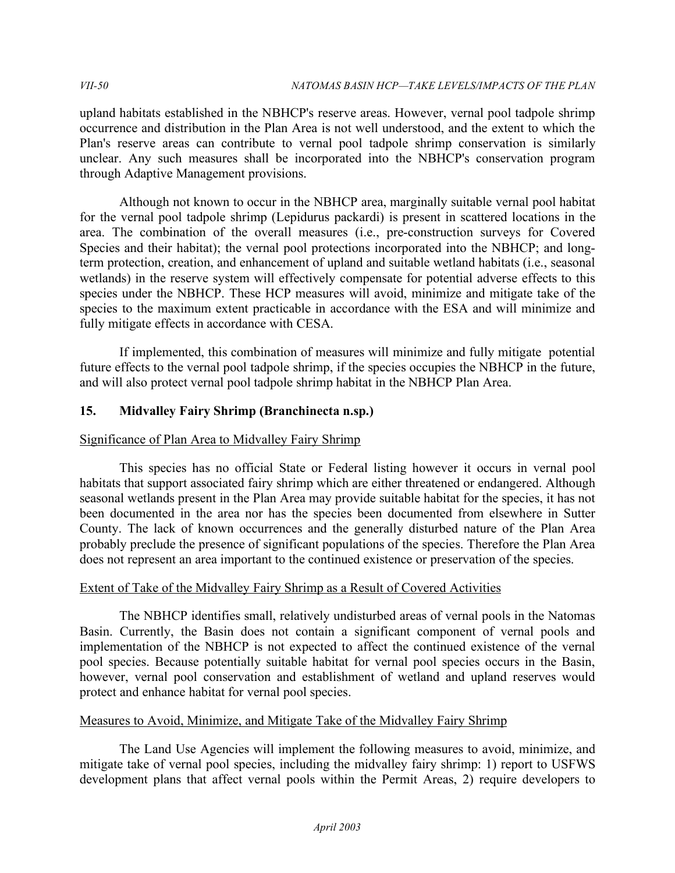upland habitats established in the NBHCP's reserve areas. However, vernal pool tadpole shrimp occurrence and distribution in the Plan Area is not well understood, and the extent to which the Plan's reserve areas can contribute to vernal pool tadpole shrimp conservation is similarly unclear. Any such measures shall be incorporated into the NBHCP's conservation program through Adaptive Management provisions.

Although not known to occur in the NBHCP area, marginally suitable vernal pool habitat for the vernal pool tadpole shrimp (Lepidurus packardi) is present in scattered locations in the area. The combination of the overall measures (i.e., pre-construction surveys for Covered Species and their habitat); the vernal pool protections incorporated into the NBHCP; and longterm protection, creation, and enhancement of upland and suitable wetland habitats (i.e., seasonal wetlands) in the reserve system will effectively compensate for potential adverse effects to this species under the NBHCP. These HCP measures will avoid, minimize and mitigate take of the species to the maximum extent practicable in accordance with the ESA and will minimize and fully mitigate effects in accordance with CESA.

 If implemented, this combination of measures will minimize and fully mitigate potential future effects to the vernal pool tadpole shrimp, if the species occupies the NBHCP in the future, and will also protect vernal pool tadpole shrimp habitat in the NBHCP Plan Area.

# **15. Midvalley Fairy Shrimp (Branchinecta n.sp.)**

# Significance of Plan Area to Midvalley Fairy Shrimp

 This species has no official State or Federal listing however it occurs in vernal pool habitats that support associated fairy shrimp which are either threatened or endangered. Although seasonal wetlands present in the Plan Area may provide suitable habitat for the species, it has not been documented in the area nor has the species been documented from elsewhere in Sutter County. The lack of known occurrences and the generally disturbed nature of the Plan Area probably preclude the presence of significant populations of the species. Therefore the Plan Area does not represent an area important to the continued existence or preservation of the species.

## Extent of Take of the Midvalley Fairy Shrimp as a Result of Covered Activities

 The NBHCP identifies small, relatively undisturbed areas of vernal pools in the Natomas Basin. Currently, the Basin does not contain a significant component of vernal pools and implementation of the NBHCP is not expected to affect the continued existence of the vernal pool species. Because potentially suitable habitat for vernal pool species occurs in the Basin, however, vernal pool conservation and establishment of wetland and upland reserves would protect and enhance habitat for vernal pool species.

## Measures to Avoid, Minimize, and Mitigate Take of the Midvalley Fairy Shrimp

 The Land Use Agencies will implement the following measures to avoid, minimize, and mitigate take of vernal pool species, including the midvalley fairy shrimp: 1) report to USFWS development plans that affect vernal pools within the Permit Areas, 2) require developers to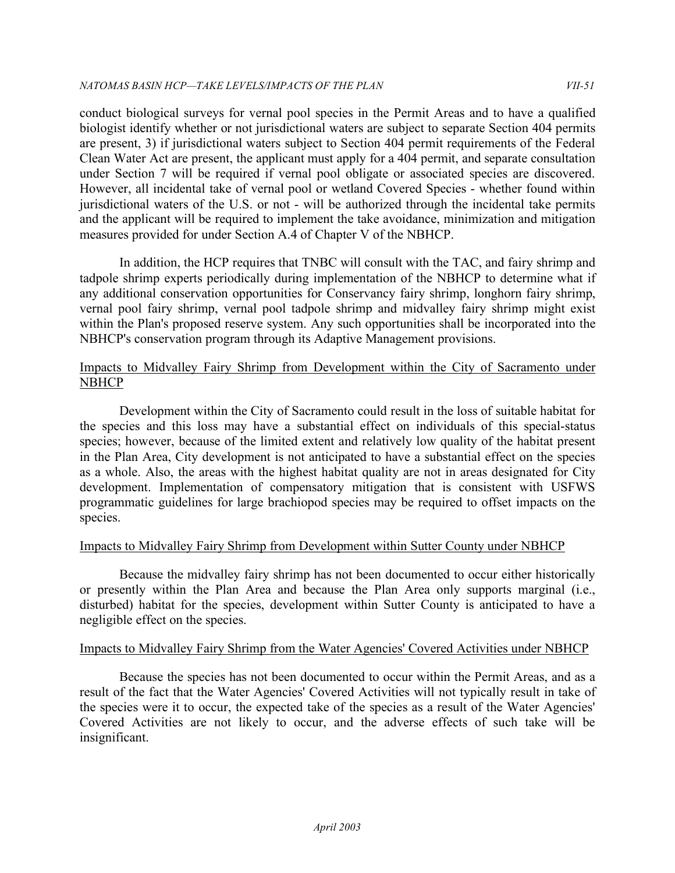conduct biological surveys for vernal pool species in the Permit Areas and to have a qualified biologist identify whether or not jurisdictional waters are subject to separate Section 404 permits are present, 3) if jurisdictional waters subject to Section 404 permit requirements of the Federal Clean Water Act are present, the applicant must apply for a 404 permit, and separate consultation under Section 7 will be required if vernal pool obligate or associated species are discovered. However, all incidental take of vernal pool or wetland Covered Species - whether found within jurisdictional waters of the U.S. or not - will be authorized through the incidental take permits and the applicant will be required to implement the take avoidance, minimization and mitigation measures provided for under Section A.4 of Chapter V of the NBHCP.

 In addition, the HCP requires that TNBC will consult with the TAC, and fairy shrimp and tadpole shrimp experts periodically during implementation of the NBHCP to determine what if any additional conservation opportunities for Conservancy fairy shrimp, longhorn fairy shrimp, vernal pool fairy shrimp, vernal pool tadpole shrimp and midvalley fairy shrimp might exist within the Plan's proposed reserve system. Any such opportunities shall be incorporated into the NBHCP's conservation program through its Adaptive Management provisions.

## Impacts to Midvalley Fairy Shrimp from Development within the City of Sacramento under **NBHCP**

 Development within the City of Sacramento could result in the loss of suitable habitat for the species and this loss may have a substantial effect on individuals of this special-status species; however, because of the limited extent and relatively low quality of the habitat present in the Plan Area, City development is not anticipated to have a substantial effect on the species as a whole. Also, the areas with the highest habitat quality are not in areas designated for City development. Implementation of compensatory mitigation that is consistent with USFWS programmatic guidelines for large brachiopod species may be required to offset impacts on the species.

# Impacts to Midvalley Fairy Shrimp from Development within Sutter County under NBHCP

 Because the midvalley fairy shrimp has not been documented to occur either historically or presently within the Plan Area and because the Plan Area only supports marginal (i.e., disturbed) habitat for the species, development within Sutter County is anticipated to have a negligible effect on the species.

## Impacts to Midvalley Fairy Shrimp from the Water Agencies' Covered Activities under NBHCP

 Because the species has not been documented to occur within the Permit Areas, and as a result of the fact that the Water Agencies' Covered Activities will not typically result in take of the species were it to occur, the expected take of the species as a result of the Water Agencies' Covered Activities are not likely to occur, and the adverse effects of such take will be insignificant.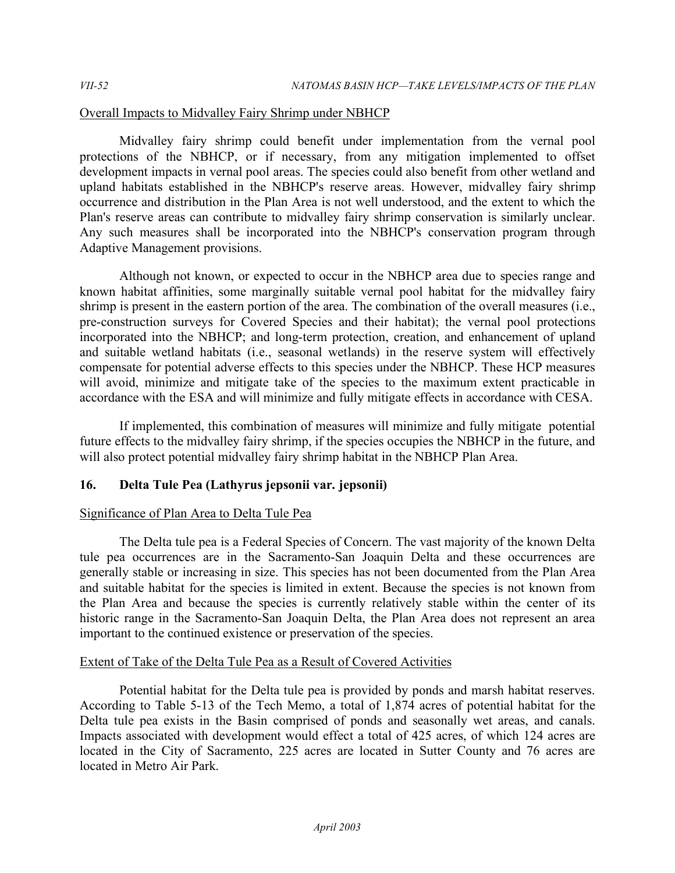# Overall Impacts to Midvalley Fairy Shrimp under NBHCP

 Midvalley fairy shrimp could benefit under implementation from the vernal pool protections of the NBHCP, or if necessary, from any mitigation implemented to offset development impacts in vernal pool areas. The species could also benefit from other wetland and upland habitats established in the NBHCP's reserve areas. However, midvalley fairy shrimp occurrence and distribution in the Plan Area is not well understood, and the extent to which the Plan's reserve areas can contribute to midvalley fairy shrimp conservation is similarly unclear. Any such measures shall be incorporated into the NBHCP's conservation program through Adaptive Management provisions.

 Although not known, or expected to occur in the NBHCP area due to species range and known habitat affinities, some marginally suitable vernal pool habitat for the midvalley fairy shrimp is present in the eastern portion of the area. The combination of the overall measures (i.e., pre-construction surveys for Covered Species and their habitat); the vernal pool protections incorporated into the NBHCP; and long-term protection, creation, and enhancement of upland and suitable wetland habitats (i.e., seasonal wetlands) in the reserve system will effectively compensate for potential adverse effects to this species under the NBHCP. These HCP measures will avoid, minimize and mitigate take of the species to the maximum extent practicable in accordance with the ESA and will minimize and fully mitigate effects in accordance with CESA.

 If implemented, this combination of measures will minimize and fully mitigate potential future effects to the midvalley fairy shrimp, if the species occupies the NBHCP in the future, and will also protect potential midvalley fairy shrimp habitat in the NBHCP Plan Area.

# **16. Delta Tule Pea (Lathyrus jepsonii var. jepsonii)**

# Significance of Plan Area to Delta Tule Pea

 The Delta tule pea is a Federal Species of Concern. The vast majority of the known Delta tule pea occurrences are in the Sacramento-San Joaquin Delta and these occurrences are generally stable or increasing in size. This species has not been documented from the Plan Area and suitable habitat for the species is limited in extent. Because the species is not known from the Plan Area and because the species is currently relatively stable within the center of its historic range in the Sacramento-San Joaquin Delta, the Plan Area does not represent an area important to the continued existence or preservation of the species.

## Extent of Take of the Delta Tule Pea as a Result of Covered Activities

 Potential habitat for the Delta tule pea is provided by ponds and marsh habitat reserves. According to Table 5-13 of the Tech Memo, a total of 1,874 acres of potential habitat for the Delta tule pea exists in the Basin comprised of ponds and seasonally wet areas, and canals. Impacts associated with development would effect a total of 425 acres, of which 124 acres are located in the City of Sacramento, 225 acres are located in Sutter County and 76 acres are located in Metro Air Park.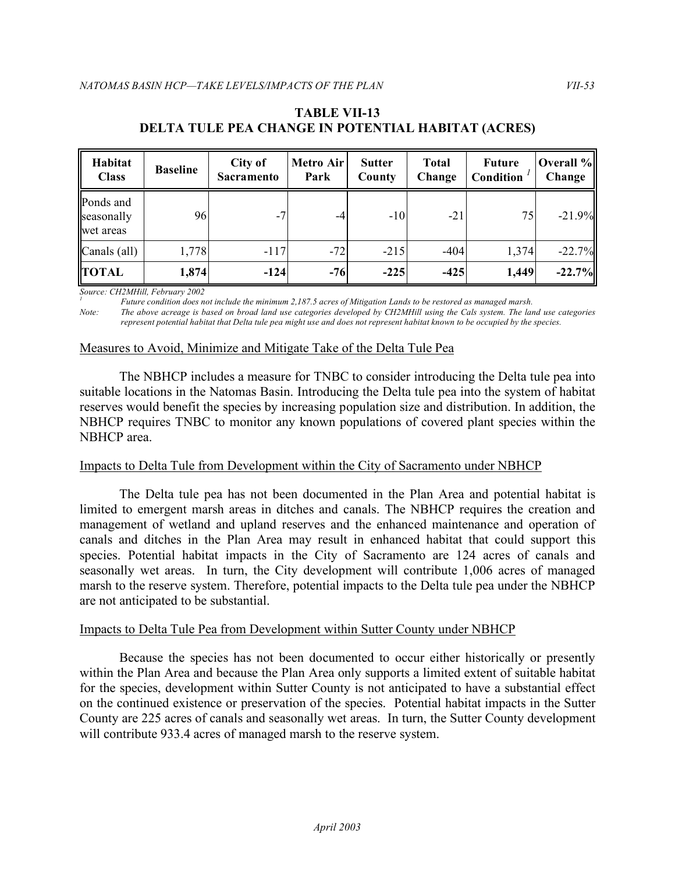| Habitat<br><b>Class</b>              | <b>Baseline</b> | City of<br><b>Sacramento</b> | Metro Air<br>Park | <b>Sutter</b><br>County | <b>Total</b><br>Change | <b>Future</b><br>Condition | Overall %<br>Change |
|--------------------------------------|-----------------|------------------------------|-------------------|-------------------------|------------------------|----------------------------|---------------------|
| Ponds and<br>seasonally<br>wet areas | 96              | $-7$                         | $-4$              | $-10$                   | $-21$                  | 75                         | $-21.9%$            |
| Canals (all)                         | 1,778           | $-117$                       | $-72$             | $-215$                  | $-404$                 | 1,374                      | $-22.7%$            |
| <b>TOTAL</b>                         | 1,874           | $-124$                       | $-76$             | $-225$                  | $-425$                 | 1,449                      | $-22.7\%$           |

## **DELTA TULE PEA CHANGE IN POTENTIAL HABITAT (ACRES) TABLE VII-13**

 *Source: CH2MHill, February 2002*

<sup>1</sup> Future condition does not include the minimum 2,187.5 acres of Mitigation Lands to be restored as managed marsh.

*Note: The above acreage is based on broad land use categories developed by CH2MHill using the Cals system. The land use categories represent potential habitat that Delta tule pea might use and does not represent habitat known to be occupied by the species.* 

## Measures to Avoid, Minimize and Mitigate Take of the Delta Tule Pea

 The NBHCP includes a measure for TNBC to consider introducing the Delta tule pea into suitable locations in the Natomas Basin. Introducing the Delta tule pea into the system of habitat reserves would benefit the species by increasing population size and distribution. In addition, the NBHCP requires TNBC to monitor any known populations of covered plant species within the NBHCP area.

## Impacts to Delta Tule from Development within the City of Sacramento under NBHCP

 The Delta tule pea has not been documented in the Plan Area and potential habitat is limited to emergent marsh areas in ditches and canals. The NBHCP requires the creation and management of wetland and upland reserves and the enhanced maintenance and operation of canals and ditches in the Plan Area may result in enhanced habitat that could support this species. Potential habitat impacts in the City of Sacramento are 124 acres of canals and seasonally wet areas. In turn, the City development will contribute 1,006 acres of managed marsh to the reserve system. Therefore, potential impacts to the Delta tule pea under the NBHCP are not anticipated to be substantial.

#### Impacts to Delta Tule Pea from Development within Sutter County under NBHCP

 Because the species has not been documented to occur either historically or presently within the Plan Area and because the Plan Area only supports a limited extent of suitable habitat for the species, development within Sutter County is not anticipated to have a substantial effect on the continued existence or preservation of the species. Potential habitat impacts in the Sutter County are 225 acres of canals and seasonally wet areas. In turn, the Sutter County development will contribute 933.4 acres of managed marsh to the reserve system.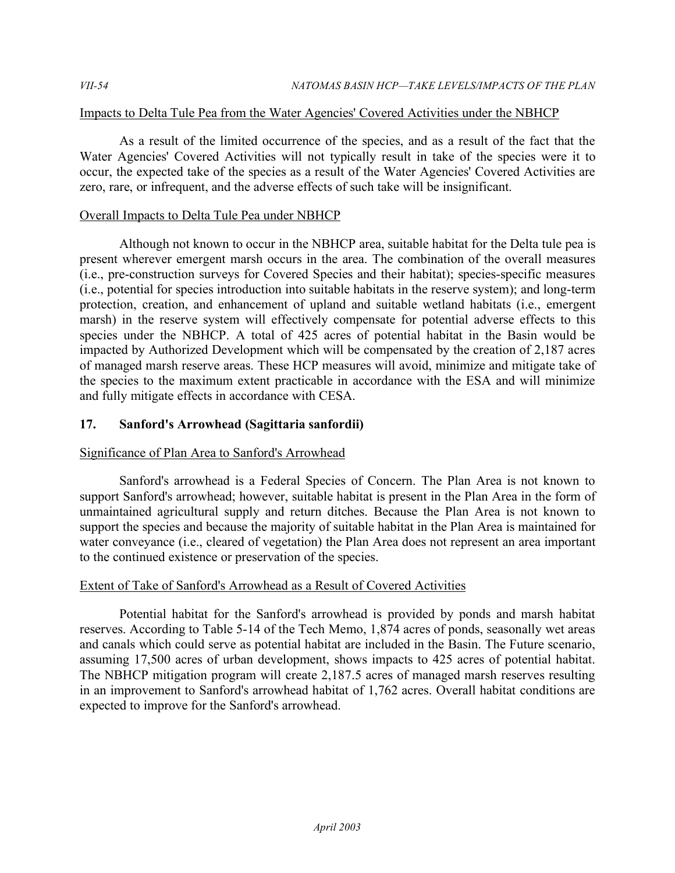## Impacts to Delta Tule Pea from the Water Agencies' Covered Activities under the NBHCP

 As a result of the limited occurrence of the species, and as a result of the fact that the Water Agencies' Covered Activities will not typically result in take of the species were it to occur, the expected take of the species as a result of the Water Agencies' Covered Activities are zero, rare, or infrequent, and the adverse effects of such take will be insignificant.

## Overall Impacts to Delta Tule Pea under NBHCP

 Although not known to occur in the NBHCP area, suitable habitat for the Delta tule pea is present wherever emergent marsh occurs in the area. The combination of the overall measures (i.e., pre-construction surveys for Covered Species and their habitat); species-specific measures (i.e., potential for species introduction into suitable habitats in the reserve system); and long-term protection, creation, and enhancement of upland and suitable wetland habitats (i.e., emergent marsh) in the reserve system will effectively compensate for potential adverse effects to this species under the NBHCP. A total of 425 acres of potential habitat in the Basin would be impacted by Authorized Development which will be compensated by the creation of 2,187 acres of managed marsh reserve areas. These HCP measures will avoid, minimize and mitigate take of the species to the maximum extent practicable in accordance with the ESA and will minimize and fully mitigate effects in accordance with CESA.

## **17. Sanford's Arrowhead (Sagittaria sanfordii)**

## Significance of Plan Area to Sanford's Arrowhead

 Sanford's arrowhead is a Federal Species of Concern. The Plan Area is not known to support Sanford's arrowhead; however, suitable habitat is present in the Plan Area in the form of unmaintained agricultural supply and return ditches. Because the Plan Area is not known to support the species and because the majority of suitable habitat in the Plan Area is maintained for water conveyance (i.e., cleared of vegetation) the Plan Area does not represent an area important to the continued existence or preservation of the species.

## Extent of Take of Sanford's Arrowhead as a Result of Covered Activities

 Potential habitat for the Sanford's arrowhead is provided by ponds and marsh habitat reserves. According to Table 5-14 of the Tech Memo, 1,874 acres of ponds, seasonally wet areas and canals which could serve as potential habitat are included in the Basin. The Future scenario, assuming 17,500 acres of urban development, shows impacts to 425 acres of potential habitat. The NBHCP mitigation program will create 2,187.5 acres of managed marsh reserves resulting in an improvement to Sanford's arrowhead habitat of 1,762 acres. Overall habitat conditions are expected to improve for the Sanford's arrowhead.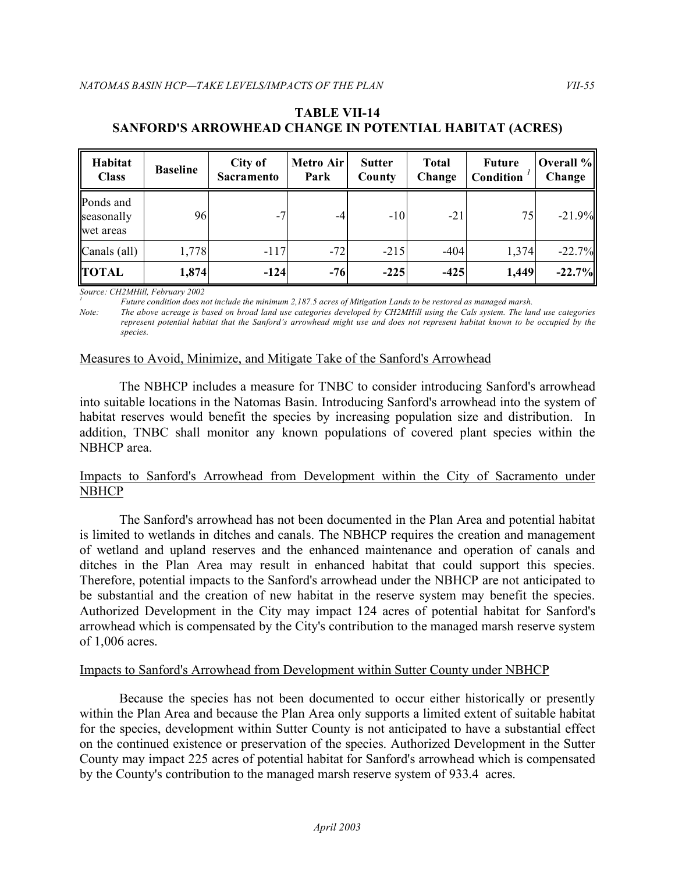## **SANFORD'S ARROWHEAD CHANGE IN POTENTIAL HABITAT (ACRES) TABLE VII-14**

| Habitat<br><b>Class</b>              | <b>Baseline</b> | City of<br><b>Sacramento</b> |       | <b>Metro Air</b><br><b>Sutter</b><br>Change<br>Park<br>County |        | <b>Future</b><br>Condition | Overall %<br>Change |  |
|--------------------------------------|-----------------|------------------------------|-------|---------------------------------------------------------------|--------|----------------------------|---------------------|--|
| Ponds and<br>seasonally<br>wet areas | 96              | $-7$                         | $-4$  | $-10$                                                         | $-21$  | 75                         | $-21.9%$            |  |
| Canals (all)                         | 1,778           | $-117$                       | $-72$ | $-215$                                                        | $-404$ | 1,374                      | $-22.7%$            |  |
| <b>TOTAL</b>                         | 1,874           | $-124$                       | $-76$ | $-225$                                                        | $-425$ | 1,449                      | $-22.7%$            |  |

Source: CH2MHill, February 2002

Source: CH2MHill, February 2002<br><sup>1</sup> Future condition does not include the minimum 2,187.5 acres of Mitigation Lands to be restored as managed marsh.

*Note: The above acreage is based on broad land use categories developed by CH2MHill using the Cals system. The land use categories represent potential habitat that the Sanford's arrowhead might use and does not represent habitat known to be occupied by the species.* 

#### Measures to Avoid, Minimize, and Mitigate Take of the Sanford's Arrowhead

 The NBHCP includes a measure for TNBC to consider introducing Sanford's arrowhead into suitable locations in the Natomas Basin. Introducing Sanford's arrowhead into the system of habitat reserves would benefit the species by increasing population size and distribution. In addition, TNBC shall monitor any known populations of covered plant species within the NBHCP area.

#### Impacts to Sanford's Arrowhead from Development within the City of Sacramento under **NBHCP**

 The Sanford's arrowhead has not been documented in the Plan Area and potential habitat is limited to wetlands in ditches and canals. The NBHCP requires the creation and management of wetland and upland reserves and the enhanced maintenance and operation of canals and ditches in the Plan Area may result in enhanced habitat that could support this species. Therefore, potential impacts to the Sanford's arrowhead under the NBHCP are not anticipated to be substantial and the creation of new habitat in the reserve system may benefit the species. Authorized Development in the City may impact 124 acres of potential habitat for Sanford's arrowhead which is compensated by the City's contribution to the managed marsh reserve system of 1,006 acres.

## Impacts to Sanford's Arrowhead from Development within Sutter County under NBHCP

 Because the species has not been documented to occur either historically or presently within the Plan Area and because the Plan Area only supports a limited extent of suitable habitat for the species, development within Sutter County is not anticipated to have a substantial effect on the continued existence or preservation of the species. Authorized Development in the Sutter County may impact 225 acres of potential habitat for Sanford's arrowhead which is compensated by the County's contribution to the managed marsh reserve system of 933.4 acres.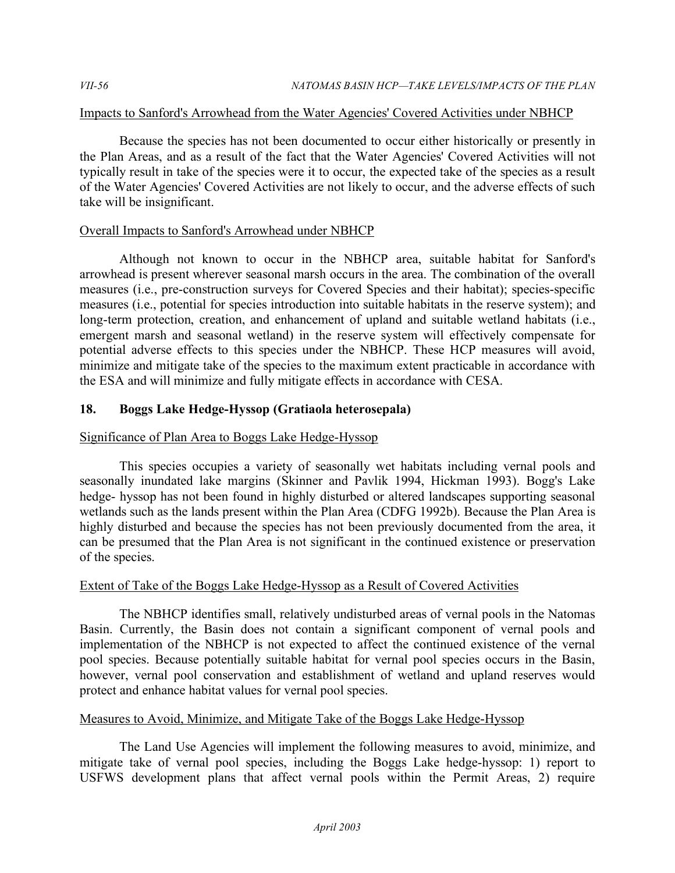## Impacts to Sanford's Arrowhead from the Water Agencies' Covered Activities under NBHCP

 Because the species has not been documented to occur either historically or presently in the Plan Areas, and as a result of the fact that the Water Agencies' Covered Activities will not typically result in take of the species were it to occur, the expected take of the species as a result of the Water Agencies' Covered Activities are not likely to occur, and the adverse effects of such take will be insignificant.

## Overall Impacts to Sanford's Arrowhead under NBHCP

 Although not known to occur in the NBHCP area, suitable habitat for Sanford's arrowhead is present wherever seasonal marsh occurs in the area. The combination of the overall measures (i.e., pre-construction surveys for Covered Species and their habitat); species-specific measures (i.e., potential for species introduction into suitable habitats in the reserve system); and long-term protection, creation, and enhancement of upland and suitable wetland habitats (i.e., emergent marsh and seasonal wetland) in the reserve system will effectively compensate for potential adverse effects to this species under the NBHCP. These HCP measures will avoid, minimize and mitigate take of the species to the maximum extent practicable in accordance with the ESA and will minimize and fully mitigate effects in accordance with CESA.

# **18. Boggs Lake Hedge-Hyssop (Gratiaola heterosepala)**

# Significance of Plan Area to Boggs Lake Hedge-Hyssop

 This species occupies a variety of seasonally wet habitats including vernal pools and seasonally inundated lake margins (Skinner and Pavlik 1994, Hickman 1993). Bogg's Lake hedge- hyssop has not been found in highly disturbed or altered landscapes supporting seasonal wetlands such as the lands present within the Plan Area (CDFG 1992b). Because the Plan Area is highly disturbed and because the species has not been previously documented from the area, it can be presumed that the Plan Area is not significant in the continued existence or preservation of the species.

## Extent of Take of the Boggs Lake Hedge-Hyssop as a Result of Covered Activities

 The NBHCP identifies small, relatively undisturbed areas of vernal pools in the Natomas Basin. Currently, the Basin does not contain a significant component of vernal pools and implementation of the NBHCP is not expected to affect the continued existence of the vernal pool species. Because potentially suitable habitat for vernal pool species occurs in the Basin, however, vernal pool conservation and establishment of wetland and upland reserves would protect and enhance habitat values for vernal pool species.

## Measures to Avoid, Minimize, and Mitigate Take of the Boggs Lake Hedge-Hyssop

 The Land Use Agencies will implement the following measures to avoid, minimize, and mitigate take of vernal pool species, including the Boggs Lake hedge-hyssop: 1) report to USFWS development plans that affect vernal pools within the Permit Areas, 2) require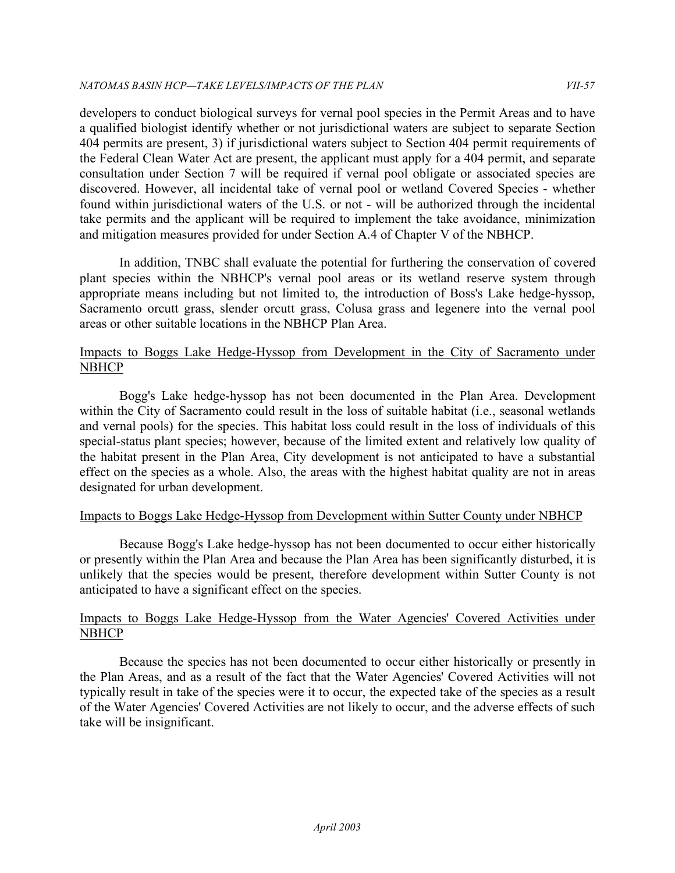developers to conduct biological surveys for vernal pool species in the Permit Areas and to have a qualified biologist identify whether or not jurisdictional waters are subject to separate Section 404 permits are present, 3) if jurisdictional waters subject to Section 404 permit requirements of the Federal Clean Water Act are present, the applicant must apply for a 404 permit, and separate consultation under Section 7 will be required if vernal pool obligate or associated species are discovered. However, all incidental take of vernal pool or wetland Covered Species - whether found within jurisdictional waters of the U.S. or not - will be authorized through the incidental take permits and the applicant will be required to implement the take avoidance, minimization and mitigation measures provided for under Section A.4 of Chapter V of the NBHCP.

 In addition, TNBC shall evaluate the potential for furthering the conservation of covered plant species within the NBHCP's vernal pool areas or its wetland reserve system through appropriate means including but not limited to, the introduction of Boss's Lake hedge-hyssop, Sacramento orcutt grass, slender orcutt grass, Colusa grass and legenere into the vernal pool areas or other suitable locations in the NBHCP Plan Area.

## Impacts to Boggs Lake Hedge-Hyssop from Development in the City of Sacramento under NBHCP

 Bogg's Lake hedge-hyssop has not been documented in the Plan Area. Development within the City of Sacramento could result in the loss of suitable habitat (i.e., seasonal wetlands and vernal pools) for the species. This habitat loss could result in the loss of individuals of this special-status plant species; however, because of the limited extent and relatively low quality of the habitat present in the Plan Area, City development is not anticipated to have a substantial effect on the species as a whole. Also, the areas with the highest habitat quality are not in areas designated for urban development.

## Impacts to Boggs Lake Hedge-Hyssop from Development within Sutter County under NBHCP

 Because Bogg's Lake hedge-hyssop has not been documented to occur either historically or presently within the Plan Area and because the Plan Area has been significantly disturbed, it is unlikely that the species would be present, therefore development within Sutter County is not anticipated to have a significant effect on the species.

## Impacts to Boggs Lake Hedge-Hyssop from the Water Agencies' Covered Activities under **NBHCP**

 Because the species has not been documented to occur either historically or presently in the Plan Areas, and as a result of the fact that the Water Agencies' Covered Activities will not typically result in take of the species were it to occur, the expected take of the species as a result of the Water Agencies' Covered Activities are not likely to occur, and the adverse effects of such take will be insignificant.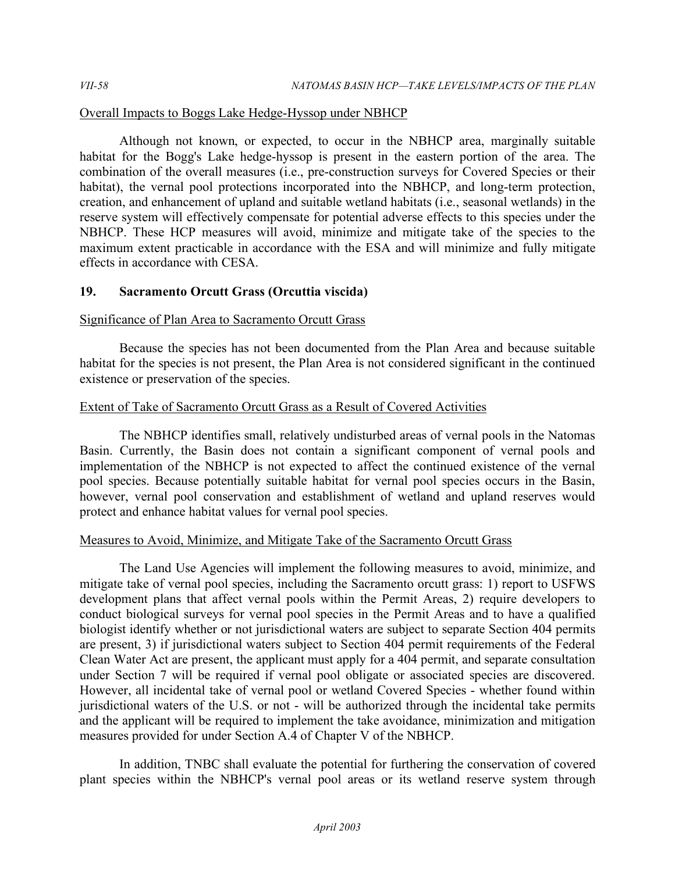## Overall Impacts to Boggs Lake Hedge-Hyssop under NBHCP

 Although not known, or expected, to occur in the NBHCP area, marginally suitable habitat for the Bogg's Lake hedge-hyssop is present in the eastern portion of the area. The combination of the overall measures (i.e., pre-construction surveys for Covered Species or their habitat), the vernal pool protections incorporated into the NBHCP, and long-term protection, creation, and enhancement of upland and suitable wetland habitats (i.e., seasonal wetlands) in the reserve system will effectively compensate for potential adverse effects to this species under the NBHCP. These HCP measures will avoid, minimize and mitigate take of the species to the maximum extent practicable in accordance with the ESA and will minimize and fully mitigate effects in accordance with CESA.

## **19. Sacramento Orcutt Grass (Orcuttia viscida)**

## Significance of Plan Area to Sacramento Orcutt Grass

 Because the species has not been documented from the Plan Area and because suitable habitat for the species is not present, the Plan Area is not considered significant in the continued existence or preservation of the species.

## Extent of Take of Sacramento Orcutt Grass as a Result of Covered Activities

 The NBHCP identifies small, relatively undisturbed areas of vernal pools in the Natomas Basin. Currently, the Basin does not contain a significant component of vernal pools and implementation of the NBHCP is not expected to affect the continued existence of the vernal pool species. Because potentially suitable habitat for vernal pool species occurs in the Basin, however, vernal pool conservation and establishment of wetland and upland reserves would protect and enhance habitat values for vernal pool species.

# Measures to Avoid, Minimize, and Mitigate Take of the Sacramento Orcutt Grass

 The Land Use Agencies will implement the following measures to avoid, minimize, and mitigate take of vernal pool species, including the Sacramento orcutt grass: 1) report to USFWS development plans that affect vernal pools within the Permit Areas, 2) require developers to conduct biological surveys for vernal pool species in the Permit Areas and to have a qualified biologist identify whether or not jurisdictional waters are subject to separate Section 404 permits are present, 3) if jurisdictional waters subject to Section 404 permit requirements of the Federal Clean Water Act are present, the applicant must apply for a 404 permit, and separate consultation under Section 7 will be required if vernal pool obligate or associated species are discovered. However, all incidental take of vernal pool or wetland Covered Species - whether found within jurisdictional waters of the U.S. or not - will be authorized through the incidental take permits and the applicant will be required to implement the take avoidance, minimization and mitigation measures provided for under Section A.4 of Chapter V of the NBHCP.

 In addition, TNBC shall evaluate the potential for furthering the conservation of covered plant species within the NBHCP's vernal pool areas or its wetland reserve system through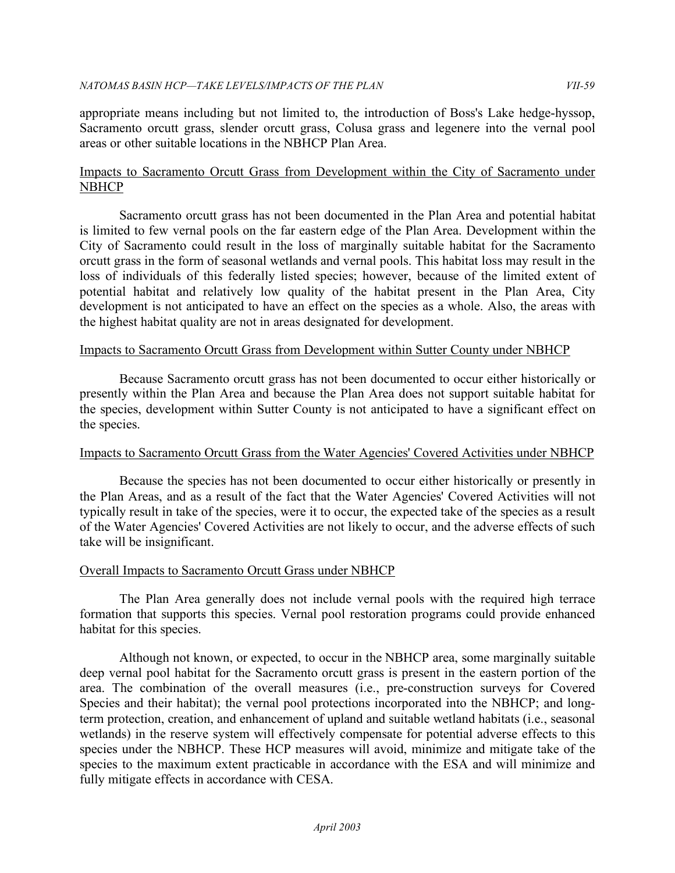appropriate means including but not limited to, the introduction of Boss's Lake hedge-hyssop, Sacramento orcutt grass, slender orcutt grass, Colusa grass and legenere into the vernal pool areas or other suitable locations in the NBHCP Plan Area.

## Impacts to Sacramento Orcutt Grass from Development within the City of Sacramento under **NBHCP**

 Sacramento orcutt grass has not been documented in the Plan Area and potential habitat is limited to few vernal pools on the far eastern edge of the Plan Area. Development within the City of Sacramento could result in the loss of marginally suitable habitat for the Sacramento orcutt grass in the form of seasonal wetlands and vernal pools. This habitat loss may result in the loss of individuals of this federally listed species; however, because of the limited extent of potential habitat and relatively low quality of the habitat present in the Plan Area, City development is not anticipated to have an effect on the species as a whole. Also, the areas with the highest habitat quality are not in areas designated for development.

## Impacts to Sacramento Orcutt Grass from Development within Sutter County under NBHCP

 Because Sacramento orcutt grass has not been documented to occur either historically or presently within the Plan Area and because the Plan Area does not support suitable habitat for the species, development within Sutter County is not anticipated to have a significant effect on the species.

## Impacts to Sacramento Orcutt Grass from the Water Agencies' Covered Activities under NBHCP

 Because the species has not been documented to occur either historically or presently in the Plan Areas, and as a result of the fact that the Water Agencies' Covered Activities will not typically result in take of the species, were it to occur, the expected take of the species as a result of the Water Agencies' Covered Activities are not likely to occur, and the adverse effects of such take will be insignificant.

## Overall Impacts to Sacramento Orcutt Grass under NBHCP

 The Plan Area generally does not include vernal pools with the required high terrace formation that supports this species. Vernal pool restoration programs could provide enhanced habitat for this species.

Although not known, or expected, to occur in the NBHCP area, some marginally suitable deep vernal pool habitat for the Sacramento orcutt grass is present in the eastern portion of the area. The combination of the overall measures (i.e., pre-construction surveys for Covered Species and their habitat); the vernal pool protections incorporated into the NBHCP; and longterm protection, creation, and enhancement of upland and suitable wetland habitats (i.e., seasonal wetlands) in the reserve system will effectively compensate for potential adverse effects to this species under the NBHCP. These HCP measures will avoid, minimize and mitigate take of the species to the maximum extent practicable in accordance with the ESA and will minimize and fully mitigate effects in accordance with CESA.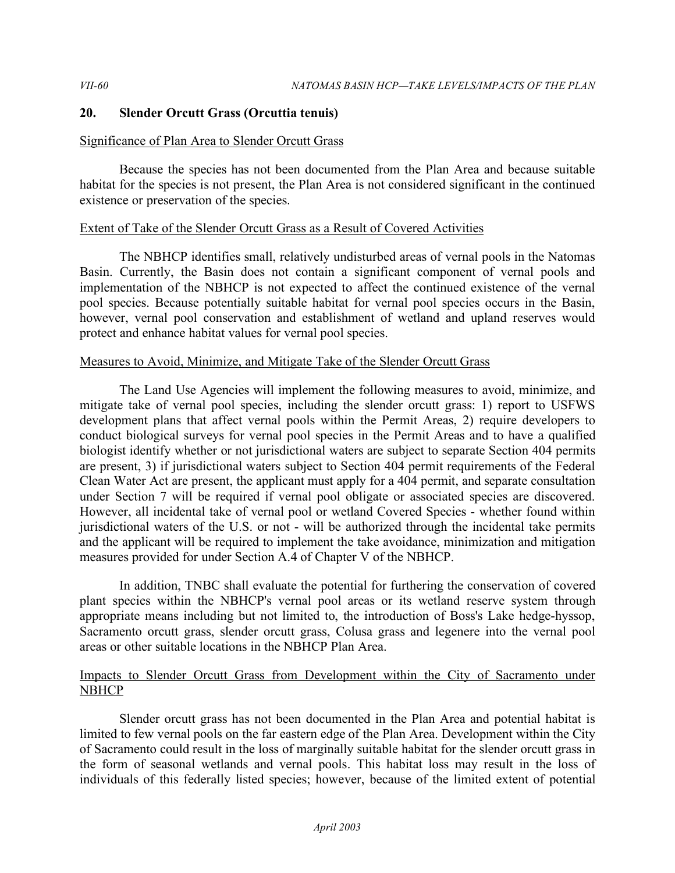## **20. Slender Orcutt Grass (Orcuttia tenuis)**

## Significance of Plan Area to Slender Orcutt Grass

 Because the species has not been documented from the Plan Area and because suitable habitat for the species is not present, the Plan Area is not considered significant in the continued existence or preservation of the species.

## Extent of Take of the Slender Orcutt Grass as a Result of Covered Activities

 The NBHCP identifies small, relatively undisturbed areas of vernal pools in the Natomas Basin. Currently, the Basin does not contain a significant component of vernal pools and implementation of the NBHCP is not expected to affect the continued existence of the vernal pool species. Because potentially suitable habitat for vernal pool species occurs in the Basin, however, vernal pool conservation and establishment of wetland and upland reserves would protect and enhance habitat values for vernal pool species.

# Measures to Avoid, Minimize, and Mitigate Take of the Slender Orcutt Grass

 The Land Use Agencies will implement the following measures to avoid, minimize, and mitigate take of vernal pool species, including the slender orcutt grass: 1) report to USFWS development plans that affect vernal pools within the Permit Areas, 2) require developers to conduct biological surveys for vernal pool species in the Permit Areas and to have a qualified biologist identify whether or not jurisdictional waters are subject to separate Section 404 permits are present, 3) if jurisdictional waters subject to Section 404 permit requirements of the Federal Clean Water Act are present, the applicant must apply for a 404 permit, and separate consultation under Section 7 will be required if vernal pool obligate or associated species are discovered. However, all incidental take of vernal pool or wetland Covered Species - whether found within jurisdictional waters of the U.S. or not - will be authorized through the incidental take permits and the applicant will be required to implement the take avoidance, minimization and mitigation measures provided for under Section A.4 of Chapter V of the NBHCP.

 In addition, TNBC shall evaluate the potential for furthering the conservation of covered plant species within the NBHCP's vernal pool areas or its wetland reserve system through appropriate means including but not limited to, the introduction of Boss's Lake hedge-hyssop, Sacramento orcutt grass, slender orcutt grass, Colusa grass and legenere into the vernal pool areas or other suitable locations in the NBHCP Plan Area.

## Impacts to Slender Orcutt Grass from Development within the City of Sacramento under **NBHCP**

 Slender orcutt grass has not been documented in the Plan Area and potential habitat is limited to few vernal pools on the far eastern edge of the Plan Area. Development within the City of Sacramento could result in the loss of marginally suitable habitat for the slender orcutt grass in the form of seasonal wetlands and vernal pools. This habitat loss may result in the loss of individuals of this federally listed species; however, because of the limited extent of potential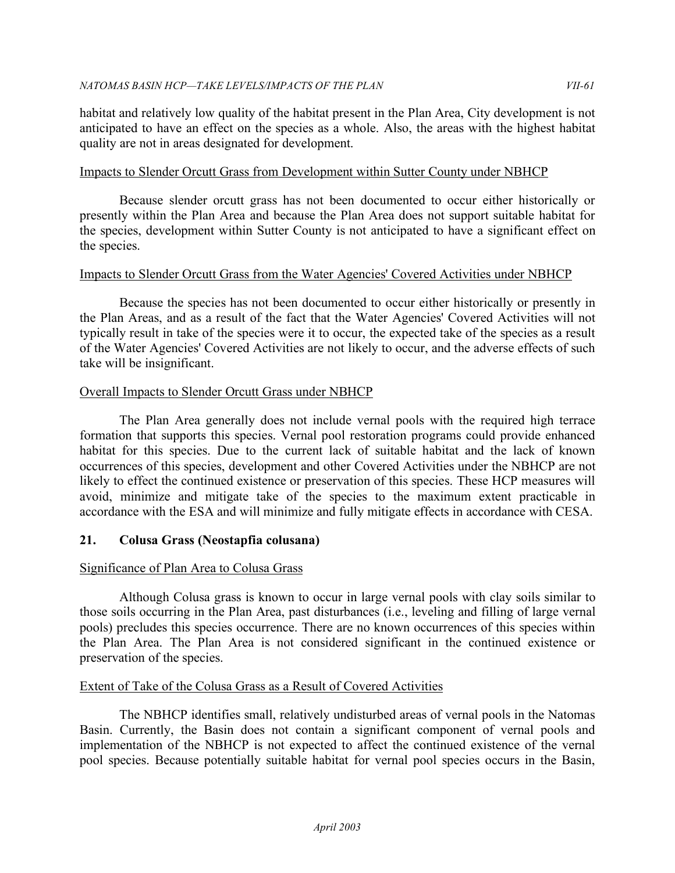habitat and relatively low quality of the habitat present in the Plan Area, City development is not anticipated to have an effect on the species as a whole. Also, the areas with the highest habitat quality are not in areas designated for development.

## Impacts to Slender Orcutt Grass from Development within Sutter County under NBHCP

 Because slender orcutt grass has not been documented to occur either historically or presently within the Plan Area and because the Plan Area does not support suitable habitat for the species, development within Sutter County is not anticipated to have a significant effect on the species.

## Impacts to Slender Orcutt Grass from the Water Agencies' Covered Activities under NBHCP

 Because the species has not been documented to occur either historically or presently in the Plan Areas, and as a result of the fact that the Water Agencies' Covered Activities will not typically result in take of the species were it to occur, the expected take of the species as a result of the Water Agencies' Covered Activities are not likely to occur, and the adverse effects of such take will be insignificant.

## Overall Impacts to Slender Orcutt Grass under NBHCP

 The Plan Area generally does not include vernal pools with the required high terrace formation that supports this species. Vernal pool restoration programs could provide enhanced habitat for this species. Due to the current lack of suitable habitat and the lack of known occurrences of this species, development and other Covered Activities under the NBHCP are not likely to effect the continued existence or preservation of this species. These HCP measures will avoid, minimize and mitigate take of the species to the maximum extent practicable in accordance with the ESA and will minimize and fully mitigate effects in accordance with CESA.

# **21. Colusa Grass (Neostapfia colusana)**

# Significance of Plan Area to Colusa Grass

 Although Colusa grass is known to occur in large vernal pools with clay soils similar to those soils occurring in the Plan Area, past disturbances (i.e., leveling and filling of large vernal pools) precludes this species occurrence. There are no known occurrences of this species within the Plan Area. The Plan Area is not considered significant in the continued existence or preservation of the species.

# Extent of Take of the Colusa Grass as a Result of Covered Activities

 The NBHCP identifies small, relatively undisturbed areas of vernal pools in the Natomas Basin. Currently, the Basin does not contain a significant component of vernal pools and implementation of the NBHCP is not expected to affect the continued existence of the vernal pool species. Because potentially suitable habitat for vernal pool species occurs in the Basin,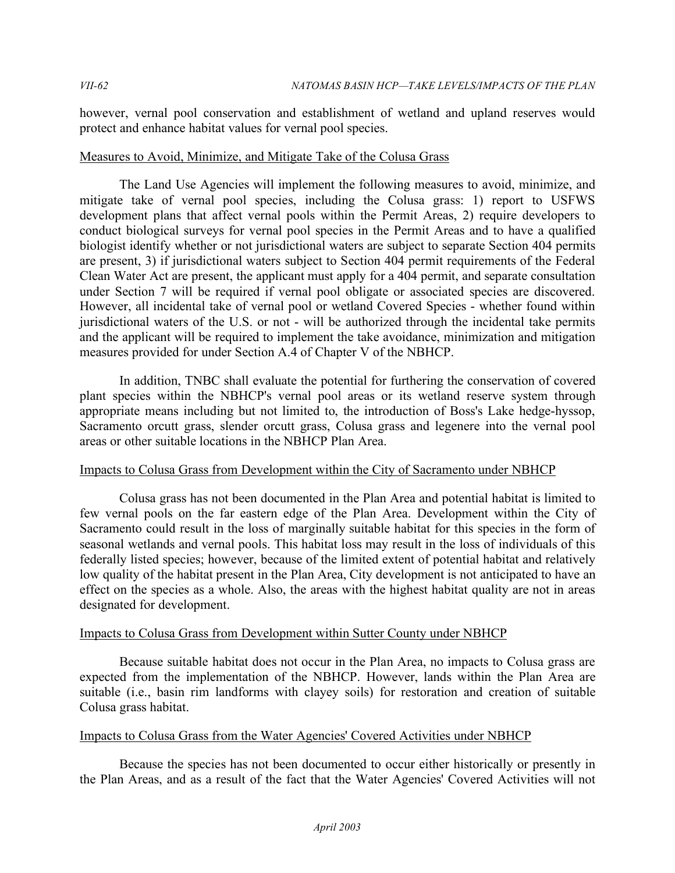however, vernal pool conservation and establishment of wetland and upland reserves would protect and enhance habitat values for vernal pool species.

#### Measures to Avoid, Minimize, and Mitigate Take of the Colusa Grass

 The Land Use Agencies will implement the following measures to avoid, minimize, and mitigate take of vernal pool species, including the Colusa grass: 1) report to USFWS development plans that affect vernal pools within the Permit Areas, 2) require developers to conduct biological surveys for vernal pool species in the Permit Areas and to have a qualified biologist identify whether or not jurisdictional waters are subject to separate Section 404 permits are present, 3) if jurisdictional waters subject to Section 404 permit requirements of the Federal Clean Water Act are present, the applicant must apply for a 404 permit, and separate consultation under Section 7 will be required if vernal pool obligate or associated species are discovered. However, all incidental take of vernal pool or wetland Covered Species - whether found within jurisdictional waters of the U.S. or not - will be authorized through the incidental take permits and the applicant will be required to implement the take avoidance, minimization and mitigation measures provided for under Section A.4 of Chapter V of the NBHCP.

 In addition, TNBC shall evaluate the potential for furthering the conservation of covered plant species within the NBHCP's vernal pool areas or its wetland reserve system through appropriate means including but not limited to, the introduction of Boss's Lake hedge-hyssop, Sacramento orcutt grass, slender orcutt grass, Colusa grass and legenere into the vernal pool areas or other suitable locations in the NBHCP Plan Area.

## Impacts to Colusa Grass from Development within the City of Sacramento under NBHCP

 Colusa grass has not been documented in the Plan Area and potential habitat is limited to few vernal pools on the far eastern edge of the Plan Area. Development within the City of Sacramento could result in the loss of marginally suitable habitat for this species in the form of seasonal wetlands and vernal pools. This habitat loss may result in the loss of individuals of this federally listed species; however, because of the limited extent of potential habitat and relatively low quality of the habitat present in the Plan Area, City development is not anticipated to have an effect on the species as a whole. Also, the areas with the highest habitat quality are not in areas designated for development.

#### Impacts to Colusa Grass from Development within Sutter County under NBHCP

 Because suitable habitat does not occur in the Plan Area, no impacts to Colusa grass are expected from the implementation of the NBHCP. However, lands within the Plan Area are suitable (i.e., basin rim landforms with clayey soils) for restoration and creation of suitable Colusa grass habitat.

#### Impacts to Colusa Grass from the Water Agencies' Covered Activities under NBHCP

 Because the species has not been documented to occur either historically or presently in the Plan Areas, and as a result of the fact that the Water Agencies' Covered Activities will not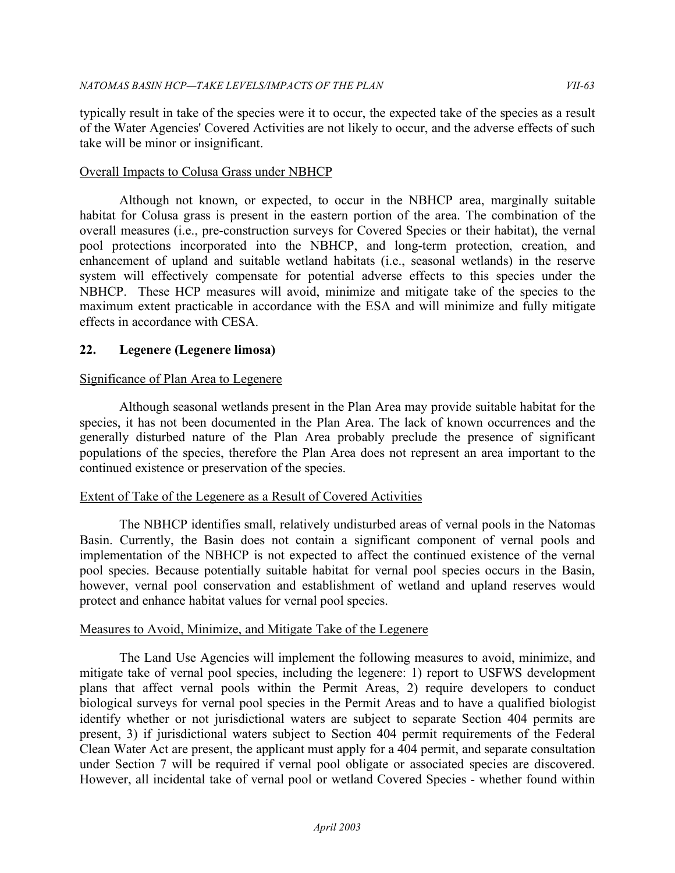typically result in take of the species were it to occur, the expected take of the species as a result of the Water Agencies' Covered Activities are not likely to occur, and the adverse effects of such take will be minor or insignificant.

## **Overall Impacts to Colusa Grass under NBHCP**

 Although not known, or expected, to occur in the NBHCP area, marginally suitable habitat for Colusa grass is present in the eastern portion of the area. The combination of the overall measures (i.e., pre-construction surveys for Covered Species or their habitat), the vernal pool protections incorporated into the NBHCP, and long-term protection, creation, and enhancement of upland and suitable wetland habitats (i.e., seasonal wetlands) in the reserve system will effectively compensate for potential adverse effects to this species under the NBHCP. These HCP measures will avoid, minimize and mitigate take of the species to the maximum extent practicable in accordance with the ESA and will minimize and fully mitigate effects in accordance with CESA.

## **22. Legenere (Legenere limosa)**

## Significance of Plan Area to Legenere

 Although seasonal wetlands present in the Plan Area may provide suitable habitat for the species, it has not been documented in the Plan Area. The lack of known occurrences and the generally disturbed nature of the Plan Area probably preclude the presence of significant populations of the species, therefore the Plan Area does not represent an area important to the continued existence or preservation of the species.

## Extent of Take of the Legenere as a Result of Covered Activities

 The NBHCP identifies small, relatively undisturbed areas of vernal pools in the Natomas Basin. Currently, the Basin does not contain a significant component of vernal pools and implementation of the NBHCP is not expected to affect the continued existence of the vernal pool species. Because potentially suitable habitat for vernal pool species occurs in the Basin, however, vernal pool conservation and establishment of wetland and upland reserves would protect and enhance habitat values for vernal pool species.

#### Measures to Avoid, Minimize, and Mitigate Take of the Legenere

 The Land Use Agencies will implement the following measures to avoid, minimize, and mitigate take of vernal pool species, including the legenere: 1) report to USFWS development plans that affect vernal pools within the Permit Areas, 2) require developers to conduct biological surveys for vernal pool species in the Permit Areas and to have a qualified biologist identify whether or not jurisdictional waters are subject to separate Section 404 permits are present, 3) if jurisdictional waters subject to Section 404 permit requirements of the Federal Clean Water Act are present, the applicant must apply for a 404 permit, and separate consultation under Section 7 will be required if vernal pool obligate or associated species are discovered. However, all incidental take of vernal pool or wetland Covered Species - whether found within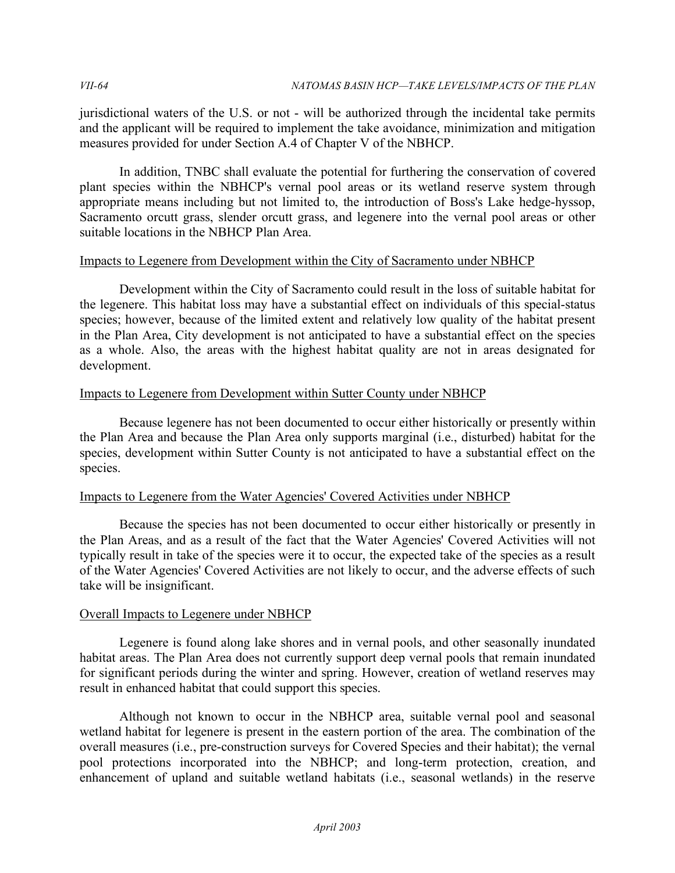jurisdictional waters of the U.S. or not - will be authorized through the incidental take permits and the applicant will be required to implement the take avoidance, minimization and mitigation measures provided for under Section A.4 of Chapter V of the NBHCP.

 In addition, TNBC shall evaluate the potential for furthering the conservation of covered plant species within the NBHCP's vernal pool areas or its wetland reserve system through appropriate means including but not limited to, the introduction of Boss's Lake hedge-hyssop, Sacramento orcutt grass, slender orcutt grass, and legenere into the vernal pool areas or other suitable locations in the NBHCP Plan Area.

## Impacts to Legenere from Development within the City of Sacramento under NBHCP

 Development within the City of Sacramento could result in the loss of suitable habitat for the legenere. This habitat loss may have a substantial effect on individuals of this special-status species; however, because of the limited extent and relatively low quality of the habitat present in the Plan Area, City development is not anticipated to have a substantial effect on the species as a whole. Also, the areas with the highest habitat quality are not in areas designated for development.

## Impacts to Legenere from Development within Sutter County under NBHCP

 Because legenere has not been documented to occur either historically or presently within the Plan Area and because the Plan Area only supports marginal (i.e., disturbed) habitat for the species, development within Sutter County is not anticipated to have a substantial effect on the species.

## Impacts to Legenere from the Water Agencies' Covered Activities under NBHCP

 Because the species has not been documented to occur either historically or presently in the Plan Areas, and as a result of the fact that the Water Agencies' Covered Activities will not typically result in take of the species were it to occur, the expected take of the species as a result of the Water Agencies' Covered Activities are not likely to occur, and the adverse effects of such take will be insignificant.

## Overall Impacts to Legenere under NBHCP

 Legenere is found along lake shores and in vernal pools, and other seasonally inundated habitat areas. The Plan Area does not currently support deep vernal pools that remain inundated for significant periods during the winter and spring. However, creation of wetland reserves may result in enhanced habitat that could support this species.

 Although not known to occur in the NBHCP area, suitable vernal pool and seasonal wetland habitat for legenere is present in the eastern portion of the area. The combination of the overall measures (i.e., pre-construction surveys for Covered Species and their habitat); the vernal pool protections incorporated into the NBHCP; and long-term protection, creation, and enhancement of upland and suitable wetland habitats (i.e., seasonal wetlands) in the reserve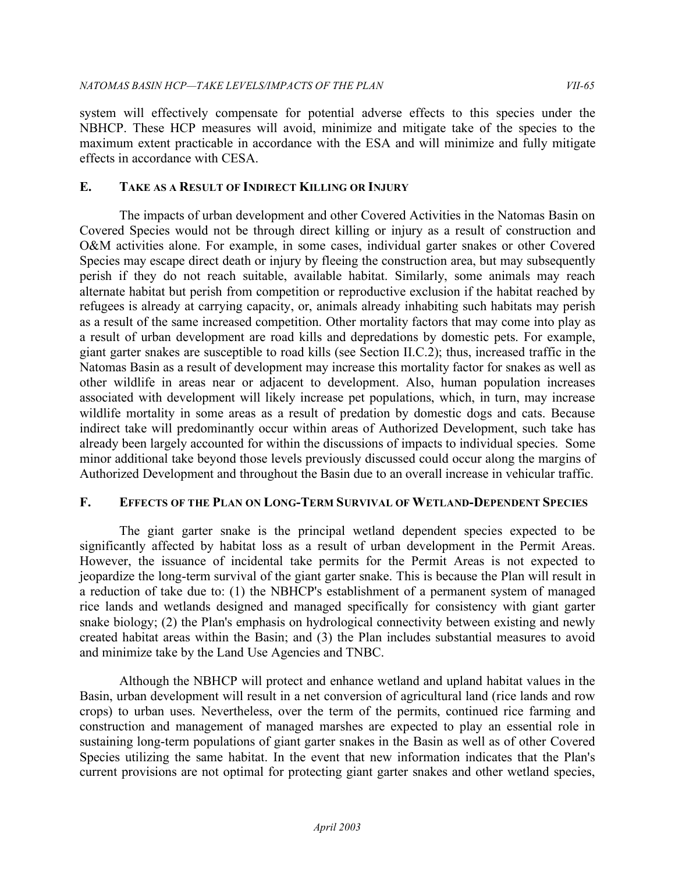system will effectively compensate for potential adverse effects to this species under the NBHCP. These HCP measures will avoid, minimize and mitigate take of the species to the maximum extent practicable in accordance with the ESA and will minimize and fully mitigate effects in accordance with CESA.

## **E. TAKE AS A RESULT OF INDIRECT KILLING OR INJURY**

 The impacts of urban development and other Covered Activities in the Natomas Basin on Covered Species would not be through direct killing or injury as a result of construction and O&M activities alone. For example, in some cases, individual garter snakes or other Covered Species may escape direct death or injury by fleeing the construction area, but may subsequently perish if they do not reach suitable, available habitat. Similarly, some animals may reach alternate habitat but perish from competition or reproductive exclusion if the habitat reached by refugees is already at carrying capacity, or, animals already inhabiting such habitats may perish as a result of the same increased competition. Other mortality factors that may come into play as a result of urban development are road kills and depredations by domestic pets. For example, giant garter snakes are susceptible to road kills (see Section II.C.2); thus, increased traffic in the Natomas Basin as a result of development may increase this mortality factor for snakes as well as other wildlife in areas near or adjacent to development. Also, human population increases associated with development will likely increase pet populations, which, in turn, may increase wildlife mortality in some areas as a result of predation by domestic dogs and cats. Because indirect take will predominantly occur within areas of Authorized Development, such take has already been largely accounted for within the discussions of impacts to individual species. Some minor additional take beyond those levels previously discussed could occur along the margins of Authorized Development and throughout the Basin due to an overall increase in vehicular traffic.

# **F. EFFECTS OF THE PLAN ON LONG-TERM SURVIVAL OF WETLAND-DEPENDENT SPECIES**

 The giant garter snake is the principal wetland dependent species expected to be significantly affected by habitat loss as a result of urban development in the Permit Areas. However, the issuance of incidental take permits for the Permit Areas is not expected to jeopardize the long-term survival of the giant garter snake. This is because the Plan will result in a reduction of take due to: (1) the NBHCP's establishment of a permanent system of managed rice lands and wetlands designed and managed specifically for consistency with giant garter snake biology; (2) the Plan's emphasis on hydrological connectivity between existing and newly created habitat areas within the Basin; and (3) the Plan includes substantial measures to avoid and minimize take by the Land Use Agencies and TNBC.

 Although the NBHCP will protect and enhance wetland and upland habitat values in the Basin, urban development will result in a net conversion of agricultural land (rice lands and row crops) to urban uses. Nevertheless, over the term of the permits, continued rice farming and construction and management of managed marshes are expected to play an essential role in sustaining long-term populations of giant garter snakes in the Basin as well as of other Covered Species utilizing the same habitat. In the event that new information indicates that the Plan's current provisions are not optimal for protecting giant garter snakes and other wetland species,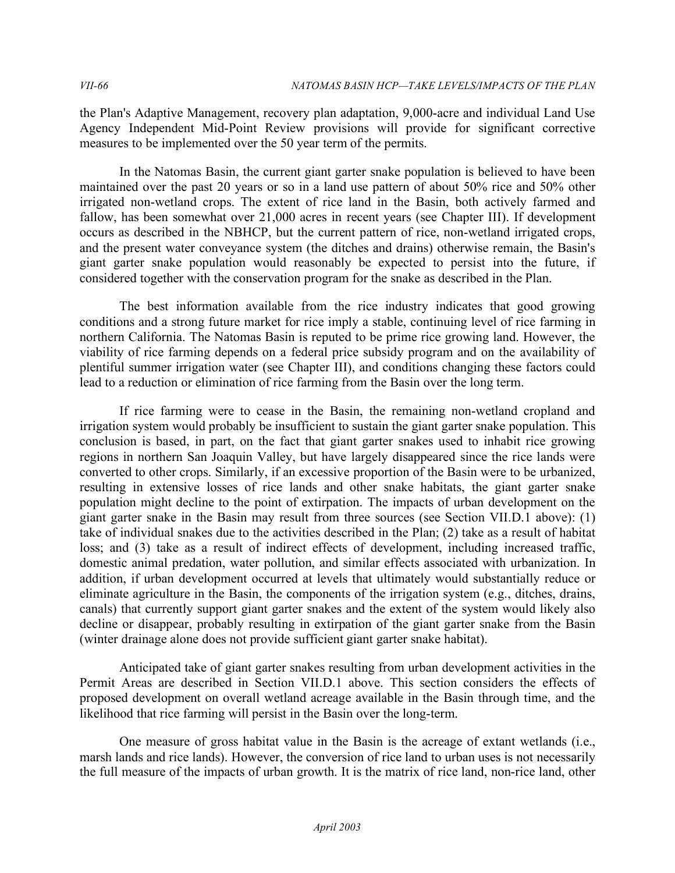the Plan's Adaptive Management, recovery plan adaptation, 9,000-acre and individual Land Use Agency Independent Mid-Point Review provisions will provide for significant corrective measures to be implemented over the 50 year term of the permits.

 In the Natomas Basin, the current giant garter snake population is believed to have been maintained over the past 20 years or so in a land use pattern of about 50% rice and 50% other irrigated non-wetland crops. The extent of rice land in the Basin, both actively farmed and fallow, has been somewhat over 21,000 acres in recent years (see Chapter III). If development occurs as described in the NBHCP, but the current pattern of rice, non-wetland irrigated crops, and the present water conveyance system (the ditches and drains) otherwise remain, the Basin's giant garter snake population would reasonably be expected to persist into the future, if considered together with the conservation program for the snake as described in the Plan.

 The best information available from the rice industry indicates that good growing conditions and a strong future market for rice imply a stable, continuing level of rice farming in northern California. The Natomas Basin is reputed to be prime rice growing land. However, the viability of rice farming depends on a federal price subsidy program and on the availability of plentiful summer irrigation water (see Chapter III), and conditions changing these factors could lead to a reduction or elimination of rice farming from the Basin over the long term.

 If rice farming were to cease in the Basin, the remaining non-wetland cropland and irrigation system would probably be insufficient to sustain the giant garter snake population. This conclusion is based, in part, on the fact that giant garter snakes used to inhabit rice growing regions in northern San Joaquin Valley, but have largely disappeared since the rice lands were converted to other crops. Similarly, if an excessive proportion of the Basin were to be urbanized, resulting in extensive losses of rice lands and other snake habitats, the giant garter snake population might decline to the point of extirpation. The impacts of urban development on the giant garter snake in the Basin may result from three sources (see Section VII.D.1 above): (1) take of individual snakes due to the activities described in the Plan; (2) take as a result of habitat loss; and (3) take as a result of indirect effects of development, including increased traffic, domestic animal predation, water pollution, and similar effects associated with urbanization. In addition, if urban development occurred at levels that ultimately would substantially reduce or eliminate agriculture in the Basin, the components of the irrigation system (e.g., ditches, drains, canals) that currently support giant garter snakes and the extent of the system would likely also decline or disappear, probably resulting in extirpation of the giant garter snake from the Basin (winter drainage alone does not provide sufficient giant garter snake habitat).

 Anticipated take of giant garter snakes resulting from urban development activities in the Permit Areas are described in Section VII.D.1 above. This section considers the effects of proposed development on overall wetland acreage available in the Basin through time, and the likelihood that rice farming will persist in the Basin over the long-term.

 One measure of gross habitat value in the Basin is the acreage of extant wetlands (i.e., marsh lands and rice lands). However, the conversion of rice land to urban uses is not necessarily the full measure of the impacts of urban growth. It is the matrix of rice land, non-rice land, other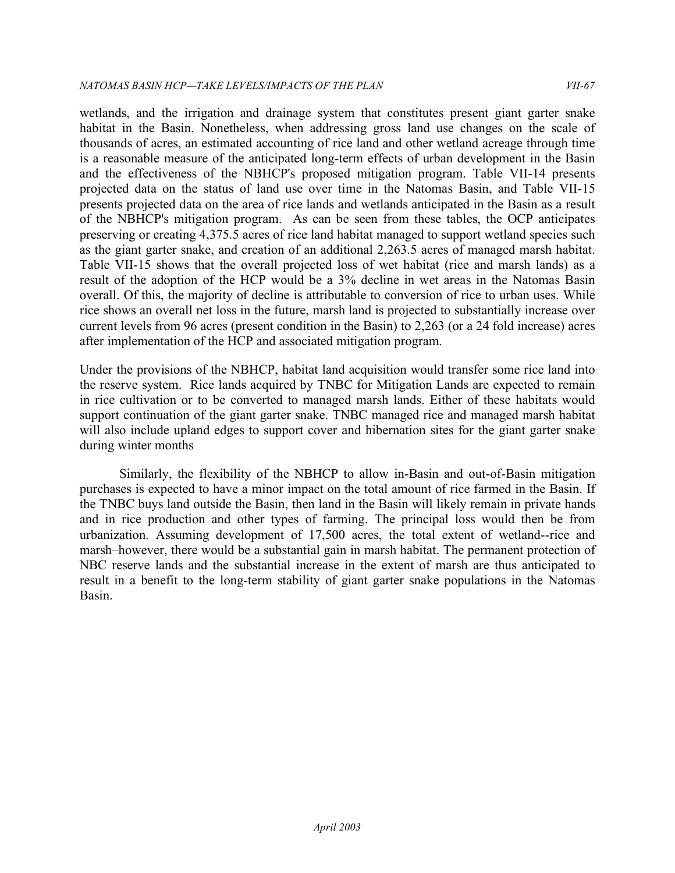wetlands, and the irrigation and drainage system that constitutes present giant garter snake habitat in the Basin. Nonetheless, when addressing gross land use changes on the scale of thousands of acres, an estimated accounting of rice land and other wetland acreage through time is a reasonable measure of the anticipated long-term effects of urban development in the Basin and the effectiveness of the NBHCP's proposed mitigation program. Table VII-14 presents projected data on the status of land use over time in the Natomas Basin, and Table VII-15 presents projected data on the area of rice lands and wetlands anticipated in the Basin as a result of the NBHCP's mitigation program. As can be seen from these tables, the OCP anticipates preserving or creating 4,375.5 acres of rice land habitat managed to support wetland species such as the giant garter snake, and creation of an additional 2,263.5 acres of managed marsh habitat. Table VII-15 shows that the overall projected loss of wet habitat (rice and marsh lands) as a result of the adoption of the HCP would be a 3% decline in wet areas in the Natomas Basin overall. Of this, the majority of decline is attributable to conversion of rice to urban uses. While rice shows an overall net loss in the future, marsh land is projected to substantially increase over current levels from 96 acres (present condition in the Basin) to 2,263 (or a 24 fold increase) acres after implementation of the HCP and associated mitigation program.

 Under the provisions of the NBHCP, habitat land acquisition would transfer some rice land into the reserve system. Rice lands acquired by TNBC for Mitigation Lands are expected to remain in rice cultivation or to be converted to managed marsh lands. Either of these habitats would support continuation of the giant garter snake. TNBC managed rice and managed marsh habitat will also include upland edges to support cover and hibernation sites for the giant garter snake during winter months

 Similarly, the flexibility of the NBHCP to allow in-Basin and out-of-Basin mitigation purchases is expected to have a minor impact on the total amount of rice farmed in the Basin. If the TNBC buys land outside the Basin, then land in the Basin will likely remain in private hands and in rice production and other types of farming. The principal loss would then be from urbanization. Assuming development of 17,500 acres, the total extent of wetland--rice and marsh–however, there would be a substantial gain in marsh habitat. The permanent protection of NBC reserve lands and the substantial increase in the extent of marsh are thus anticipated to result in a benefit to the long-term stability of giant garter snake populations in the Natomas Basin.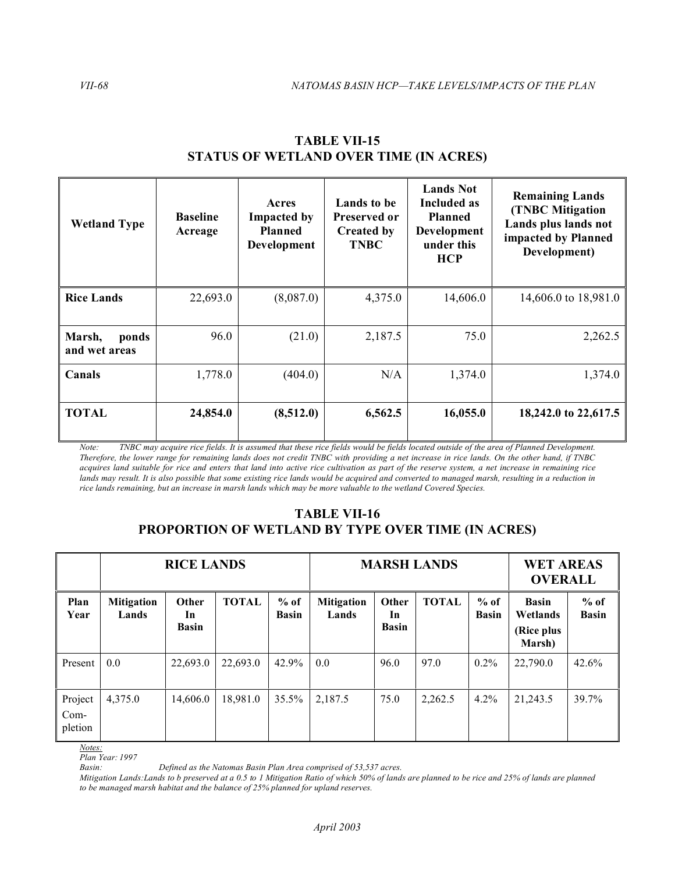| <b>Wetland Type</b>              | <b>Baseline</b><br>Acreage | Acres<br><b>Impacted by</b><br><b>Planned</b><br>Development | Lands to be<br>Preserved or<br><b>Created by</b><br><b>TNBC</b> | <b>Lands Not</b><br>Included as<br><b>Planned</b><br>Development<br>under this<br><b>HCP</b> | <b>Remaining Lands</b><br><b>(TNBC Mitigation</b><br>Lands plus lands not<br>impacted by Planned<br>Development) |  |
|----------------------------------|----------------------------|--------------------------------------------------------------|-----------------------------------------------------------------|----------------------------------------------------------------------------------------------|------------------------------------------------------------------------------------------------------------------|--|
| <b>Rice Lands</b>                | 22,693.0                   | (8,087.0)                                                    | 4,375.0                                                         | 14,606.0                                                                                     | 14,606.0 to 18,981.0                                                                                             |  |
| Marsh,<br>ponds<br>and wet areas | 96.0                       | (21.0)                                                       | 2,187.5                                                         | 75.0                                                                                         | 2,262.5                                                                                                          |  |
| Canals                           | 1,778.0                    | (404.0)                                                      | N/A                                                             | 1,374.0                                                                                      | 1,374.0                                                                                                          |  |
| <b>TOTAL</b>                     | 24,854.0                   | (8,512.0)                                                    | 6,562.5                                                         | 16,055.0                                                                                     | 18,242.0 to 22,617.5                                                                                             |  |

## **STATUS OF WETLAND OVER TIME (IN ACRES) TABLE VII-15**

Note: TNBC may acquire rice fields. It is assumed that these rice fields would be fields located outside of the area of Planned Development.  *Therefore, the lower range for remaining lands does not credit TNBC with providing a net increase in rice lands. On the other hand, if TNBC acquires land suitable for rice and enters that land into active rice cultivation as part of the reserve system, a net increase in remaining rice*  lands may result. It is also possible that some existing rice lands would be acquired and converted to managed marsh, resulting in a reduction in rice lands remaining, but an increase in marsh lands which may be more valuable to the wetland Covered Species.

# **PROPORTION OF WETLAND BY TYPE OVER TIME (IN ACRES) TABLE VII-16**

|                              | <b>RICE LANDS</b>          |                             |              |                        | <b>MARSH LANDS</b>         |                             |              |                        | <b>WET AREAS</b><br><b>OVERALL</b>               |                        |
|------------------------------|----------------------------|-----------------------------|--------------|------------------------|----------------------------|-----------------------------|--------------|------------------------|--------------------------------------------------|------------------------|
| Plan<br>Year                 | <b>Mitigation</b><br>Lands | Other<br>In<br><b>Basin</b> | <b>TOTAL</b> | $%$ of<br><b>Basin</b> | <b>Mitigation</b><br>Lands | Other<br>In<br><b>Basin</b> | <b>TOTAL</b> | $%$ of<br><b>Basin</b> | <b>Basin</b><br>Wetlands<br>(Rice plus<br>Marsh) | $%$ of<br><b>Basin</b> |
| Present                      | 0.0                        | 22,693.0                    | 22,693.0     | 42.9%                  | 0.0                        | 96.0                        | 97.0         | $0.2\%$                | 22,790.0                                         | 42.6%                  |
| Project<br>$Com-$<br>pletion | 4,375.0                    | 14,606.0                    | 18,981.0     | 35.5%                  | 2,187.5                    | 75.0                        | 2,262.5      | 4.2%                   | 21,243.5                                         | 39.7%                  |

*Notes:* 

*Plan Year: 1997* 

*Basin: Defined as the Natomas Basin Plan Area comprised of 53,537 acres.* 

 *Mitigation Lands:Lands to b preserved at a 0.5 to 1 Mitigation Ratio of which 50% of lands are planned to be rice and 25% of lands are planned to be managed marsh habitat and the balance of 25% planned for upland reserves.*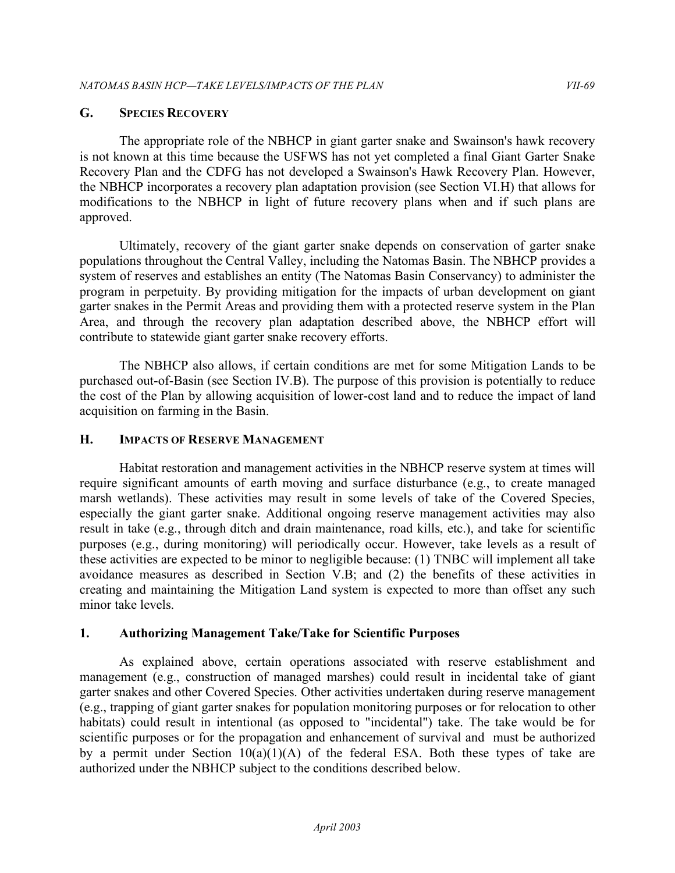# **G. SPECIES RECOVERY**

 The appropriate role of the NBHCP in giant garter snake and Swainson's hawk recovery is not known at this time because the USFWS has not yet completed a final Giant Garter Snake Recovery Plan and the CDFG has not developed a Swainson's Hawk Recovery Plan. However, the NBHCP incorporates a recovery plan adaptation provision (see Section VI.H) that allows for modifications to the NBHCP in light of future recovery plans when and if such plans are approved.

 Ultimately, recovery of the giant garter snake depends on conservation of garter snake populations throughout the Central Valley, including the Natomas Basin. The NBHCP provides a system of reserves and establishes an entity (The Natomas Basin Conservancy) to administer the program in perpetuity. By providing mitigation for the impacts of urban development on giant garter snakes in the Permit Areas and providing them with a protected reserve system in the Plan Area, and through the recovery plan adaptation described above, the NBHCP effort will contribute to statewide giant garter snake recovery efforts.

 The NBHCP also allows, if certain conditions are met for some Mitigation Lands to be purchased out-of-Basin (see Section IV.B). The purpose of this provision is potentially to reduce the cost of the Plan by allowing acquisition of lower-cost land and to reduce the impact of land acquisition on farming in the Basin.

# **H. IMPACTS OF RESERVE MANAGEMENT**

 Habitat restoration and management activities in the NBHCP reserve system at times will require significant amounts of earth moving and surface disturbance (e.g., to create managed marsh wetlands). These activities may result in some levels of take of the Covered Species, especially the giant garter snake. Additional ongoing reserve management activities may also result in take (e.g., through ditch and drain maintenance, road kills, etc.), and take for scientific purposes (e.g., during monitoring) will periodically occur. However, take levels as a result of these activities are expected to be minor to negligible because: (1) TNBC will implement all take avoidance measures as described in Section V.B; and (2) the benefits of these activities in creating and maintaining the Mitigation Land system is expected to more than offset any such minor take levels.

# **1. Authorizing Management Take/Take for Scientific Purposes**

 As explained above, certain operations associated with reserve establishment and management (e.g., construction of managed marshes) could result in incidental take of giant garter snakes and other Covered Species. Other activities undertaken during reserve management (e.g., trapping of giant garter snakes for population monitoring purposes or for relocation to other habitats) could result in intentional (as opposed to "incidental") take. The take would be for scientific purposes or for the propagation and enhancement of survival and must be authorized by a permit under Section  $10(a)(1)(A)$  of the federal ESA. Both these types of take are authorized under the NBHCP subject to the conditions described below.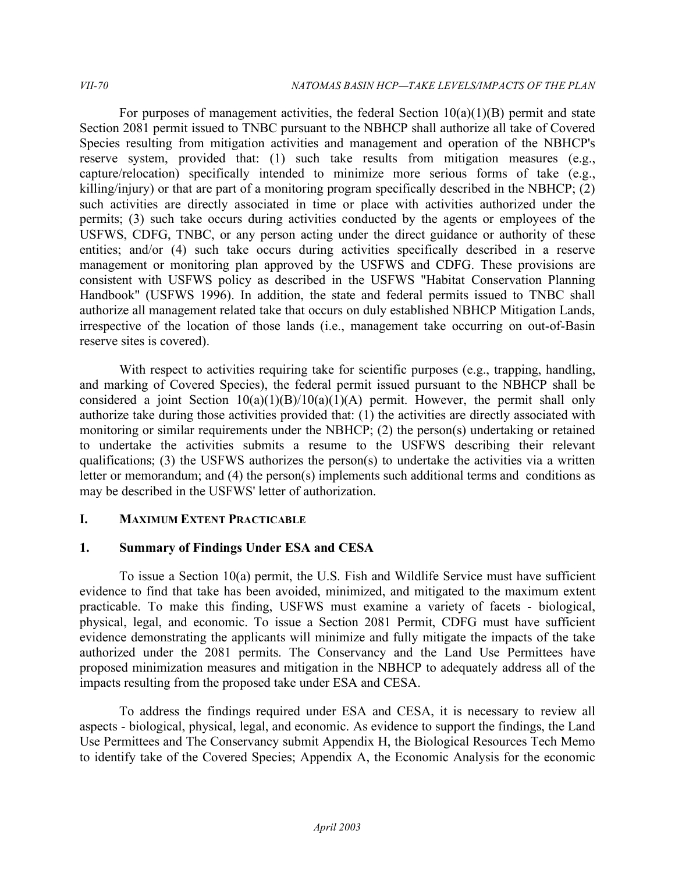For purposes of management activities, the federal Section  $10(a)(1)(B)$  permit and state Section 2081 permit issued to TNBC pursuant to the NBHCP shall authorize all take of Covered Species resulting from mitigation activities and management and operation of the NBHCP's reserve system, provided that: (1) such take results from mitigation measures (e.g., capture/relocation) specifically intended to minimize more serious forms of take (e.g., killing/injury) or that are part of a monitoring program specifically described in the NBHCP; (2) such activities are directly associated in time or place with activities authorized under the permits; (3) such take occurs during activities conducted by the agents or employees of the USFWS, CDFG, TNBC, or any person acting under the direct guidance or authority of these entities; and/or (4) such take occurs during activities specifically described in a reserve management or monitoring plan approved by the USFWS and CDFG. These provisions are consistent with USFWS policy as described in the USFWS "Habitat Conservation Planning Handbook" (USFWS 1996). In addition, the state and federal permits issued to TNBC shall authorize all management related take that occurs on duly established NBHCP Mitigation Lands, irrespective of the location of those lands (i.e., management take occurring on out-of-Basin reserve sites is covered).

With respect to activities requiring take for scientific purposes (e.g., trapping, handling, and marking of Covered Species), the federal permit issued pursuant to the NBHCP shall be considered a joint Section  $10(a)(1)(B)/10(a)(1)(A)$  permit. However, the permit shall only authorize take during those activities provided that: (1) the activities are directly associated with monitoring or similar requirements under the NBHCP; (2) the person(s) undertaking or retained to undertake the activities submits a resume to the USFWS describing their relevant qualifications; (3) the USFWS authorizes the person(s) to undertake the activities via a written letter or memorandum; and (4) the person(s) implements such additional terms and conditions as may be described in the USFWS' letter of authorization.

# **I. MAXIMUM EXTENT PRACTICABLE**

# **1. Summary of Findings Under ESA and CESA**

 To issue a Section 10(a) permit, the U.S. Fish and Wildlife Service must have sufficient evidence to find that take has been avoided, minimized, and mitigated to the maximum extent practicable. To make this finding, USFWS must examine a variety of facets - biological, physical, legal, and economic. To issue a Section 2081 Permit, CDFG must have sufficient evidence demonstrating the applicants will minimize and fully mitigate the impacts of the take authorized under the 2081 permits. The Conservancy and the Land Use Permittees have proposed minimization measures and mitigation in the NBHCP to adequately address all of the impacts resulting from the proposed take under ESA and CESA.

 To address the findings required under ESA and CESA, it is necessary to review all aspects - biological, physical, legal, and economic. As evidence to support the findings, the Land Use Permittees and The Conservancy submit Appendix H, the Biological Resources Tech Memo to identify take of the Covered Species; Appendix A, the Economic Analysis for the economic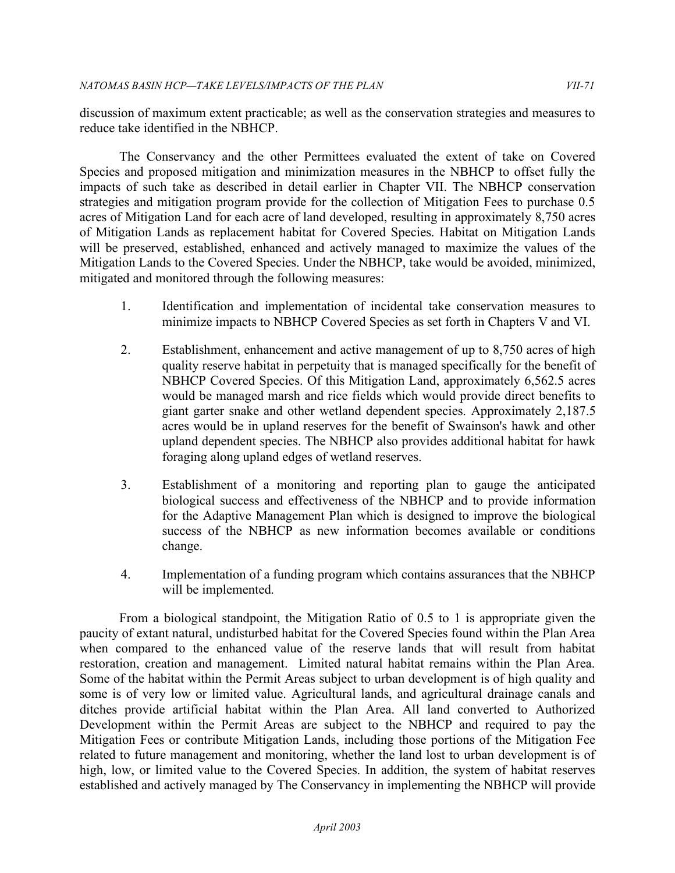discussion of maximum extent practicable; as well as the conservation strategies and measures to reduce take identified in the NBHCP.

 The Conservancy and the other Permittees evaluated the extent of take on Covered Species and proposed mitigation and minimization measures in the NBHCP to offset fully the impacts of such take as described in detail earlier in Chapter VII. The NBHCP conservation strategies and mitigation program provide for the collection of Mitigation Fees to purchase 0.5 acres of Mitigation Land for each acre of land developed, resulting in approximately 8,750 acres of Mitigation Lands as replacement habitat for Covered Species. Habitat on Mitigation Lands will be preserved, established, enhanced and actively managed to maximize the values of the Mitigation Lands to the Covered Species. Under the NBHCP, take would be avoided, minimized, mitigated and monitored through the following measures:

- 1. Identification and implementation of incidental take conservation measures to minimize impacts to NBHCP Covered Species as set forth in Chapters V and VI.
- 2. Establishment, enhancement and active management of up to 8,750 acres of high quality reserve habitat in perpetuity that is managed specifically for the benefit of NBHCP Covered Species. Of this Mitigation Land, approximately 6,562.5 acres would be managed marsh and rice fields which would provide direct benefits to giant garter snake and other wetland dependent species. Approximately 2,187.5 acres would be in upland reserves for the benefit of Swainson's hawk and other upland dependent species. The NBHCP also provides additional habitat for hawk foraging along upland edges of wetland reserves.
- 3. Establishment of a monitoring and reporting plan to gauge the anticipated biological success and effectiveness of the NBHCP and to provide information for the Adaptive Management Plan which is designed to improve the biological success of the NBHCP as new information becomes available or conditions change.
- 4. Implementation of a funding program which contains assurances that the NBHCP will be implemented.

 From a biological standpoint, the Mitigation Ratio of 0.5 to 1 is appropriate given the paucity of extant natural, undisturbed habitat for the Covered Species found within the Plan Area when compared to the enhanced value of the reserve lands that will result from habitat restoration, creation and management. Limited natural habitat remains within the Plan Area. Some of the habitat within the Permit Areas subject to urban development is of high quality and some is of very low or limited value. Agricultural lands, and agricultural drainage canals and ditches provide artificial habitat within the Plan Area. All land converted to Authorized Development within the Permit Areas are subject to the NBHCP and required to pay the Mitigation Fees or contribute Mitigation Lands, including those portions of the Mitigation Fee related to future management and monitoring, whether the land lost to urban development is of high, low, or limited value to the Covered Species. In addition, the system of habitat reserves established and actively managed by The Conservancy in implementing the NBHCP will provide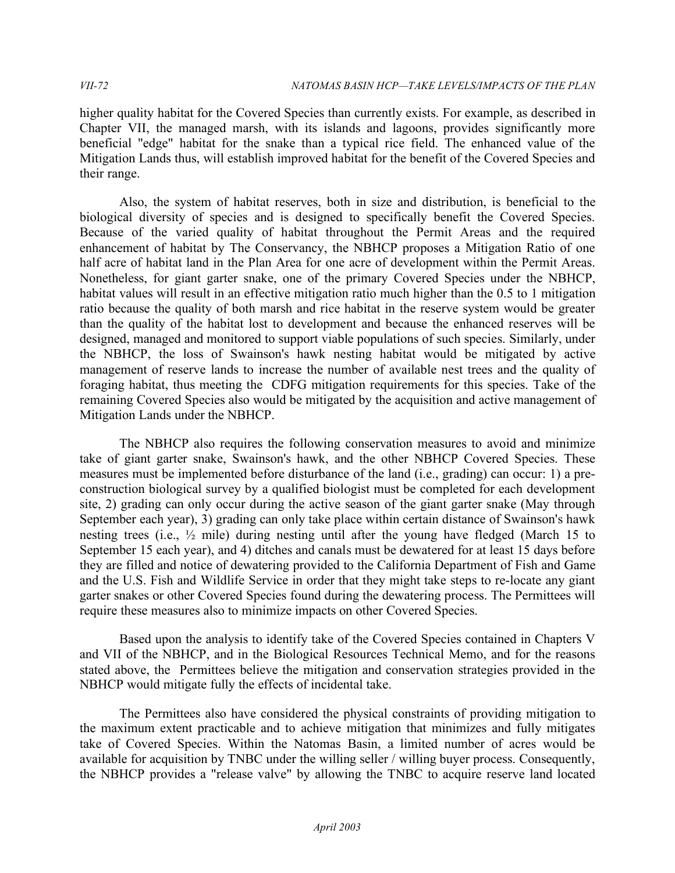higher quality habitat for the Covered Species than currently exists. For example, as described in Chapter VII, the managed marsh, with its islands and lagoons, provides significantly more beneficial "edge" habitat for the snake than a typical rice field. The enhanced value of the Mitigation Lands thus, will establish improved habitat for the benefit of the Covered Species and their range.

 Also, the system of habitat reserves, both in size and distribution, is beneficial to the biological diversity of species and is designed to specifically benefit the Covered Species. Because of the varied quality of habitat throughout the Permit Areas and the required enhancement of habitat by The Conservancy, the NBHCP proposes a Mitigation Ratio of one half acre of habitat land in the Plan Area for one acre of development within the Permit Areas. Nonetheless, for giant garter snake, one of the primary Covered Species under the NBHCP, habitat values will result in an effective mitigation ratio much higher than the 0.5 to 1 mitigation ratio because the quality of both marsh and rice habitat in the reserve system would be greater than the quality of the habitat lost to development and because the enhanced reserves will be designed, managed and monitored to support viable populations of such species. Similarly, under the NBHCP, the loss of Swainson's hawk nesting habitat would be mitigated by active management of reserve lands to increase the number of available nest trees and the quality of foraging habitat, thus meeting the CDFG mitigation requirements for this species. Take of the remaining Covered Species also would be mitigated by the acquisition and active management of Mitigation Lands under the NBHCP.

The NBHCP also requires the following conservation measures to avoid and minimize take of giant garter snake, Swainson's hawk, and the other NBHCP Covered Species. These measures must be implemented before disturbance of the land (i.e., grading) can occur: 1) a preconstruction biological survey by a qualified biologist must be completed for each development site, 2) grading can only occur during the active season of the giant garter snake (May through September each year), 3) grading can only take place within certain distance of Swainson's hawk nesting trees (i.e., ½ mile) during nesting until after the young have fledged (March 15 to September 15 each year), and 4) ditches and canals must be dewatered for at least 15 days before they are filled and notice of dewatering provided to the California Department of Fish and Game and the U.S. Fish and Wildlife Service in order that they might take steps to re-locate any giant garter snakes or other Covered Species found during the dewatering process. The Permittees will require these measures also to minimize impacts on other Covered Species.

 Based upon the analysis to identify take of the Covered Species contained in Chapters V and VII of the NBHCP, and in the Biological Resources Technical Memo, and for the reasons stated above, the Permittees believe the mitigation and conservation strategies provided in the NBHCP would mitigate fully the effects of incidental take.

 The Permittees also have considered the physical constraints of providing mitigation to the maximum extent practicable and to achieve mitigation that minimizes and fully mitigates take of Covered Species. Within the Natomas Basin, a limited number of acres would be available for acquisition by TNBC under the willing seller / willing buyer process. Consequently, the NBHCP provides a "release valve" by allowing the TNBC to acquire reserve land located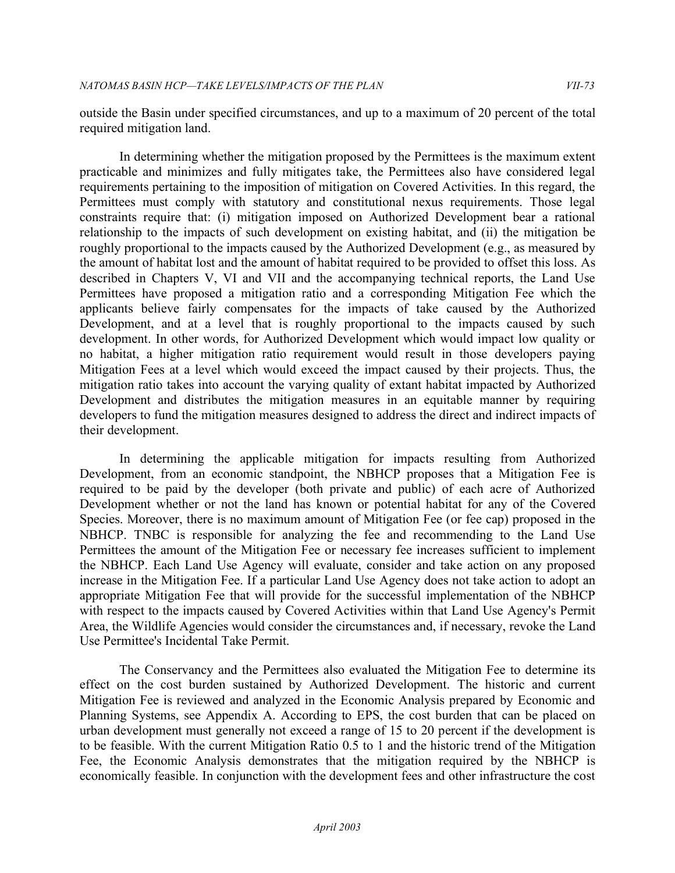outside the Basin under specified circumstances, and up to a maximum of 20 percent of the total required mitigation land.

 In determining whether the mitigation proposed by the Permittees is the maximum extent practicable and minimizes and fully mitigates take, the Permittees also have considered legal requirements pertaining to the imposition of mitigation on Covered Activities. In this regard, the Permittees must comply with statutory and constitutional nexus requirements. Those legal constraints require that: (i) mitigation imposed on Authorized Development bear a rational relationship to the impacts of such development on existing habitat, and (ii) the mitigation be roughly proportional to the impacts caused by the Authorized Development (e.g., as measured by the amount of habitat lost and the amount of habitat required to be provided to offset this loss. As described in Chapters V, VI and VII and the accompanying technical reports, the Land Use Permittees have proposed a mitigation ratio and a corresponding Mitigation Fee which the applicants believe fairly compensates for the impacts of take caused by the Authorized Development, and at a level that is roughly proportional to the impacts caused by such development. In other words, for Authorized Development which would impact low quality or no habitat, a higher mitigation ratio requirement would result in those developers paying Mitigation Fees at a level which would exceed the impact caused by their projects. Thus, the mitigation ratio takes into account the varying quality of extant habitat impacted by Authorized Development and distributes the mitigation measures in an equitable manner by requiring developers to fund the mitigation measures designed to address the direct and indirect impacts of their development.

 In determining the applicable mitigation for impacts resulting from Authorized Development, from an economic standpoint, the NBHCP proposes that a Mitigation Fee is required to be paid by the developer (both private and public) of each acre of Authorized Development whether or not the land has known or potential habitat for any of the Covered Species. Moreover, there is no maximum amount of Mitigation Fee (or fee cap) proposed in the NBHCP. TNBC is responsible for analyzing the fee and recommending to the Land Use Permittees the amount of the Mitigation Fee or necessary fee increases sufficient to implement the NBHCP. Each Land Use Agency will evaluate, consider and take action on any proposed increase in the Mitigation Fee. If a particular Land Use Agency does not take action to adopt an appropriate Mitigation Fee that will provide for the successful implementation of the NBHCP with respect to the impacts caused by Covered Activities within that Land Use Agency's Permit Area, the Wildlife Agencies would consider the circumstances and, if necessary, revoke the Land Use Permittee's Incidental Take Permit.

 The Conservancy and the Permittees also evaluated the Mitigation Fee to determine its effect on the cost burden sustained by Authorized Development. The historic and current Mitigation Fee is reviewed and analyzed in the Economic Analysis prepared by Economic and Planning Systems, see Appendix A. According to EPS, the cost burden that can be placed on urban development must generally not exceed a range of 15 to 20 percent if the development is to be feasible. With the current Mitigation Ratio 0.5 to 1 and the historic trend of the Mitigation Fee, the Economic Analysis demonstrates that the mitigation required by the NBHCP is economically feasible. In conjunction with the development fees and other infrastructure the cost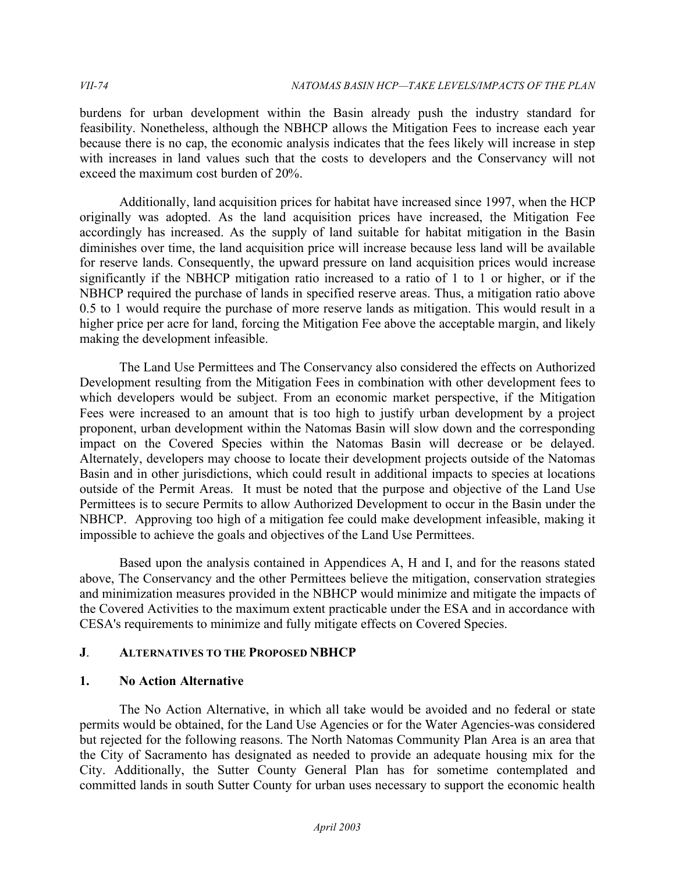burdens for urban development within the Basin already push the industry standard for feasibility. Nonetheless, although the NBHCP allows the Mitigation Fees to increase each year because there is no cap, the economic analysis indicates that the fees likely will increase in step with increases in land values such that the costs to developers and the Conservancy will not exceed the maximum cost burden of 20%.

Additionally, land acquisition prices for habitat have increased since 1997, when the HCP originally was adopted. As the land acquisition prices have increased, the Mitigation Fee accordingly has increased. As the supply of land suitable for habitat mitigation in the Basin diminishes over time, the land acquisition price will increase because less land will be available for reserve lands. Consequently, the upward pressure on land acquisition prices would increase significantly if the NBHCP mitigation ratio increased to a ratio of 1 to 1 or higher, or if the NBHCP required the purchase of lands in specified reserve areas. Thus, a mitigation ratio above 0.5 to 1 would require the purchase of more reserve lands as mitigation. This would result in a higher price per acre for land, forcing the Mitigation Fee above the acceptable margin, and likely making the development infeasible.

 The Land Use Permittees and The Conservancy also considered the effects on Authorized Development resulting from the Mitigation Fees in combination with other development fees to which developers would be subject. From an economic market perspective, if the Mitigation Fees were increased to an amount that is too high to justify urban development by a project proponent, urban development within the Natomas Basin will slow down and the corresponding impact on the Covered Species within the Natomas Basin will decrease or be delayed. Alternately, developers may choose to locate their development projects outside of the Natomas Basin and in other jurisdictions, which could result in additional impacts to species at locations outside of the Permit Areas. It must be noted that the purpose and objective of the Land Use Permittees is to secure Permits to allow Authorized Development to occur in the Basin under the NBHCP. Approving too high of a mitigation fee could make development infeasible, making it impossible to achieve the goals and objectives of the Land Use Permittees.

 Based upon the analysis contained in Appendices A, H and I, and for the reasons stated above, The Conservancy and the other Permittees believe the mitigation, conservation strategies and minimization measures provided in the NBHCP would minimize and mitigate the impacts of the Covered Activities to the maximum extent practicable under the ESA and in accordance with CESA's requirements to minimize and fully mitigate effects on Covered Species.

## **J**. **ALTERNATIVES TO THE PROPOSED NBHCP**

## **1. No Action Alternative**

 The No Action Alternative, in which all take would be avoided and no federal or state permits would be obtained, for the Land Use Agencies or for the Water Agencies-was considered but rejected for the following reasons. The North Natomas Community Plan Area is an area that the City of Sacramento has designated as needed to provide an adequate housing mix for the City. Additionally, the Sutter County General Plan has for sometime contemplated and committed lands in south Sutter County for urban uses necessary to support the economic health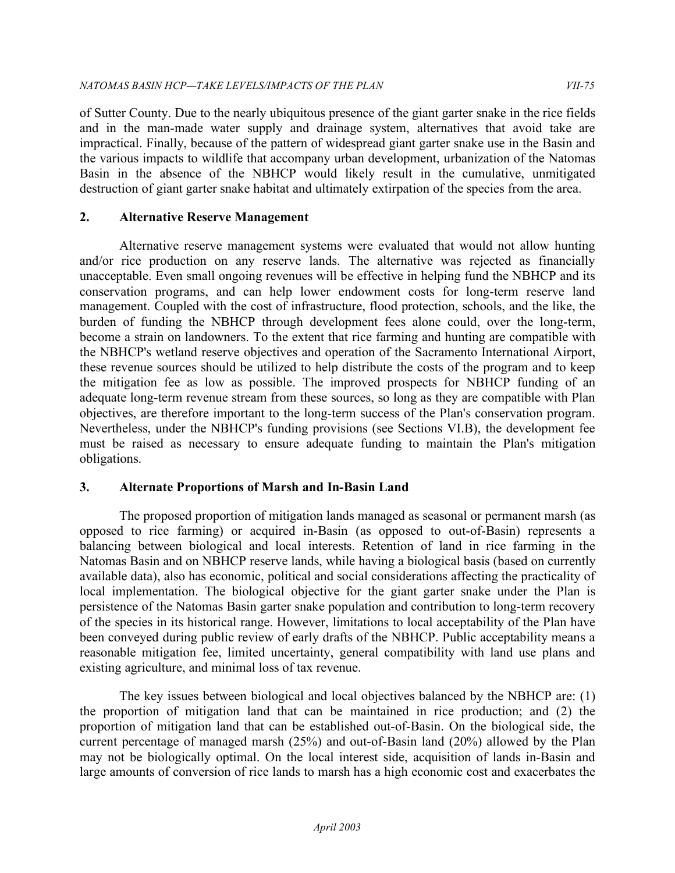of Sutter County. Due to the nearly ubiquitous presence of the giant garter snake in the rice fields and in the man-made water supply and drainage system, alternatives that avoid take are impractical. Finally, because of the pattern of widespread giant garter snake use in the Basin and the various impacts to wildlife that accompany urban development, urbanization of the Natomas Basin in the absence of the NBHCP would likely result in the cumulative, unmitigated destruction of giant garter snake habitat and ultimately extirpation of the species from the area.

## **2. Alternative Reserve Management**

 Alternative reserve management systems were evaluated that would not allow hunting and/or rice production on any reserve lands. The alternative was rejected as financially unacceptable. Even small ongoing revenues will be effective in helping fund the NBHCP and its conservation programs, and can help lower endowment costs for long-term reserve land management. Coupled with the cost of infrastructure, flood protection, schools, and the like, the burden of funding the NBHCP through development fees alone could, over the long-term, become a strain on landowners. To the extent that rice farming and hunting are compatible with the NBHCP's wetland reserve objectives and operation of the Sacramento International Airport, these revenue sources should be utilized to help distribute the costs of the program and to keep the mitigation fee as low as possible. The improved prospects for NBHCP funding of an adequate long-term revenue stream from these sources, so long as they are compatible with Plan objectives, are therefore important to the long-term success of the Plan's conservation program. Nevertheless, under the NBHCP's funding provisions (see Sections VI.B), the development fee must be raised as necessary to ensure adequate funding to maintain the Plan's mitigation obligations.

## **3. Alternate Proportions of Marsh and In-Basin Land**

 The proposed proportion of mitigation lands managed as seasonal or permanent marsh (as opposed to rice farming) or acquired in-Basin (as opposed to out-of-Basin) represents a balancing between biological and local interests. Retention of land in rice farming in the Natomas Basin and on NBHCP reserve lands, while having a biological basis (based on currently available data), also has economic, political and social considerations affecting the practicality of local implementation. The biological objective for the giant garter snake under the Plan is persistence of the Natomas Basin garter snake population and contribution to long-term recovery of the species in its historical range. However, limitations to local acceptability of the Plan have been conveyed during public review of early drafts of the NBHCP. Public acceptability means a reasonable mitigation fee, limited uncertainty, general compatibility with land use plans and existing agriculture, and minimal loss of tax revenue.

 The key issues between biological and local objectives balanced by the NBHCP are: (1) the proportion of mitigation land that can be maintained in rice production; and (2) the proportion of mitigation land that can be established out-of-Basin. On the biological side, the current percentage of managed marsh (25%) and out-of-Basin land (20%) allowed by the Plan may not be biologically optimal. On the local interest side, acquisition of lands in-Basin and large amounts of conversion of rice lands to marsh has a high economic cost and exacerbates the